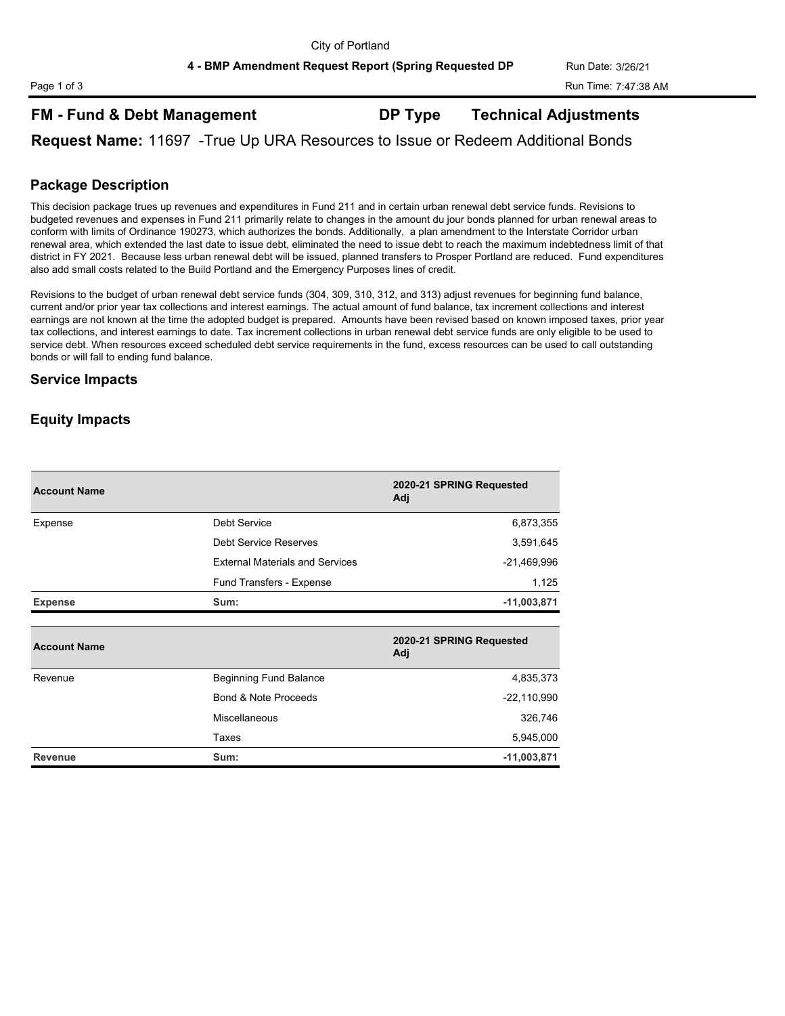**4 - BMP Amendment Request Report (Spring Requested DP Run Date: 3/26/21** 

# **FM - Fund & Debt Management DP Type Technical Adjustments**

**Request Name:** 11697 -True Up URA Resources to Issue or Redeem Additional Bonds

## **Package Description**

This decision package trues up revenues and expenditures in Fund 211 and in certain urban renewal debt service funds. Revisions to budgeted revenues and expenses in Fund 211 primarily relate to changes in the amount du jour bonds planned for urban renewal areas to conform with limits of Ordinance 190273, which authorizes the bonds. Additionally, a plan amendment to the Interstate Corridor urban renewal area, which extended the last date to issue debt, eliminated the need to issue debt to reach the maximum indebtedness limit of that district in FY 2021. Because less urban renewal debt will be issued, planned transfers to Prosper Portland are reduced. Fund expenditures also add small costs related to the Build Portland and the Emergency Purposes lines of credit.

Revisions to the budget of urban renewal debt service funds (304, 309, 310, 312, and 313) adjust revenues for beginning fund balance, current and/or prior year tax collections and interest earnings. The actual amount of fund balance, tax increment collections and interest earnings are not known at the time the adopted budget is prepared. Amounts have been revised based on known imposed taxes, prior year tax collections, and interest earnings to date. Tax increment collections in urban renewal debt service funds are only eligible to be used to service debt. When resources exceed scheduled debt service requirements in the fund, excess resources can be used to call outstanding bonds or will fall to ending fund balance.

## **Service Impacts**

## **Equity Impacts**

| <b>Account Name</b> |                                        | 2020-21 SPRING Requested<br>Adj |
|---------------------|----------------------------------------|---------------------------------|
| Expense             | Debt Service                           | 6,873,355                       |
|                     | Debt Service Reserves                  | 3,591,645                       |
|                     | <b>External Materials and Services</b> | $-21,469,996$                   |
|                     | Fund Transfers - Expense               | 1,125                           |
| <b>Expense</b>      | Sum:                                   | $-11,003,871$                   |
|                     |                                        |                                 |
| <b>Account Name</b> |                                        | 2020-21 SPRING Requested<br>Adj |
| Revenue             | <b>Beginning Fund Balance</b>          | 4,835,373                       |
|                     | Bond & Note Proceeds                   | $-22,110,990$                   |
|                     | <b>Miscellaneous</b>                   | 326,746                         |
|                     | Taxes                                  | 5,945,000                       |

**Revenue Sum: -11,003,871**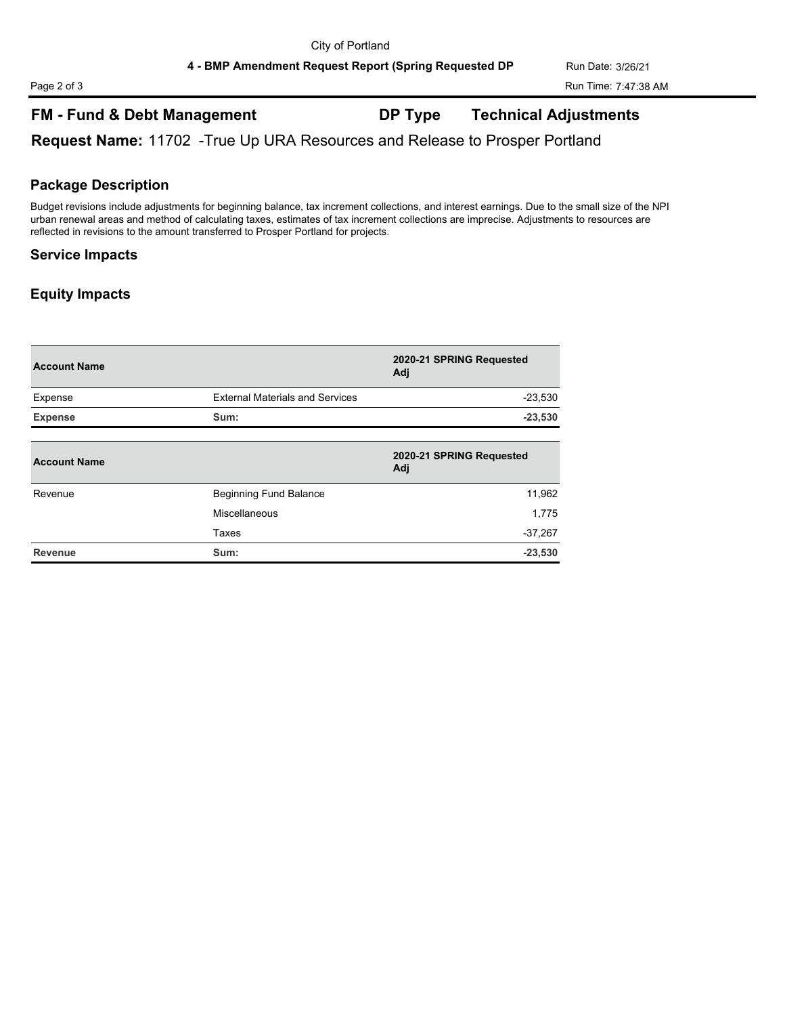# **FM - Fund & Debt Management DP Type Technical Adjustments**

**Request Name:** 11702 -True Up URA Resources and Release to Prosper Portland

## **Package Description**

Budget revisions include adjustments for beginning balance, tax increment collections, and interest earnings. Due to the small size of the NPI urban renewal areas and method of calculating taxes, estimates of tax increment collections are imprecise. Adjustments to resources are reflected in revisions to the amount transferred to Prosper Portland for projects.

## **Service Impacts**

## **Equity Impacts**

| <b>Account Name</b> |                                        | 2020-21 SPRING Requested<br>Adj |
|---------------------|----------------------------------------|---------------------------------|
| Expense             | <b>External Materials and Services</b> | $-23,530$                       |
| <b>Expense</b>      | Sum:                                   | $-23,530$                       |
| <b>Account Name</b> |                                        | 2020-21 SPRING Requested<br>Adj |
| Revenue             | <b>Beginning Fund Balance</b>          | 11,962                          |
|                     | Miscellaneous                          | 1.775                           |
|                     | Taxes                                  | $-37,267$                       |
| Revenue             | Sum:                                   | $-23,530$                       |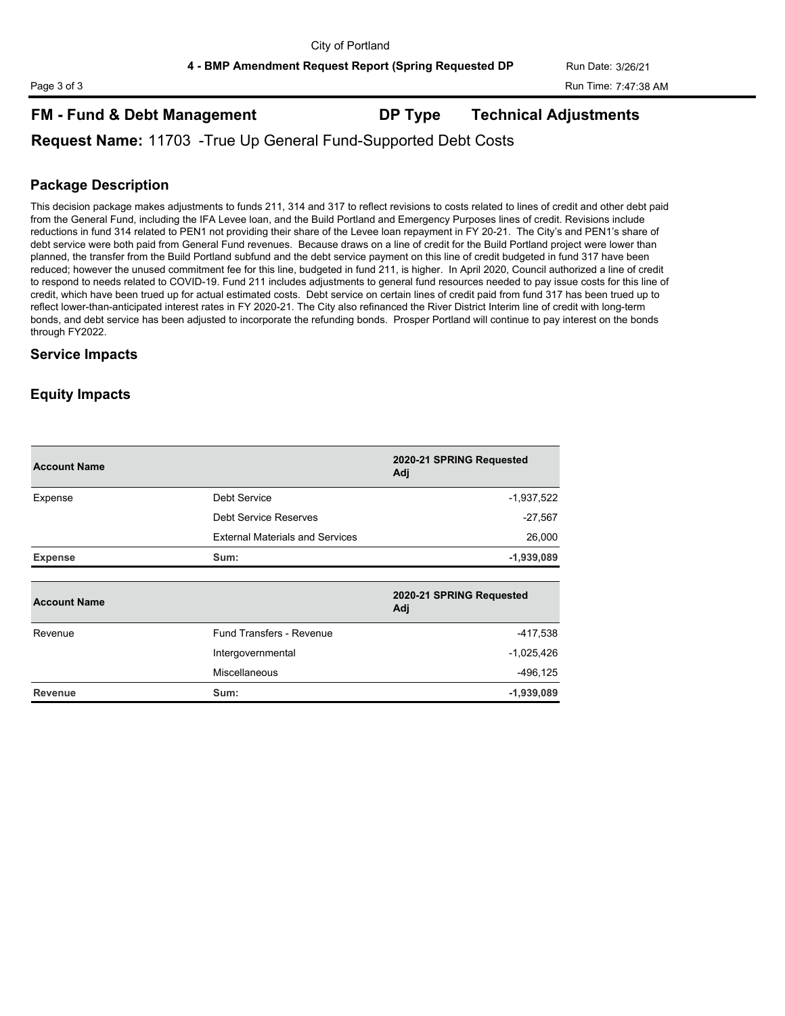## **FM - Fund & Debt Management DP Type Technical Adjustments**

## **Request Name:** 11703 -True Up General Fund-Supported Debt Costs

## **Package Description**

This decision package makes adjustments to funds 211, 314 and 317 to reflect revisions to costs related to lines of credit and other debt paid from the General Fund, including the IFA Levee loan, and the Build Portland and Emergency Purposes lines of credit. Revisions include reductions in fund 314 related to PEN1 not providing their share of the Levee loan repayment in FY 20-21. The City's and PEN1's share of debt service were both paid from General Fund revenues. Because draws on a line of credit for the Build Portland project were lower than planned, the transfer from the Build Portland subfund and the debt service payment on this line of credit budgeted in fund 317 have been reduced; however the unused commitment fee for this line, budgeted in fund 211, is higher. In April 2020, Council authorized a line of credit to respond to needs related to COVID-19. Fund 211 includes adjustments to general fund resources needed to pay issue costs for this line of credit, which have been trued up for actual estimated costs. Debt service on certain lines of credit paid from fund 317 has been trued up to reflect lower-than-anticipated interest rates in FY 2020-21. The City also refinanced the River District Interim line of credit with long-term bonds, and debt service has been adjusted to incorporate the refunding bonds. Prosper Portland will continue to pay interest on the bonds through FY2022.

## **Service Impacts**

## **Equity Impacts**

| <b>Account Name</b> |                                        | 2020-21 SPRING Requested<br>Adj |
|---------------------|----------------------------------------|---------------------------------|
| Expense             | Debt Service                           | $-1,937,522$                    |
|                     | Debt Service Reserves                  | $-27,567$                       |
|                     | <b>External Materials and Services</b> | 26,000                          |
| <b>Expense</b>      | Sum:                                   | $-1,939,089$                    |
|                     |                                        | 2020-21 SPRING Requested        |
| <b>Account Name</b> |                                        | Adj                             |
| Revenue             | Fund Transfers - Revenue               |                                 |
|                     |                                        | -417,538                        |
|                     | Intergovernmental                      | $-1,025,426$                    |
|                     | Miscellaneous                          | $-496, 125$                     |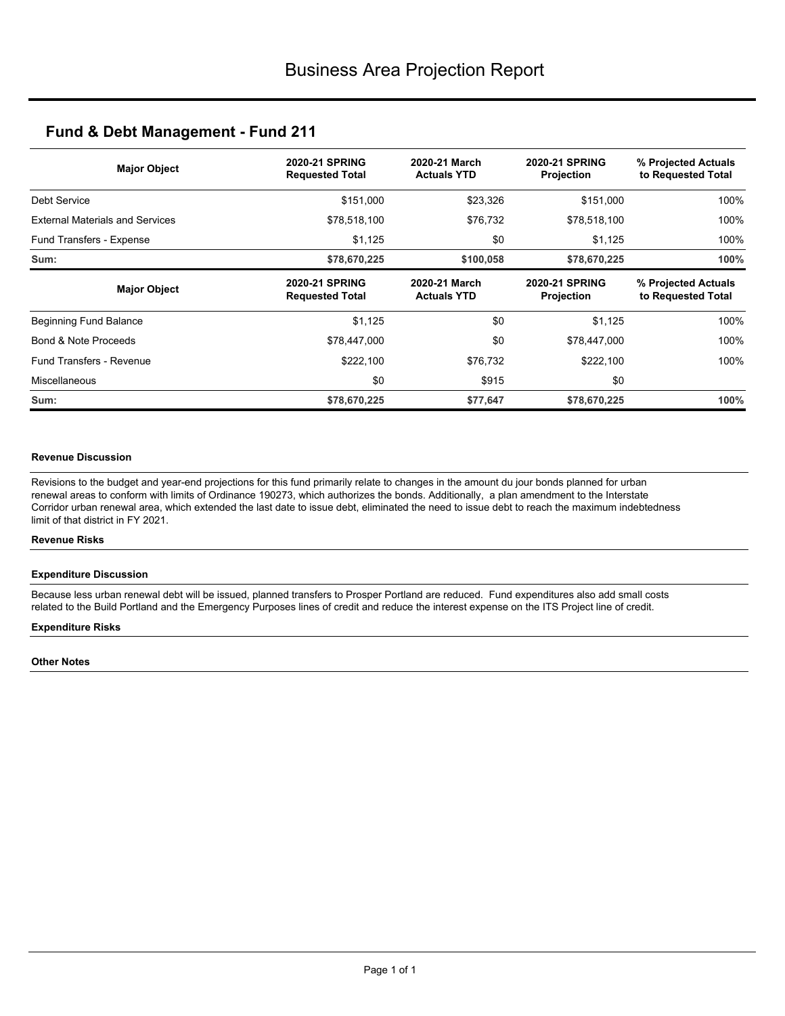| <b>Major Object</b>                    | <b>2020-21 SPRING</b><br><b>Requested Total</b> | 2020-21 March<br><b>Actuals YTD</b> | <b>2020-21 SPRING</b><br><b>Projection</b> | % Projected Actuals<br>to Requested Total |
|----------------------------------------|-------------------------------------------------|-------------------------------------|--------------------------------------------|-------------------------------------------|
| Debt Service                           | \$151,000                                       | \$23,326                            | \$151,000                                  | 100%                                      |
| <b>External Materials and Services</b> | \$78,518,100                                    | \$76,732                            | \$78,518,100                               | 100%                                      |
| Fund Transfers - Expense               | \$1,125                                         | \$0                                 | \$1,125                                    | 100%                                      |
| Sum:                                   | \$78,670,225                                    | \$100,058                           | \$78,670,225                               | 100%                                      |
| <b>Major Object</b>                    | <b>2020-21 SPRING</b><br><b>Requested Total</b> | 2020-21 March<br><b>Actuals YTD</b> | <b>2020-21 SPRING</b><br><b>Projection</b> | % Projected Actuals<br>to Requested Total |
| Beginning Fund Balance                 | \$1,125                                         | \$0                                 | \$1,125                                    | 100%                                      |
| Bond & Note Proceeds                   | \$78,447,000                                    | \$0                                 | \$78,447,000                               | 100%                                      |
| Fund Transfers - Revenue               | \$222,100                                       | \$76,732                            | \$222,100                                  | 100%                                      |
| Miscellaneous                          | \$0                                             | \$915                               | \$0                                        |                                           |
| Sum:                                   | \$78,670,225                                    | \$77,647                            | \$78,670,225                               | 100%                                      |

### **Revenue Discussion**

Revisions to the budget and year-end projections for this fund primarily relate to changes in the amount du jour bonds planned for urban renewal areas to conform with limits of Ordinance 190273, which authorizes the bonds. Additionally, a plan amendment to the Interstate Corridor urban renewal area, which extended the last date to issue debt, eliminated the need to issue debt to reach the maximum indebtedness limit of that district in FY 2021.

### **Revenue Risks**

### **Expenditure Discussion**

Because less urban renewal debt will be issued, planned transfers to Prosper Portland are reduced. Fund expenditures also add small costs related to the Build Portland and the Emergency Purposes lines of credit and reduce the interest expense on the ITS Project line of credit.

### **Expenditure Risks**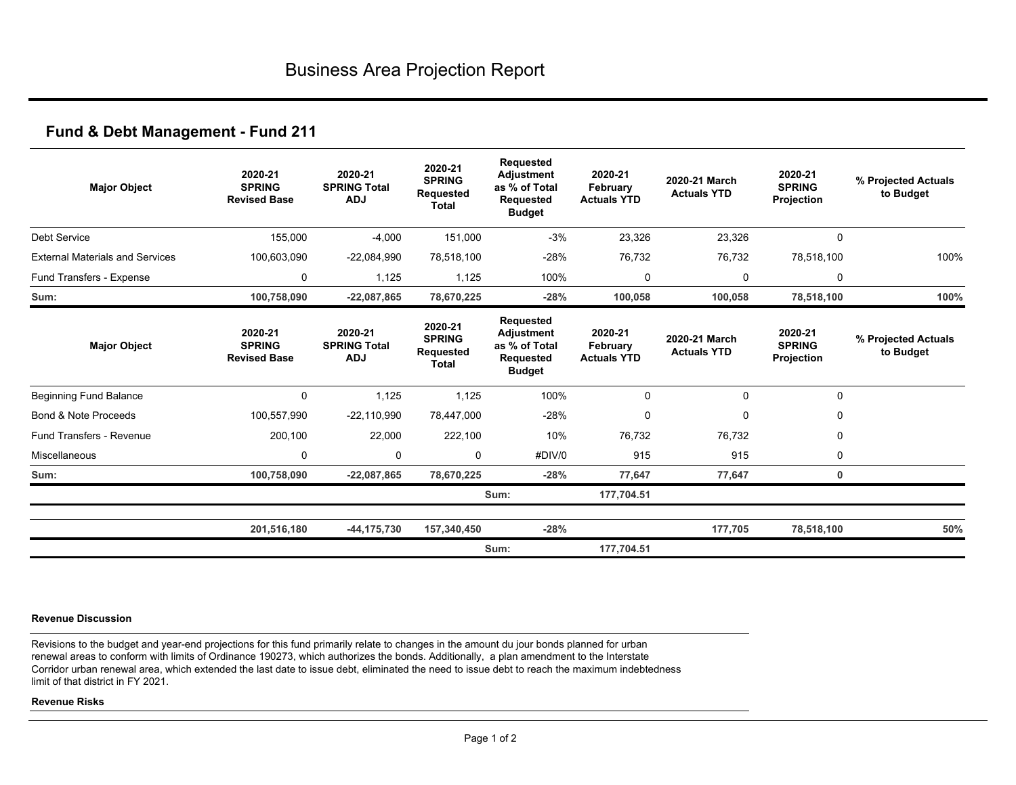| <b>Major Object</b>                    | 2020-21<br><b>SPRING</b><br><b>Revised Base</b> | 2020-21<br><b>SPRING Total</b><br><b>ADJ</b> | 2020-21<br><b>SPRING</b><br><b>Requested</b><br><b>Total</b> | <b>Requested</b><br><b>Adjustment</b><br>as % of Total<br><b>Requested</b><br><b>Budget</b> | 2020-21<br>February<br><b>Actuals YTD</b> | 2020-21 March<br><b>Actuals YTD</b> | 2020-21<br><b>SPRING</b><br>Projection | % Projected Actuals<br>to Budget |
|----------------------------------------|-------------------------------------------------|----------------------------------------------|--------------------------------------------------------------|---------------------------------------------------------------------------------------------|-------------------------------------------|-------------------------------------|----------------------------------------|----------------------------------|
| <b>Debt Service</b>                    | 155,000                                         | $-4,000$                                     | 151,000                                                      | $-3%$                                                                                       | 23,326                                    | 23,326                              | 0                                      |                                  |
| <b>External Materials and Services</b> | 100,603,090                                     | $-22,084,990$                                | 78,518,100                                                   | $-28%$                                                                                      | 76,732                                    | 76,732                              | 78,518,100                             | 100%                             |
| Fund Transfers - Expense               | 0                                               | 1,125                                        | 1,125                                                        | 100%                                                                                        | 0                                         | 0                                   | $\mathbf 0$                            |                                  |
| Sum:                                   | 100,758,090                                     | $-22,087,865$                                | 78,670,225                                                   | $-28%$                                                                                      | 100,058                                   | 100,058                             | 78,518,100                             | 100%                             |
| <b>Major Object</b>                    | 2020-21<br><b>SPRING</b><br><b>Revised Base</b> | 2020-21<br><b>SPRING Total</b><br><b>ADJ</b> | 2020-21<br><b>SPRING</b><br><b>Requested</b><br><b>Total</b> | <b>Requested</b><br><b>Adjustment</b><br>as % of Total<br><b>Requested</b><br><b>Budget</b> | 2020-21<br>February<br><b>Actuals YTD</b> | 2020-21 March<br><b>Actuals YTD</b> | 2020-21<br><b>SPRING</b><br>Projection | % Projected Actuals<br>to Budget |
| <b>Beginning Fund Balance</b>          | $\Omega$                                        | 1,125                                        | 1,125                                                        | 100%                                                                                        | 0                                         | $\mathbf 0$                         | $\Omega$                               |                                  |
| Bond & Note Proceeds                   | 100,557,990                                     | $-22,110,990$                                | 78,447,000                                                   | $-28%$                                                                                      | 0                                         | $\Omega$                            | 0                                      |                                  |
| <b>Fund Transfers - Revenue</b>        | 200,100                                         | 22,000                                       | 222,100                                                      | 10%                                                                                         | 76,732                                    | 76,732                              | 0                                      |                                  |
| Miscellaneous                          | 0                                               | 0                                            | 0                                                            | #DIV/0                                                                                      | 915                                       | 915                                 | 0                                      |                                  |
| Sum:                                   | 100,758,090                                     | $-22,087,865$                                | 78,670,225                                                   | $-28%$                                                                                      | 77,647                                    | 77,647                              | $\mathbf 0$                            |                                  |
|                                        |                                                 |                                              |                                                              | Sum:                                                                                        | 177,704.51                                |                                     |                                        |                                  |
|                                        | 201,516,180                                     | $-44, 175, 730$                              | 157,340,450                                                  | $-28%$                                                                                      |                                           | 177,705                             | 78,518,100                             | 50%                              |
|                                        |                                                 |                                              |                                                              | Sum:                                                                                        | 177,704.51                                |                                     |                                        |                                  |

### **Revenue Discussion**

Revisions to the budget and year-end projections for this fund primarily relate to changes in the amount du jour bonds planned for urban renewal areas to conform with limits of Ordinance 190273, which authorizes the bonds. Additionally, a plan amendment to the Interstate Corridor urban renewal area, which extended the last date to issue debt, eliminated the need to issue debt to reach the maximum indebtedness limit of that district in FY 2021.

### **Revenue Risks**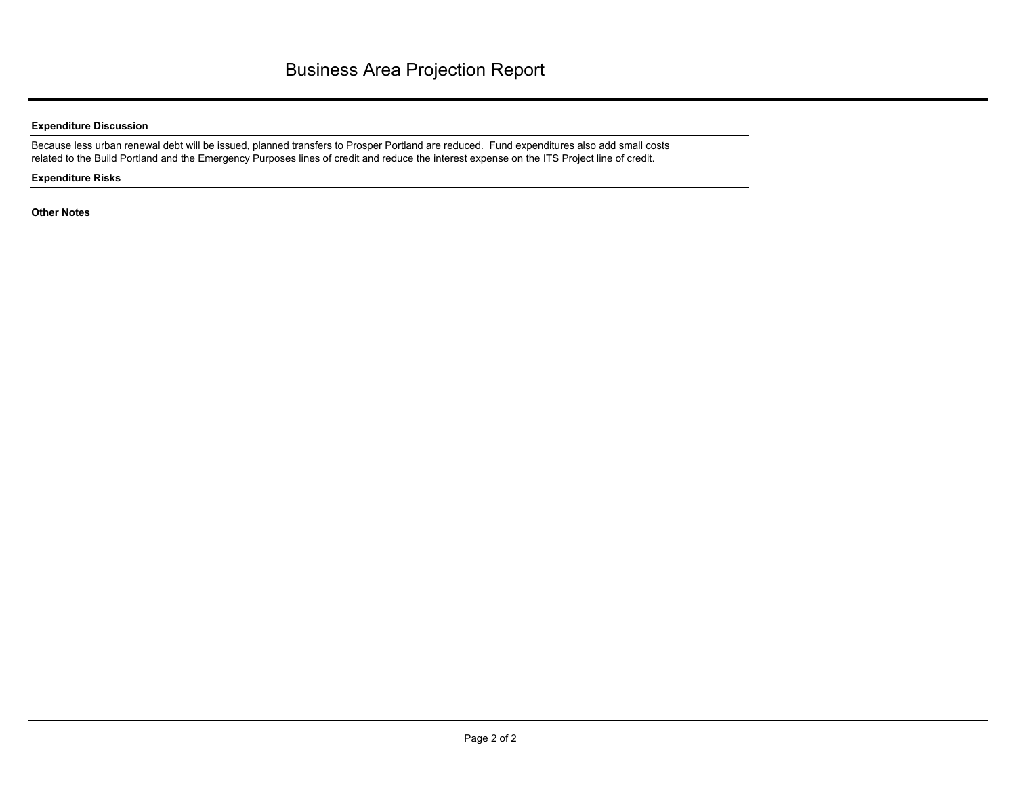## **Expenditure Discussion**

Because less urban renewal debt will be issued, planned transfers to Prosper Portland are reduced. Fund expenditures also add small costs related to the Build Portland and the Emergency Purposes lines of credit and reduce the interest expense on the ITS Project line of credit.

### **Expenditure Risks**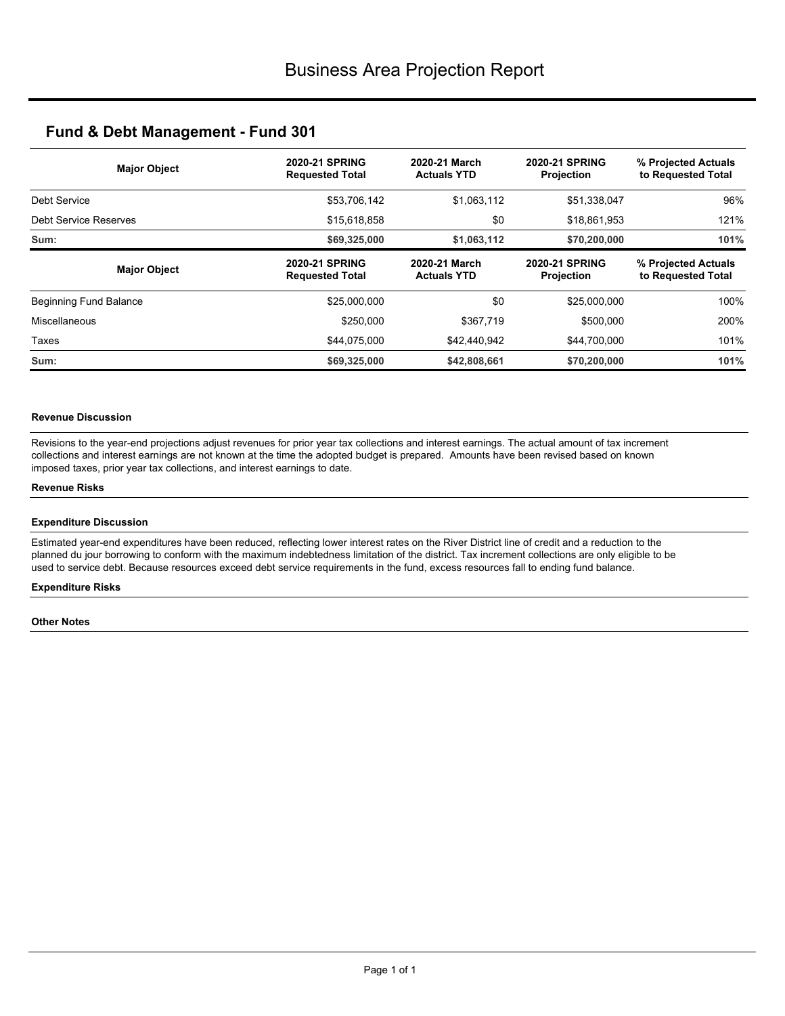| <b>Major Object</b>    | <b>2020-21 SPRING</b><br><b>Requested Total</b> | 2020-21 March<br><b>Actuals YTD</b> | <b>2020-21 SPRING</b><br><b>Projection</b> | % Projected Actuals<br>to Requested Total |
|------------------------|-------------------------------------------------|-------------------------------------|--------------------------------------------|-------------------------------------------|
| Debt Service           | \$53,706,142                                    | \$1,063,112                         | \$51,338,047                               | 96%                                       |
| Debt Service Reserves  | \$15,618,858                                    | \$0                                 | \$18,861,953                               | 121%                                      |
| Sum:                   | \$69,325,000                                    | \$1,063,112                         | \$70,200,000                               | 101%                                      |
| <b>Major Object</b>    | <b>2020-21 SPRING</b><br><b>Requested Total</b> | 2020-21 March<br><b>Actuals YTD</b> | <b>2020-21 SPRING</b><br><b>Projection</b> | % Projected Actuals<br>to Requested Total |
| Beginning Fund Balance | \$25,000,000                                    | \$0                                 | \$25,000,000                               | 100%                                      |
| Miscellaneous          | \$250,000                                       | \$367.719                           | \$500,000                                  | 200%                                      |
| Taxes                  | \$44,075,000                                    | \$42,440,942                        | \$44,700,000                               | 101%                                      |
| Sum:                   | \$69,325,000                                    | \$42,808,661                        | \$70,200,000                               | 101%                                      |

### **Revenue Discussion**

Revisions to the year-end projections adjust revenues for prior year tax collections and interest earnings. The actual amount of tax increment collections and interest earnings are not known at the time the adopted budget is prepared. Amounts have been revised based on known imposed taxes, prior year tax collections, and interest earnings to date.

### **Revenue Risks**

### **Expenditure Discussion**

Estimated year-end expenditures have been reduced, reflecting lower interest rates on the River District line of credit and a reduction to the planned du jour borrowing to conform with the maximum indebtedness limitation of the district. Tax increment collections are only eligible to be used to service debt. Because resources exceed debt service requirements in the fund, excess resources fall to ending fund balance.

### **Expenditure Risks**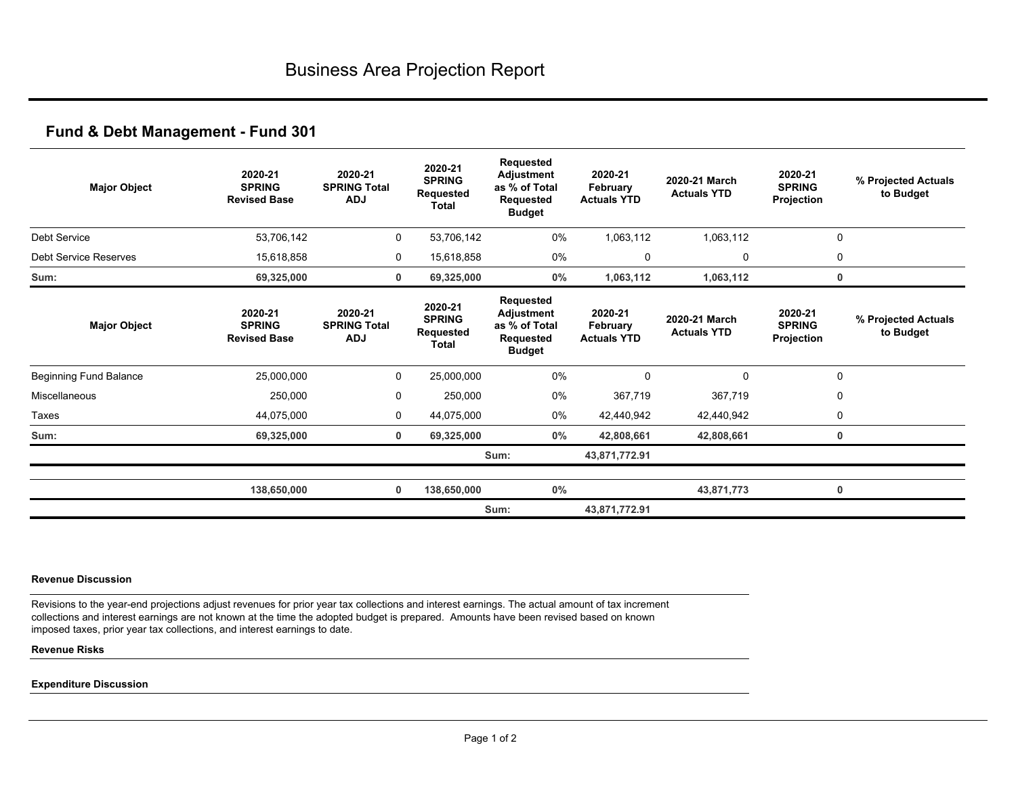| <b>Major Object</b>           | 2020-21<br><b>SPRING</b><br><b>Revised Base</b> | 2020-21<br><b>SPRING Total</b><br><b>ADJ</b> | 2020-21<br><b>SPRING</b><br><b>Requested</b><br><b>Total</b> | Requested<br>Adjustment<br>as % of Total<br>Requested<br><b>Budget</b> | 2020-21<br>February<br><b>Actuals YTD</b> | 2020-21 March<br><b>Actuals YTD</b> | 2020-21<br><b>SPRING</b><br>Projection | % Projected Actuals<br>to Budget |
|-------------------------------|-------------------------------------------------|----------------------------------------------|--------------------------------------------------------------|------------------------------------------------------------------------|-------------------------------------------|-------------------------------------|----------------------------------------|----------------------------------|
| <b>Debt Service</b>           | 53,706,142                                      | 0                                            | 53,706,142                                                   | 0%                                                                     | 1,063,112                                 | 1,063,112                           | $\mathbf 0$                            |                                  |
| <b>Debt Service Reserves</b>  | 15,618,858                                      | 0                                            | 15,618,858                                                   | 0%                                                                     | 0                                         | 0                                   | 0                                      |                                  |
| Sum:                          | 69,325,000                                      | 0                                            | 69,325,000                                                   | 0%                                                                     | 1,063,112                                 | 1,063,112                           |                                        | 0                                |
| <b>Major Object</b>           | 2020-21<br><b>SPRING</b><br><b>Revised Base</b> | 2020-21<br><b>SPRING Total</b><br><b>ADJ</b> | 2020-21<br><b>SPRING</b><br><b>Requested</b><br><b>Total</b> | Requested<br>Adjustment<br>as % of Total<br>Requested<br><b>Budget</b> | 2020-21<br>February<br><b>Actuals YTD</b> | 2020-21 March<br><b>Actuals YTD</b> | 2020-21<br><b>SPRING</b><br>Projection | % Projected Actuals<br>to Budget |
| <b>Beginning Fund Balance</b> | 25,000,000                                      | 0                                            | 25,000,000                                                   | 0%                                                                     | $\Omega$                                  | $\mathbf 0$                         | $\mathbf 0$                            |                                  |
| Miscellaneous                 | 250,000                                         | 0                                            | 250,000                                                      | 0%                                                                     | 367,719                                   | 367,719                             | 0                                      |                                  |
| Taxes                         | 44,075,000                                      | 0                                            | 44,075,000                                                   | 0%                                                                     | 42,440,942                                | 42,440,942                          | 0                                      |                                  |
| Sum:                          | 69,325,000                                      | 0                                            | 69,325,000                                                   | $0\%$                                                                  | 42,808,661                                | 42,808,661                          | 0                                      |                                  |
|                               |                                                 |                                              |                                                              | Sum:                                                                   | 43,871,772.91                             |                                     |                                        |                                  |
|                               | 138,650,000                                     | $\mathbf 0$                                  | 138,650,000                                                  | 0%                                                                     |                                           | 43,871,773                          |                                        | 0                                |
|                               |                                                 |                                              |                                                              | Sum:                                                                   | 43,871,772.91                             |                                     |                                        |                                  |

#### **Revenue Discussion**

Revisions to the year-end projections adjust revenues for prior year tax collections and interest earnings. The actual amount of tax increment collections and interest earnings are not known at the time the adopted budget is prepared. Amounts have been revised based on known imposed taxes, prior year tax collections, and interest earnings to date.

### **Revenue Risks**

### **Expenditure Discussion**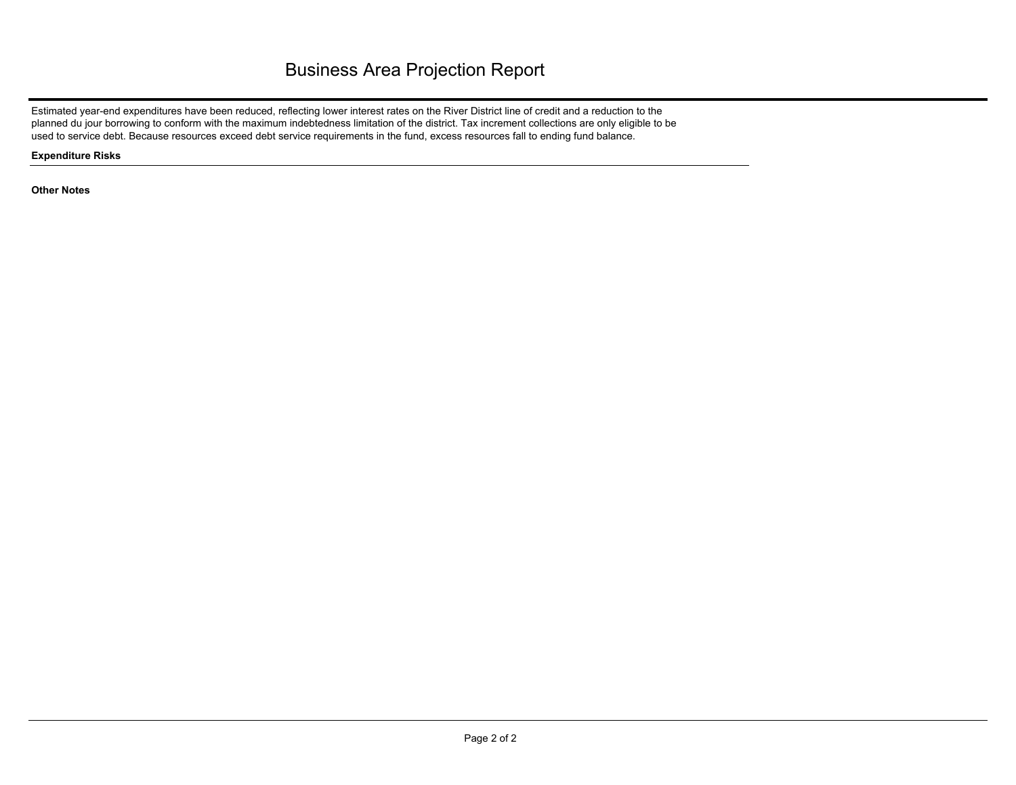# Business Area Projection Report

Estimated year-end expenditures have been reduced, reflecting lower interest rates on the River District line of credit and a reduction to the planned du jour borrowing to conform with the maximum indebtedness limitation of the district. Tax increment collections are only eligible to be used to service debt. Because resources exceed debt service requirements in the fund, excess resources fall to ending fund balance.

**Expenditure Risks**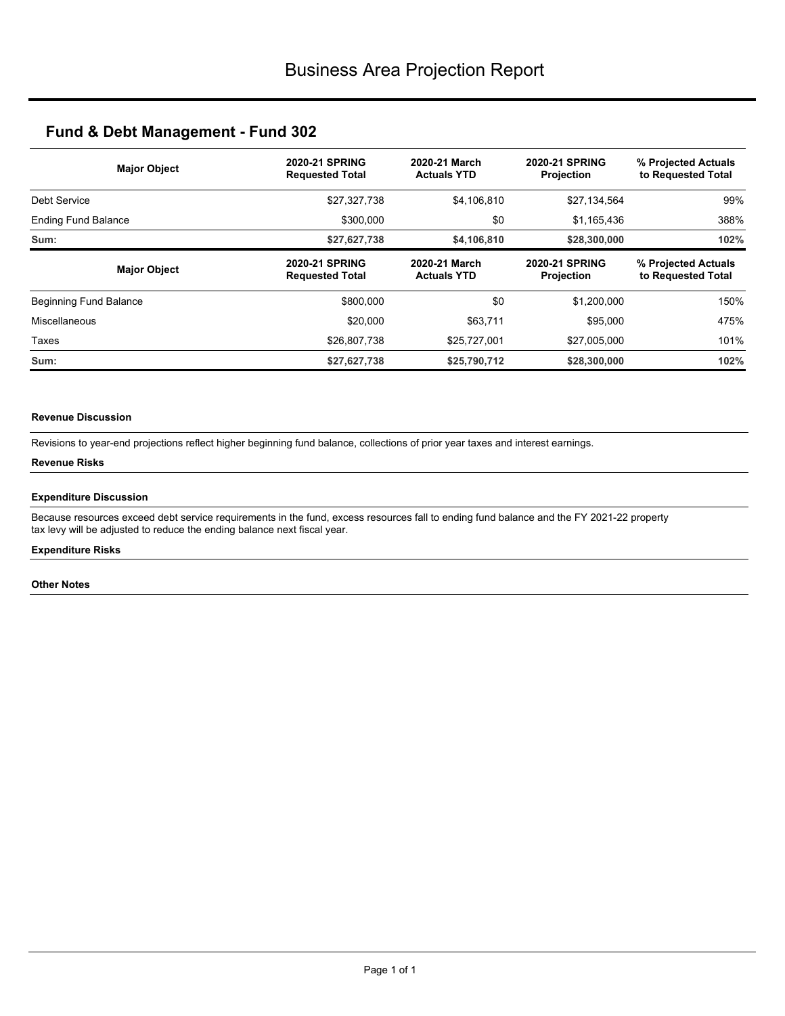| <b>Major Object</b>        | <b>2020-21 SPRING</b><br><b>Requested Total</b> | 2020-21 March<br><b>Actuals YTD</b> | <b>2020-21 SPRING</b><br>Projection        | % Projected Actuals<br>to Requested Total |
|----------------------------|-------------------------------------------------|-------------------------------------|--------------------------------------------|-------------------------------------------|
| Debt Service               | \$27,327,738                                    | \$4,106,810                         | \$27,134,564                               | 99%                                       |
| <b>Ending Fund Balance</b> | \$300,000                                       | \$0<br>\$1,165,436                  |                                            | 388%                                      |
| Sum:                       | \$27,627,738                                    | \$4,106,810                         | \$28,300,000                               | 102%                                      |
| <b>Major Object</b>        | <b>2020-21 SPRING</b><br><b>Requested Total</b> | 2020-21 March<br><b>Actuals YTD</b> | <b>2020-21 SPRING</b><br><b>Projection</b> | % Projected Actuals<br>to Requested Total |
| Beginning Fund Balance     | \$800,000                                       | \$0                                 | \$1,200,000                                | 150%                                      |
| Miscellaneous              | \$20,000                                        | \$63.711                            | \$95,000                                   | 475%                                      |
| Taxes                      | \$26,807,738                                    | \$25,727,001                        | \$27,005,000                               | 101%                                      |
| Sum:                       | \$27,627,738                                    | \$25,790,712                        | \$28,300,000                               | 102%                                      |

### **Revenue Discussion**

Revisions to year-end projections reflect higher beginning fund balance, collections of prior year taxes and interest earnings.

### **Revenue Risks**

### **Expenditure Discussion**

Because resources exceed debt service requirements in the fund, excess resources fall to ending fund balance and the FY 2021-22 property tax levy will be adjusted to reduce the ending balance next fiscal year.

## **Expenditure Risks**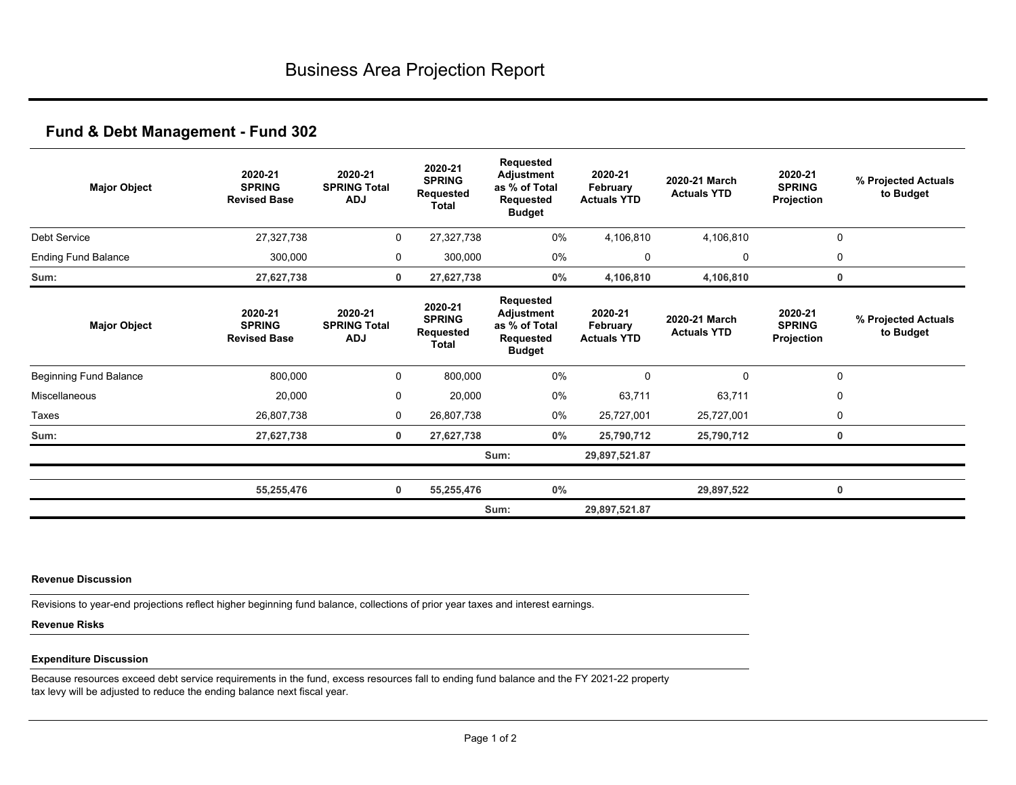| <b>Major Object</b>           | 2020-21<br><b>SPRING</b><br><b>Revised Base</b> | 2020-21<br><b>SPRING Total</b><br><b>ADJ</b> | 2020-21<br><b>SPRING</b><br>Requested<br><b>Total</b> | Requested<br><b>Adjustment</b><br>as % of Total<br><b>Requested</b><br><b>Budget</b> | 2020-21<br>February<br><b>Actuals YTD</b> | 2020-21 March<br><b>Actuals YTD</b> | 2020-21<br><b>SPRING</b><br>Projection | % Projected Actuals<br>to Budget |
|-------------------------------|-------------------------------------------------|----------------------------------------------|-------------------------------------------------------|--------------------------------------------------------------------------------------|-------------------------------------------|-------------------------------------|----------------------------------------|----------------------------------|
| Debt Service                  | 27,327,738                                      | 0                                            | 27,327,738                                            | 0%                                                                                   | 4,106,810                                 | 4,106,810                           | 0                                      |                                  |
| <b>Ending Fund Balance</b>    | 300,000                                         | 0                                            | 300,000                                               | 0%                                                                                   | 0                                         | 0                                   | 0                                      |                                  |
| Sum:                          | 27,627,738                                      | 0                                            | 27,627,738                                            | $0\%$                                                                                | 4,106,810                                 | 4,106,810                           | 0                                      |                                  |
| <b>Major Object</b>           | 2020-21<br><b>SPRING</b><br><b>Revised Base</b> | 2020-21<br><b>SPRING Total</b><br><b>ADJ</b> | 2020-21<br><b>SPRING</b><br>Requested<br><b>Total</b> | Requested<br>Adjustment<br>as % of Total<br>Requested<br><b>Budget</b>               | 2020-21<br>February<br><b>Actuals YTD</b> | 2020-21 March<br><b>Actuals YTD</b> | 2020-21<br><b>SPRING</b><br>Projection | % Projected Actuals<br>to Budget |
| <b>Beginning Fund Balance</b> | 800,000                                         | 0                                            | 800,000                                               | 0%                                                                                   | $\Omega$                                  | 0                                   | $\mathbf 0$                            |                                  |
| Miscellaneous                 | 20,000                                          | $\mathbf 0$                                  | 20,000                                                | 0%                                                                                   | 63,711                                    | 63,711                              | 0                                      |                                  |
| Taxes                         | 26,807,738                                      | 0                                            | 26,807,738                                            | 0%                                                                                   | 25,727,001                                | 25,727,001                          | 0                                      |                                  |
| Sum:                          | 27,627,738                                      | $\mathbf 0$                                  | 27,627,738                                            | $0\%$                                                                                | 25,790,712                                | 25,790,712                          | 0                                      |                                  |
|                               |                                                 |                                              |                                                       | Sum:                                                                                 | 29,897,521.87                             |                                     |                                        |                                  |
|                               | 55,255,476                                      | $\mathbf 0$                                  | 55,255,476                                            | $0\%$                                                                                |                                           | 29,897,522                          | 0                                      |                                  |
|                               |                                                 |                                              |                                                       | Sum:                                                                                 | 29,897,521.87                             |                                     |                                        |                                  |

### **Revenue Discussion**

Revisions to year-end projections reflect higher beginning fund balance, collections of prior year taxes and interest earnings.

## **Revenue Risks**

### **Expenditure Discussion**

Because resources exceed debt service requirements in the fund, excess resources fall to ending fund balance and the FY 2021-22 property tax levy will be adjusted to reduce the ending balance next fiscal year.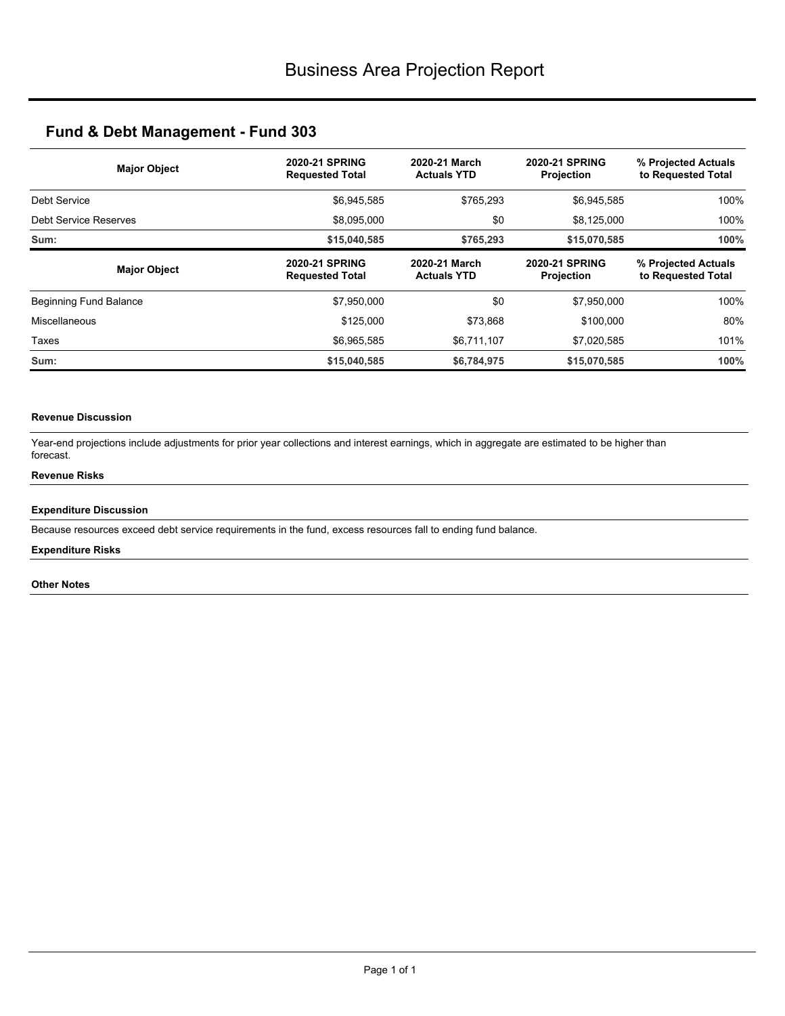| <b>Major Object</b>    | <b>2020-21 SPRING</b><br><b>Requested Total</b> | <b>2020-21 SPRING</b><br>2020-21 March<br><b>Actuals YTD</b><br>Projection |                                            | % Projected Actuals<br>to Requested Total |
|------------------------|-------------------------------------------------|----------------------------------------------------------------------------|--------------------------------------------|-------------------------------------------|
| Debt Service           | \$6,945,585                                     | \$765,293                                                                  | \$6,945,585                                | 100%                                      |
| Debt Service Reserves  | \$8,095,000                                     | \$0                                                                        | \$8,125,000                                | 100%                                      |
| Sum:                   | \$15,040,585                                    | \$765,293                                                                  | \$15,070,585                               | 100%                                      |
| <b>Major Object</b>    | <b>2020-21 SPRING</b><br><b>Requested Total</b> | 2020-21 March<br><b>Actuals YTD</b>                                        | <b>2020-21 SPRING</b><br><b>Projection</b> | % Projected Actuals<br>to Requested Total |
| Beginning Fund Balance | \$7,950,000                                     | \$0                                                                        | \$7,950,000                                | 100%                                      |
| Miscellaneous          | \$125,000                                       | \$73.868                                                                   | \$100,000                                  | 80%                                       |
| Taxes                  | \$6,965,585                                     | \$6,711,107                                                                | \$7,020,585                                | 101%                                      |
| Sum:                   | \$15,040,585                                    | \$6,784,975                                                                | \$15,070,585                               | 100%                                      |

### **Revenue Discussion**

Year-end projections include adjustments for prior year collections and interest earnings, which in aggregate are estimated to be higher than forecast.

## **Revenue Risks**

### **Expenditure Discussion**

Because resources exceed debt service requirements in the fund, excess resources fall to ending fund balance.

## **Expenditure Risks**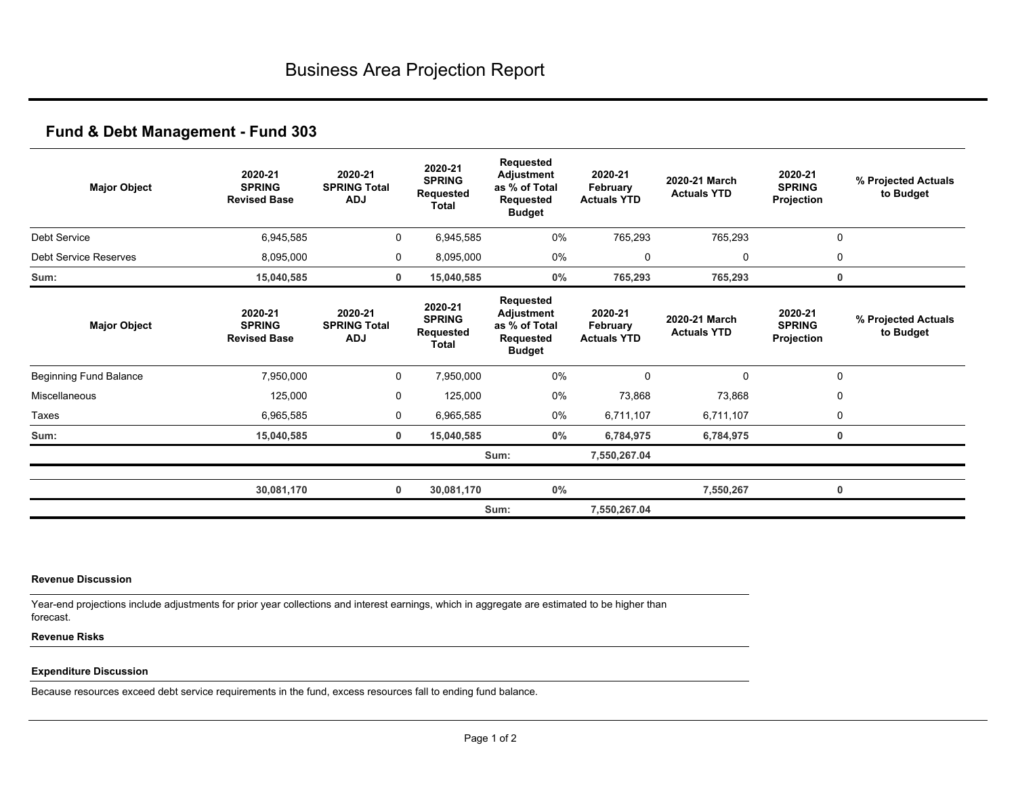| <b>Major Object</b>          | 2020-21<br><b>SPRING</b><br><b>Revised Base</b> | 2020-21<br><b>SPRING Total</b><br><b>ADJ</b> | 2020-21<br><b>SPRING</b><br>Requested<br><b>Total</b> | Requested<br><b>Adjustment</b><br>as % of Total<br><b>Requested</b><br><b>Budget</b> | 2020-21<br>February<br><b>Actuals YTD</b> | 2020-21 March<br><b>Actuals YTD</b> | 2020-21<br><b>SPRING</b><br>Projection | % Projected Actuals<br>to Budget |
|------------------------------|-------------------------------------------------|----------------------------------------------|-------------------------------------------------------|--------------------------------------------------------------------------------------|-------------------------------------------|-------------------------------------|----------------------------------------|----------------------------------|
| Debt Service                 | 6,945,585                                       | 0                                            | 6,945,585                                             | 0%                                                                                   | 765,293                                   | 765,293                             |                                        | 0                                |
| <b>Debt Service Reserves</b> | 8,095,000                                       | 0                                            | 8,095,000                                             | 0%                                                                                   | $\mathbf 0$                               | 0                                   | 0                                      |                                  |
| Sum:                         | 15,040,585                                      | 0                                            | 15,040,585                                            | $0\%$                                                                                | 765,293                                   | 765,293                             |                                        | 0                                |
| <b>Major Object</b>          | 2020-21<br><b>SPRING</b><br><b>Revised Base</b> | 2020-21<br><b>SPRING Total</b><br><b>ADJ</b> | 2020-21<br><b>SPRING</b><br>Requested<br>Total        | Requested<br>Adjustment<br>as % of Total<br>Requested<br><b>Budget</b>               | 2020-21<br>February<br><b>Actuals YTD</b> | 2020-21 March<br><b>Actuals YTD</b> | 2020-21<br><b>SPRING</b><br>Projection | % Projected Actuals<br>to Budget |
| Beginning Fund Balance       | 7,950,000                                       | 0                                            | 7,950,000                                             | 0%                                                                                   | 0                                         | $\mathbf 0$                         | $\mathbf 0$                            |                                  |
| Miscellaneous                | 125,000                                         | 0                                            | 125,000                                               | 0%                                                                                   | 73,868                                    | 73,868                              | 0                                      |                                  |
| Taxes                        | 6,965,585                                       | 0                                            | 6,965,585                                             | 0%                                                                                   | 6,711,107                                 | 6,711,107                           | 0                                      |                                  |
| Sum:                         | 15,040,585                                      | $\mathbf 0$                                  | 15,040,585                                            | $0\%$                                                                                | 6,784,975                                 | 6,784,975                           |                                        | 0                                |
|                              |                                                 |                                              |                                                       | Sum:                                                                                 | 7,550,267.04                              |                                     |                                        |                                  |
|                              | 30,081,170                                      | 0                                            | 30,081,170                                            | 0%                                                                                   |                                           | 7,550,267                           |                                        | 0                                |
|                              |                                                 |                                              |                                                       | Sum:                                                                                 | 7,550,267.04                              |                                     |                                        |                                  |

#### **Revenue Discussion**

Year-end projections include adjustments for prior year collections and interest earnings, which in aggregate are estimated to be higher than forecast.

### **Revenue Risks**

## **Expenditure Discussion**

Because resources exceed debt service requirements in the fund, excess resources fall to ending fund balance.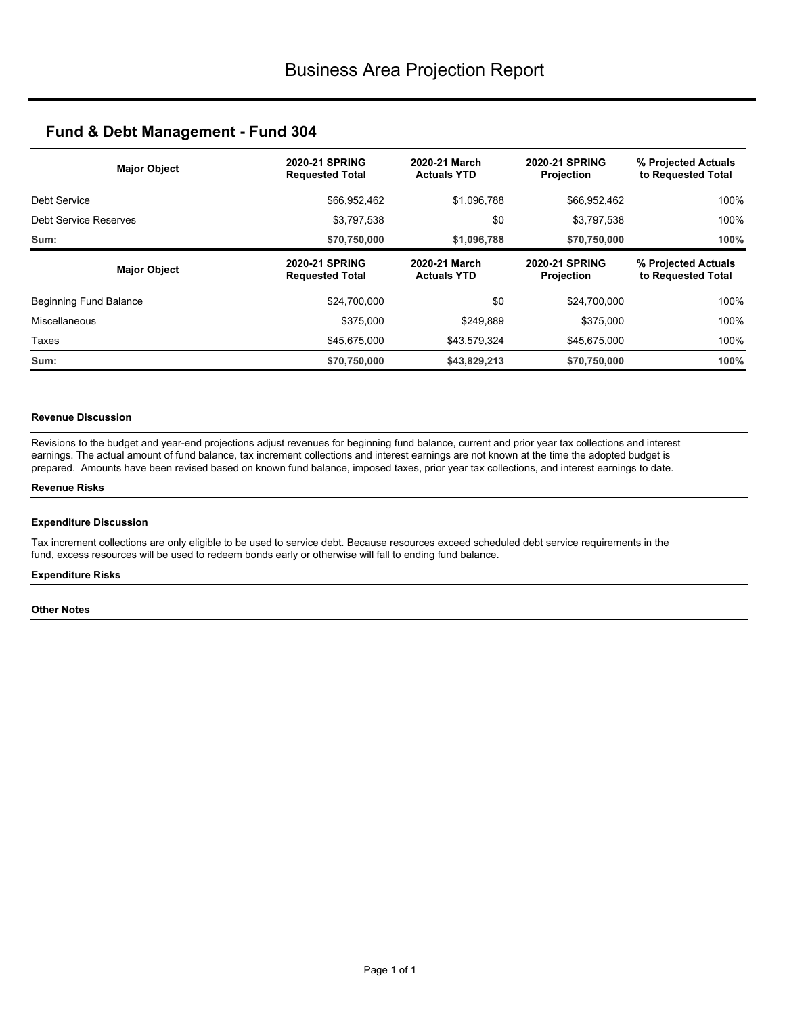| <b>Major Object</b>    | <b>2020-21 SPRING</b><br><b>Requested Total</b> | 2020-21 March<br><b>2020-21 SPRING</b><br><b>Actuals YTD</b><br><b>Projection</b> |                                            | % Projected Actuals<br>to Requested Total |
|------------------------|-------------------------------------------------|-----------------------------------------------------------------------------------|--------------------------------------------|-------------------------------------------|
| Debt Service           | \$66,952,462                                    | \$1,096,788                                                                       | \$66,952,462                               | 100%                                      |
| Debt Service Reserves  | \$3,797,538                                     | \$0                                                                               | \$3,797,538                                | 100%                                      |
| Sum:                   | \$70,750,000                                    | \$1,096,788                                                                       | \$70,750,000                               | 100%                                      |
| <b>Major Object</b>    | <b>2020-21 SPRING</b><br><b>Requested Total</b> | 2020-21 March<br><b>Actuals YTD</b>                                               | <b>2020-21 SPRING</b><br><b>Projection</b> | % Projected Actuals<br>to Requested Total |
| Beginning Fund Balance | \$24,700,000                                    | \$0                                                                               | \$24,700,000                               | 100%                                      |
| Miscellaneous          | \$375,000                                       | \$249.889                                                                         | \$375,000                                  | 100%                                      |
| Taxes                  | \$45,675,000                                    | \$43,579,324                                                                      | \$45,675,000                               | 100%                                      |
| Sum:                   | \$70,750,000                                    | \$43,829,213                                                                      | \$70,750,000                               | 100%                                      |

## **Revenue Discussion**

Revisions to the budget and year-end projections adjust revenues for beginning fund balance, current and prior year tax collections and interest earnings. The actual amount of fund balance, tax increment collections and interest earnings are not known at the time the adopted budget is prepared. Amounts have been revised based on known fund balance, imposed taxes, prior year tax collections, and interest earnings to date.

### **Revenue Risks**

### **Expenditure Discussion**

Tax increment collections are only eligible to be used to service debt. Because resources exceed scheduled debt service requirements in the fund, excess resources will be used to redeem bonds early or otherwise will fall to ending fund balance.

#### **Expenditure Risks**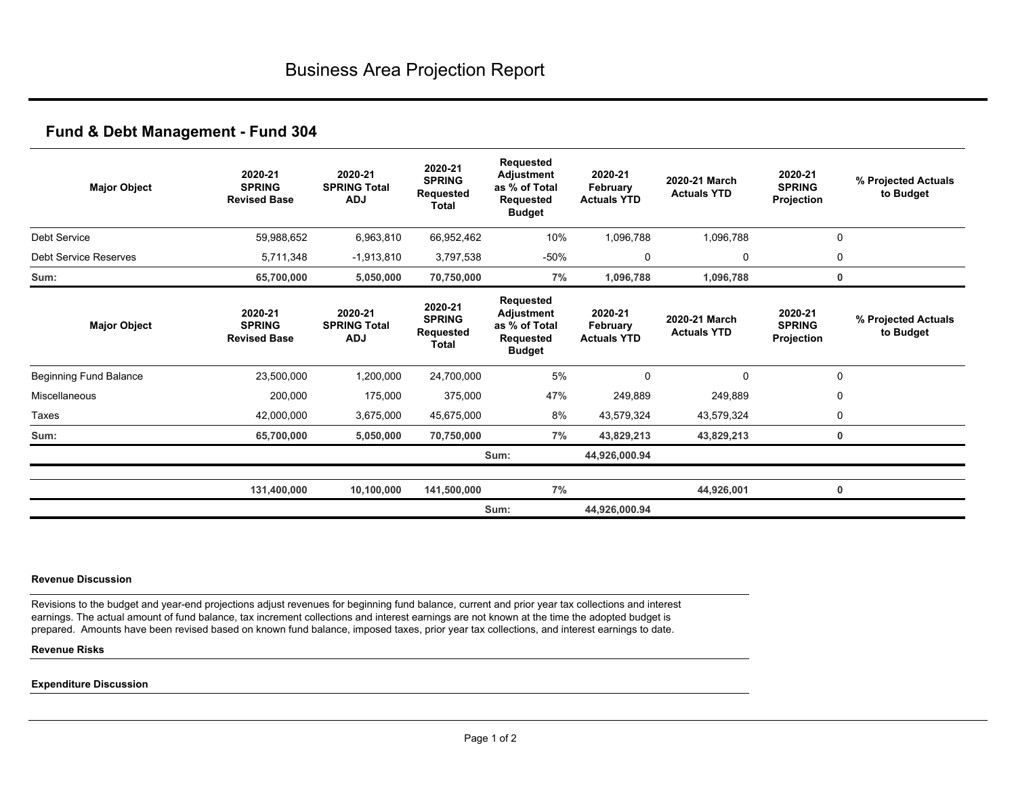| <b>Major Object</b>           | 2020-21<br><b>SPRING</b><br><b>Revised Base</b> | 2020-21<br><b>SPRING Total</b><br><b>ADJ</b> | 2020-21<br><b>SPRING</b><br><b>Requested</b><br><b>Total</b> | Requested<br>Adjustment<br>as % of Total<br>Requested<br><b>Budget</b>        | 2020-21<br>February<br><b>Actuals YTD</b> | 2020-21 March<br><b>Actuals YTD</b> | 2020-21<br><b>SPRING</b><br>Projection | % Projected Actuals<br>to Budget |
|-------------------------------|-------------------------------------------------|----------------------------------------------|--------------------------------------------------------------|-------------------------------------------------------------------------------|-------------------------------------------|-------------------------------------|----------------------------------------|----------------------------------|
| <b>Debt Service</b>           | 59,988,652                                      | 6,963,810                                    | 66,952,462                                                   | 10%                                                                           | 1,096,788                                 | 1,096,788                           |                                        | $\mathbf 0$                      |
| <b>Debt Service Reserves</b>  | 5,711,348                                       | $-1,913,810$                                 | 3,797,538                                                    | -50%                                                                          | $\Omega$                                  | 0                                   |                                        | 0                                |
| Sum:                          | 65,700,000                                      | 5,050,000                                    | 70,750,000                                                   | 7%                                                                            | 1,096,788                                 | 1,096,788                           |                                        | 0                                |
| <b>Major Object</b>           | 2020-21<br><b>SPRING</b><br><b>Revised Base</b> | 2020-21<br><b>SPRING Total</b><br><b>ADJ</b> | 2020-21<br><b>SPRING</b><br><b>Requested</b><br><b>Total</b> | Requested<br>Adjustment<br>as % of Total<br><b>Requested</b><br><b>Budget</b> | 2020-21<br>February<br><b>Actuals YTD</b> | 2020-21 March<br><b>Actuals YTD</b> | 2020-21<br><b>SPRING</b><br>Projection | % Projected Actuals<br>to Budget |
| <b>Beginning Fund Balance</b> | 23,500,000                                      | 1,200,000                                    | 24,700,000                                                   | 5%                                                                            | $\Omega$                                  | $\mathbf 0$                         |                                        | 0                                |
| Miscellaneous                 | 200,000                                         | 175,000                                      | 375,000                                                      | 47%                                                                           | 249,889                                   | 249,889                             |                                        | 0                                |
| Taxes                         | 42,000,000                                      | 3,675,000                                    | 45,675,000                                                   | 8%                                                                            | 43,579,324                                | 43,579,324                          |                                        | 0                                |
| Sum:                          | 65,700,000                                      | 5,050,000                                    | 70,750,000                                                   | 7%                                                                            | 43,829,213                                | 43,829,213                          |                                        | 0                                |
|                               |                                                 |                                              |                                                              | Sum:                                                                          | 44,926,000.94                             |                                     |                                        |                                  |
|                               | 131,400,000                                     | 10,100,000                                   | 141,500,000                                                  | 7%                                                                            |                                           | 44,926,001                          |                                        | 0                                |
|                               |                                                 |                                              |                                                              | Sum:                                                                          | 44,926,000.94                             |                                     |                                        |                                  |

#### **Revenue Discussion**

Revisions to the budget and year-end projections adjust revenues for beginning fund balance, current and prior year tax collections and interest earnings. The actual amount of fund balance, tax increment collections and interest earnings are not known at the time the adopted budget is prepared. Amounts have been revised based on known fund balance, imposed taxes, prior year tax collections, and interest earnings to date.

### **Revenue Risks**

### **Expenditure Discussion**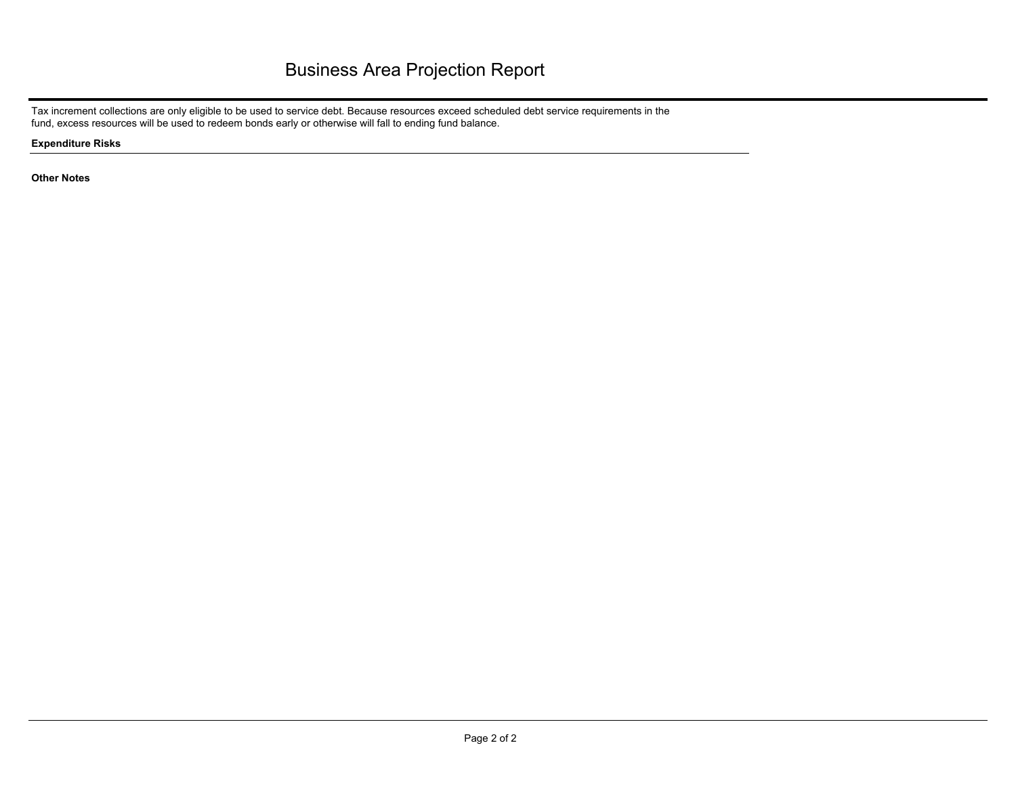Tax increment collections are only eligible to be used to service debt. Because resources exceed scheduled debt service requirements in the fund, excess resources will be used to redeem bonds early or otherwise will fall to ending fund balance.

**Expenditure Risks**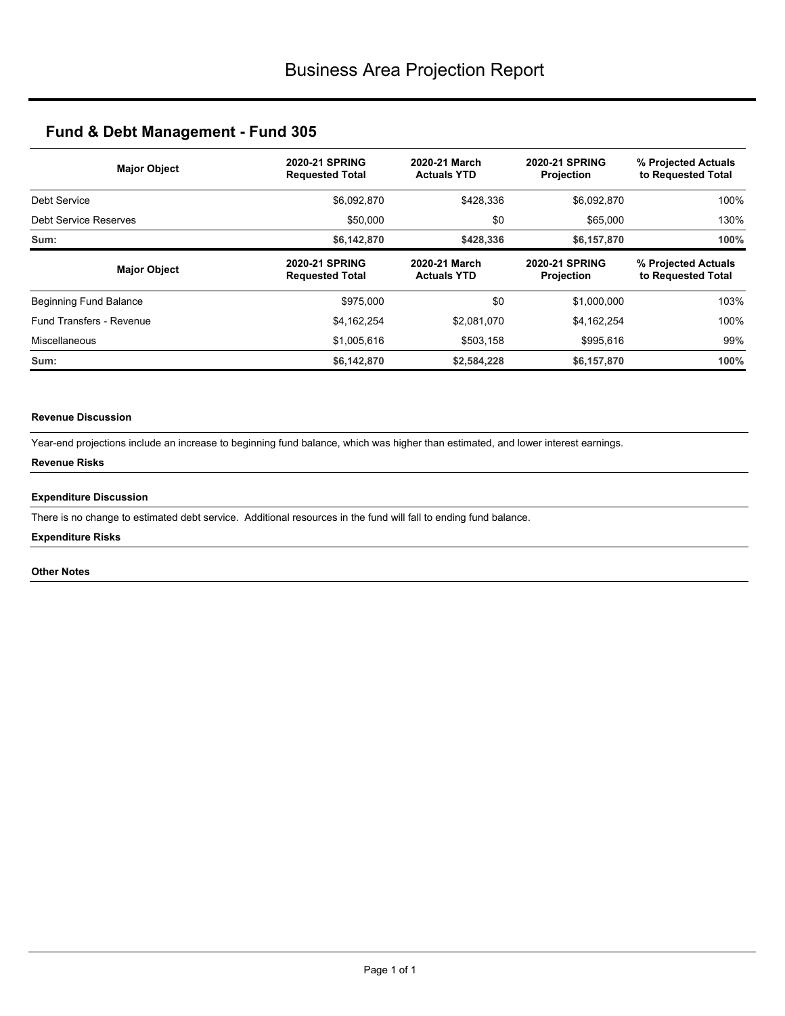| <b>Major Object</b>          | 2020-21 SPRING<br><b>Requested Total</b>        | 2020-21 March<br><b>Actuals YTD</b> |                                            | % Projected Actuals<br>to Requested Total |  |
|------------------------------|-------------------------------------------------|-------------------------------------|--------------------------------------------|-------------------------------------------|--|
| Debt Service                 | \$6,092,870                                     | \$428,336                           | \$6,092,870                                | 100%                                      |  |
| <b>Debt Service Reserves</b> | \$50,000                                        | \$0                                 | \$65,000                                   | 130%                                      |  |
| Sum:                         | \$6,142,870                                     | \$428,336                           | \$6,157,870                                | 100%                                      |  |
| <b>Major Object</b>          | <b>2020-21 SPRING</b><br><b>Requested Total</b> | 2020-21 March<br><b>Actuals YTD</b> | <b>2020-21 SPRING</b><br><b>Projection</b> | % Projected Actuals<br>to Requested Total |  |
| Beginning Fund Balance       | \$975,000                                       | \$0                                 | \$1,000,000                                | 103%                                      |  |
| Fund Transfers - Revenue     | \$4,162,254                                     | \$2,081,070                         | \$4,162,254                                | 100%                                      |  |
| Miscellaneous                | \$1,005,616                                     | \$503,158                           | \$995,616                                  | 99%                                       |  |
| Sum:                         | \$6,142,870                                     | \$2,584,228                         | \$6,157,870                                | 100%                                      |  |

## **Revenue Discussion**

Year-end projections include an increase to beginning fund balance, which was higher than estimated, and lower interest earnings.

### **Revenue Risks**

### **Expenditure Discussion**

There is no change to estimated debt service. Additional resources in the fund will fall to ending fund balance.

### **Expenditure Risks**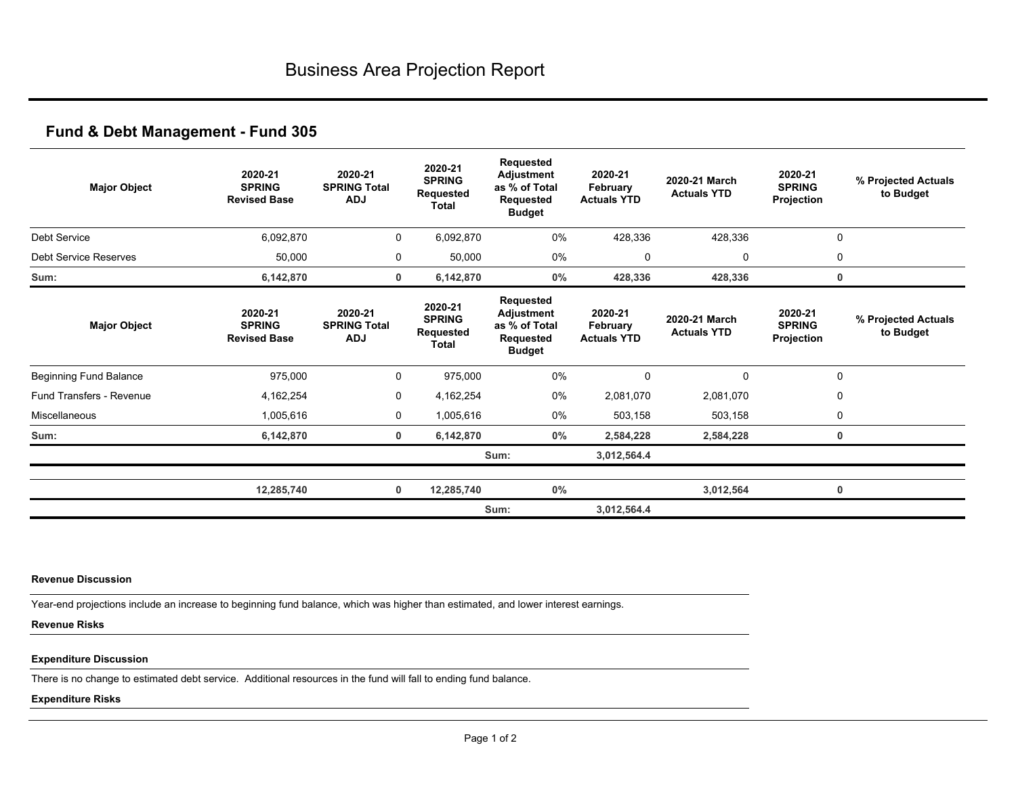| <b>Major Object</b>             | 2020-21<br><b>SPRING</b><br><b>Revised Base</b> | 2020-21<br><b>SPRING Total</b><br><b>ADJ</b> | 2020-21<br><b>SPRING</b><br>Requested<br>Total | Requested<br>Adjustment<br>as % of Total<br>Requested<br><b>Budget</b>        | 2020-21<br>February<br><b>Actuals YTD</b> | 2020-21 March<br><b>Actuals YTD</b> | 2020-21<br><b>SPRING</b><br>Projection | % Projected Actuals<br>to Budget |
|---------------------------------|-------------------------------------------------|----------------------------------------------|------------------------------------------------|-------------------------------------------------------------------------------|-------------------------------------------|-------------------------------------|----------------------------------------|----------------------------------|
| Debt Service                    | 6,092,870                                       | 0                                            | 6,092,870                                      | $0\%$                                                                         | 428,336                                   | 428,336                             | $\mathbf 0$                            |                                  |
| <b>Debt Service Reserves</b>    | 50,000                                          | 0                                            | 50,000                                         | 0%                                                                            | 0                                         | 0                                   | 0                                      |                                  |
| Sum:                            | 6,142,870                                       | 0                                            | 6,142,870                                      | $0\%$                                                                         | 428,336                                   | 428,336                             | 0                                      |                                  |
| <b>Major Object</b>             | 2020-21<br><b>SPRING</b><br><b>Revised Base</b> | 2020-21<br><b>SPRING Total</b><br><b>ADJ</b> | 2020-21<br><b>SPRING</b><br>Requested<br>Total | Requested<br>Adjustment<br>as % of Total<br><b>Requested</b><br><b>Budget</b> | 2020-21<br>February<br><b>Actuals YTD</b> | 2020-21 March<br><b>Actuals YTD</b> | 2020-21<br><b>SPRING</b><br>Projection | % Projected Actuals<br>to Budget |
| <b>Beginning Fund Balance</b>   | 975,000                                         | 0                                            | 975,000                                        | 0%                                                                            | 0                                         | 0                                   | 0                                      |                                  |
| <b>Fund Transfers - Revenue</b> | 4,162,254                                       | 0                                            | 4,162,254                                      | 0%                                                                            | 2,081,070                                 | 2,081,070                           | 0                                      |                                  |
| Miscellaneous                   | 1,005,616                                       | 0                                            | 1,005,616                                      | 0%                                                                            | 503,158                                   | 503,158                             | 0                                      |                                  |
| Sum:                            | 6,142,870                                       | 0                                            | 6,142,870                                      | 0%                                                                            | 2,584,228                                 | 2,584,228                           | 0                                      |                                  |
|                                 |                                                 |                                              |                                                | Sum:                                                                          | 3,012,564.4                               |                                     |                                        |                                  |
|                                 | 12,285,740                                      | $\mathbf 0$                                  | 12,285,740                                     | 0%                                                                            |                                           | 3,012,564                           | 0                                      |                                  |
|                                 |                                                 |                                              |                                                | Sum:                                                                          | 3,012,564.4                               |                                     |                                        |                                  |

### **Revenue Discussion**

Year-end projections include an increase to beginning fund balance, which was higher than estimated, and lower interest earnings.

## **Revenue Risks**

## **Expenditure Discussion**

There is no change to estimated debt service. Additional resources in the fund will fall to ending fund balance.

### **Expenditure Risks**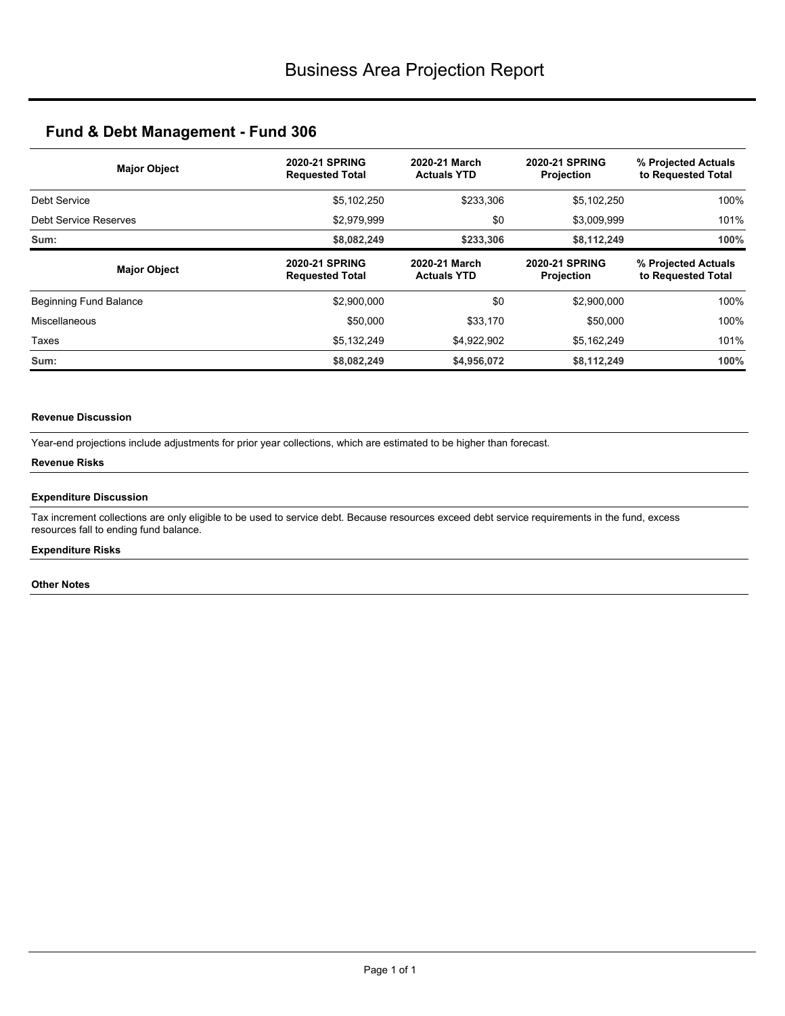| <b>Major Object</b>          | <b>2020-21 SPRING</b><br><b>Requested Total</b> | 2020-21 March<br><b>Actuals YTD</b> |                                            | % Projected Actuals<br>to Requested Total |  |
|------------------------------|-------------------------------------------------|-------------------------------------|--------------------------------------------|-------------------------------------------|--|
| Debt Service                 | \$5,102,250                                     | \$233,306                           | \$5,102,250                                | 100%                                      |  |
| <b>Debt Service Reserves</b> | \$2,979,999                                     | \$0                                 | \$3,009,999                                | 101%                                      |  |
| Sum:                         | \$8,082,249                                     | \$233,306                           | \$8,112,249                                | 100%                                      |  |
| <b>Major Object</b>          | <b>2020-21 SPRING</b><br><b>Requested Total</b> | 2020-21 March<br><b>Actuals YTD</b> | <b>2020-21 SPRING</b><br><b>Projection</b> | % Projected Actuals<br>to Requested Total |  |
| Beginning Fund Balance       | \$2,900,000                                     | \$0                                 | \$2,900,000                                | 100%                                      |  |
| Miscellaneous                | \$50,000                                        | \$33,170                            | \$50,000                                   | 100%                                      |  |
| Taxes                        | \$5,132,249                                     | \$4,922,902                         | \$5,162,249                                | 101%                                      |  |
| Sum:                         | \$8,082,249                                     | \$4,956,072                         | \$8,112,249                                | 100%                                      |  |

### **Revenue Discussion**

Year-end projections include adjustments for prior year collections, which are estimated to be higher than forecast.

### **Revenue Risks**

### **Expenditure Discussion**

Tax increment collections are only eligible to be used to service debt. Because resources exceed debt service requirements in the fund, excess resources fall to ending fund balance.

## **Expenditure Risks**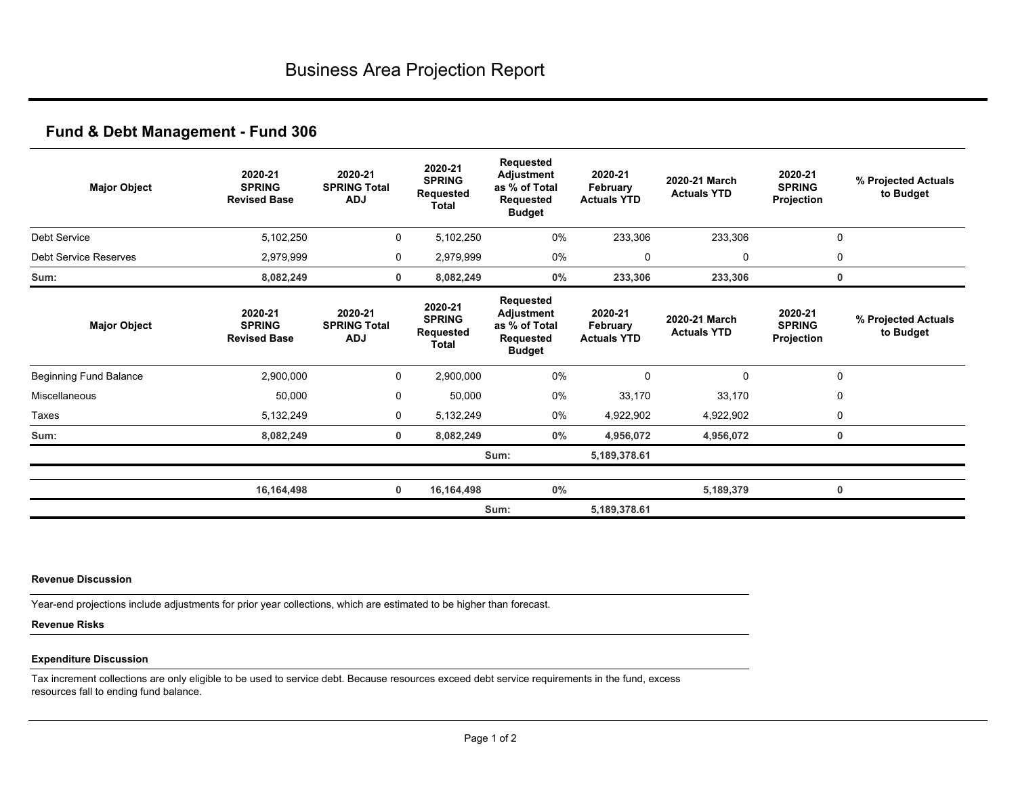| <b>Major Object</b>           | 2020-21<br><b>SPRING</b><br><b>Revised Base</b> | 2020-21<br><b>SPRING Total</b><br><b>ADJ</b> | 2020-21<br><b>SPRING</b><br>Requested<br><b>Total</b> | Requested<br><b>Adjustment</b><br>as % of Total<br><b>Requested</b><br><b>Budget</b> | 2020-21<br>February<br><b>Actuals YTD</b> | 2020-21 March<br><b>Actuals YTD</b> | 2020-21<br><b>SPRING</b><br>Projection | % Projected Actuals<br>to Budget |
|-------------------------------|-------------------------------------------------|----------------------------------------------|-------------------------------------------------------|--------------------------------------------------------------------------------------|-------------------------------------------|-------------------------------------|----------------------------------------|----------------------------------|
| Debt Service                  | 5,102,250                                       | 0                                            | 5,102,250                                             | $0\%$                                                                                | 233,306                                   | 233,306                             | 0                                      |                                  |
| <b>Debt Service Reserves</b>  | 2,979,999                                       | 0                                            | 2,979,999                                             | 0%                                                                                   | 0                                         | 0                                   | 0                                      |                                  |
| Sum:                          | 8,082,249                                       | 0                                            | 8,082,249                                             | $0\%$                                                                                | 233,306                                   | 233,306                             | 0                                      |                                  |
| <b>Major Object</b>           | 2020-21<br><b>SPRING</b><br><b>Revised Base</b> | 2020-21<br><b>SPRING Total</b><br><b>ADJ</b> | 2020-21<br><b>SPRING</b><br>Requested<br>Total        | Requested<br>Adjustment<br>as % of Total<br>Requested<br><b>Budget</b>               | 2020-21<br>February<br><b>Actuals YTD</b> | 2020-21 March<br><b>Actuals YTD</b> | 2020-21<br><b>SPRING</b><br>Projection | % Projected Actuals<br>to Budget |
| <b>Beginning Fund Balance</b> | 2,900,000                                       | 0                                            | 2,900,000                                             | 0%                                                                                   | 0                                         | 0                                   | 0                                      |                                  |
| Miscellaneous                 | 50,000                                          | 0                                            | 50,000                                                | 0%                                                                                   | 33,170                                    | 33,170                              | 0                                      |                                  |
| Taxes                         | 5,132,249                                       | $\mathbf 0$                                  | 5,132,249                                             | $0\%$                                                                                | 4,922,902                                 | 4,922,902                           | 0                                      |                                  |
| Sum:                          | 8,082,249                                       | $\mathbf 0$                                  | 8,082,249                                             | $0\%$                                                                                | 4,956,072                                 | 4,956,072                           | 0                                      |                                  |
|                               |                                                 |                                              |                                                       | Sum:                                                                                 | 5,189,378.61                              |                                     |                                        |                                  |
|                               | 16,164,498                                      | $\mathbf 0$                                  | 16,164,498                                            | 0%                                                                                   |                                           | 5,189,379                           | 0                                      |                                  |
|                               |                                                 |                                              |                                                       | Sum:                                                                                 | 5,189,378.61                              |                                     |                                        |                                  |

### **Revenue Discussion**

Year-end projections include adjustments for prior year collections, which are estimated to be higher than forecast.

## **Revenue Risks**

## **Expenditure Discussion**

Tax increment collections are only eligible to be used to service debt. Because resources exceed debt service requirements in the fund, excess resources fall to ending fund balance.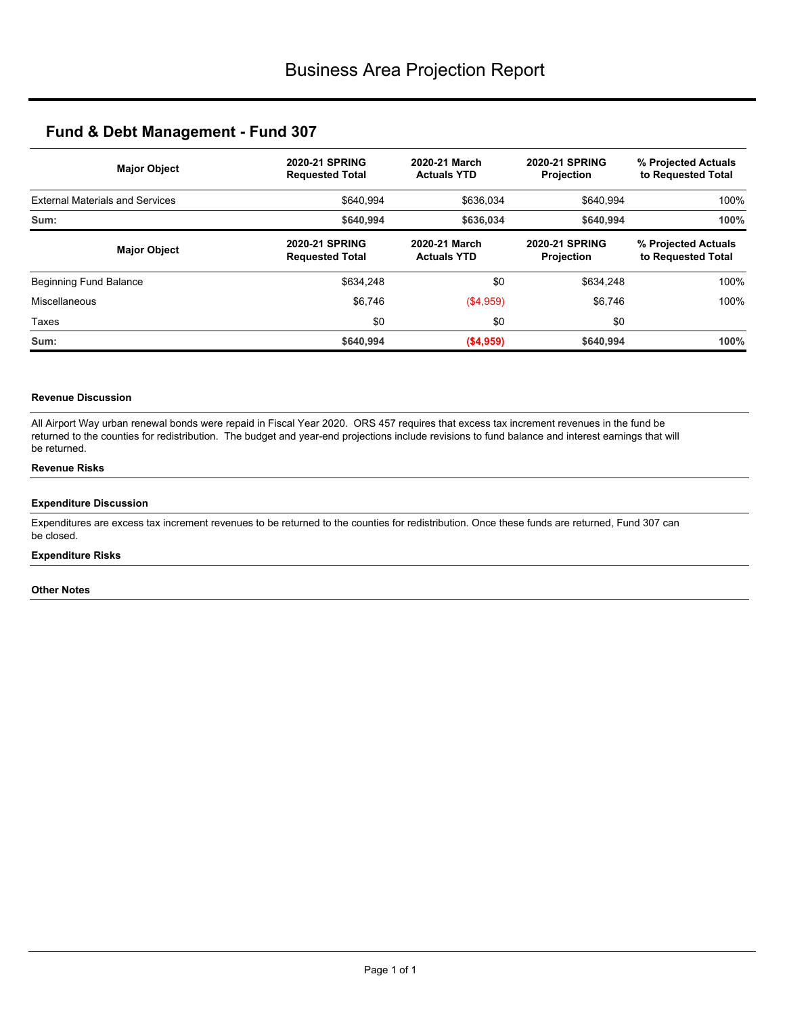| <b>Major Object</b>                    | <b>2020-21 SPRING</b><br><b>Requested Total</b> | 2020-21 March<br><b>Actuals YTD</b> | <b>2020-21 SPRING</b><br>Projection        | % Projected Actuals<br>to Requested Total<br>100% |  |
|----------------------------------------|-------------------------------------------------|-------------------------------------|--------------------------------------------|---------------------------------------------------|--|
| <b>External Materials and Services</b> | \$640.994                                       | \$636,034                           | \$640.994                                  |                                                   |  |
| Sum:                                   | \$640.994                                       | \$636,034                           | \$640.994                                  | 100%                                              |  |
| <b>Major Object</b>                    | <b>2020-21 SPRING</b><br><b>Requested Total</b> | 2020-21 March<br><b>Actuals YTD</b> | <b>2020-21 SPRING</b><br><b>Projection</b> | % Projected Actuals<br>to Requested Total         |  |
| Beginning Fund Balance                 | \$634,248                                       | \$0                                 | \$634,248                                  | 100%                                              |  |
| Miscellaneous                          | \$6,746                                         | (\$4,959)                           | \$6,746                                    | 100%                                              |  |
| Taxes                                  | \$0                                             | \$0                                 | \$0                                        |                                                   |  |
| Sum:                                   | \$640.994                                       | ( \$4,959)                          | \$640,994                                  | 100%                                              |  |

### **Revenue Discussion**

All Airport Way urban renewal bonds were repaid in Fiscal Year 2020. ORS 457 requires that excess tax increment revenues in the fund be returned to the counties for redistribution. The budget and year-end projections include revisions to fund balance and interest earnings that will be returned.

### **Revenue Risks**

#### **Expenditure Discussion**

Expenditures are excess tax increment revenues to be returned to the counties for redistribution. Once these funds are returned, Fund 307 can be closed.

#### **Expenditure Risks**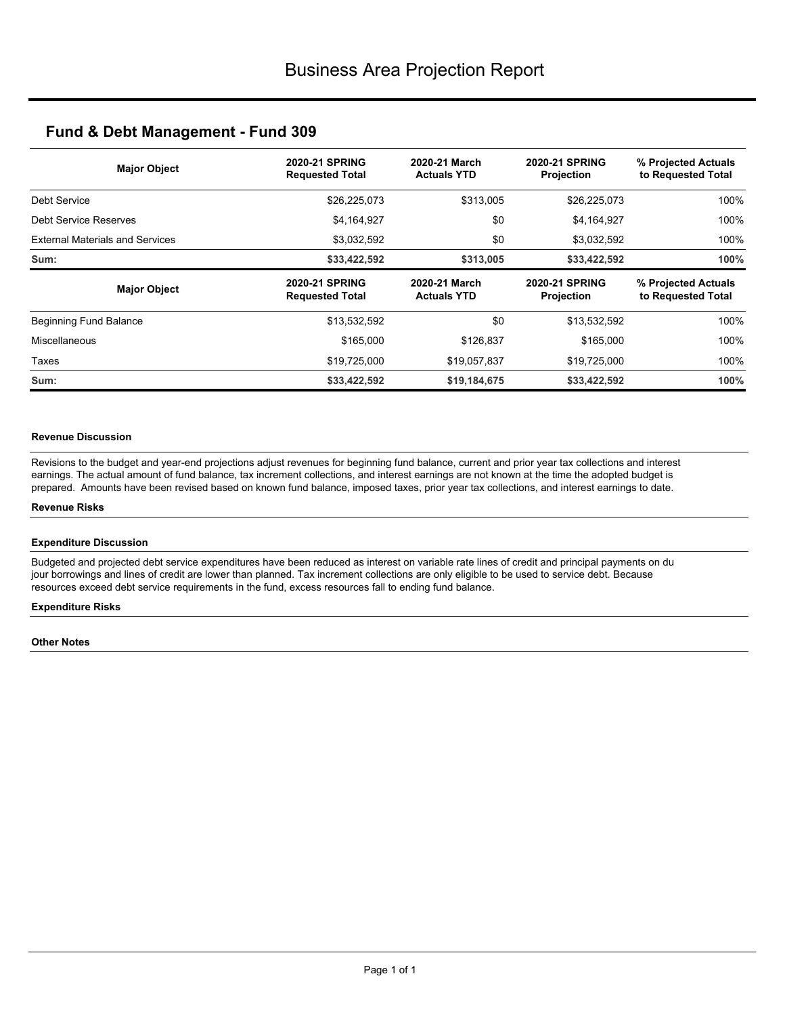| <b>Major Object</b>                    | <b>2020-21 SPRING</b><br><b>Requested Total</b> | 2020-21 March<br><b>Actuals YTD</b> | <b>2020-21 SPRING</b><br>Projection | % Projected Actuals<br>to Requested Total |  |
|----------------------------------------|-------------------------------------------------|-------------------------------------|-------------------------------------|-------------------------------------------|--|
| Debt Service                           | \$26,225,073                                    | \$313,005                           | \$26,225,073                        | 100%                                      |  |
| Debt Service Reserves                  | \$4,164,927                                     | \$0                                 | \$4,164,927                         | 100%                                      |  |
| <b>External Materials and Services</b> | \$3,032,592                                     | \$0                                 | \$3,032,592                         | 100%                                      |  |
| Sum:                                   | \$33,422,592                                    | \$313,005                           | \$33,422,592                        | 100%                                      |  |
|                                        |                                                 |                                     |                                     |                                           |  |
| <b>Major Object</b>                    | <b>2020-21 SPRING</b><br><b>Requested Total</b> | 2020-21 March<br><b>Actuals YTD</b> | <b>2020-21 SPRING</b><br>Projection | % Projected Actuals<br>to Requested Total |  |
| Beginning Fund Balance                 | \$13,532,592                                    | \$0                                 | \$13,532,592                        | 100%                                      |  |
| Miscellaneous                          | \$165,000                                       | \$126.837                           | \$165,000                           | 100%                                      |  |
| Taxes                                  | \$19,725,000                                    | \$19,057,837                        | \$19,725,000                        | 100%                                      |  |

### **Revenue Discussion**

Revisions to the budget and year-end projections adjust revenues for beginning fund balance, current and prior year tax collections and interest earnings. The actual amount of fund balance, tax increment collections, and interest earnings are not known at the time the adopted budget is prepared. Amounts have been revised based on known fund balance, imposed taxes, prior year tax collections, and interest earnings to date.

### **Revenue Risks**

### **Expenditure Discussion**

Budgeted and projected debt service expenditures have been reduced as interest on variable rate lines of credit and principal payments on du jour borrowings and lines of credit are lower than planned. Tax increment collections are only eligible to be used to service debt. Because resources exceed debt service requirements in the fund, excess resources fall to ending fund balance.

### **Expenditure Risks**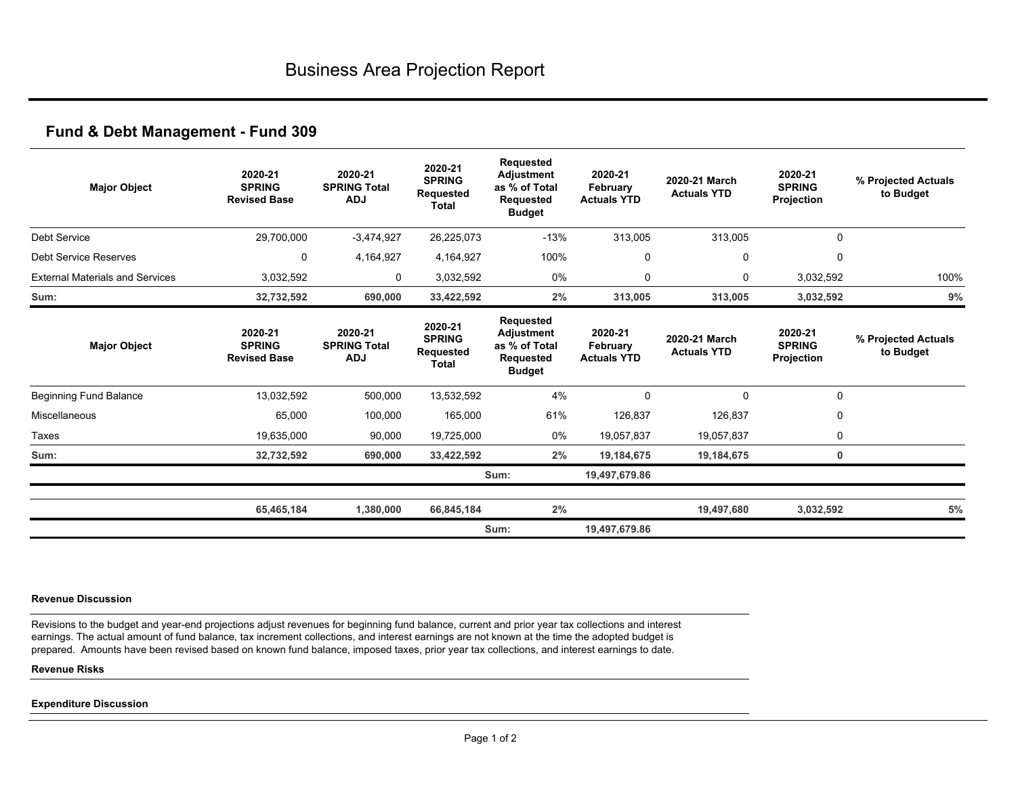| <b>Major Object</b>                    | 2020-21<br><b>SPRING</b><br><b>Revised Base</b> | 2020-21<br><b>SPRING Total</b><br><b>ADJ</b> | 2020-21<br><b>SPRING</b><br><b>Requested</b><br><b>Total</b> | <b>Requested</b><br><b>Adjustment</b><br>as % of Total<br><b>Requested</b><br><b>Budget</b> | 2020-21<br>February<br><b>Actuals YTD</b> | 2020-21 March<br><b>Actuals YTD</b> | 2020-21<br><b>SPRING</b><br>Projection | % Projected Actuals<br>to Budget |
|----------------------------------------|-------------------------------------------------|----------------------------------------------|--------------------------------------------------------------|---------------------------------------------------------------------------------------------|-------------------------------------------|-------------------------------------|----------------------------------------|----------------------------------|
| <b>Debt Service</b>                    | 29,700,000                                      | $-3,474,927$                                 | 26,225,073                                                   | $-13%$                                                                                      | 313,005                                   | 313,005                             | $\mathbf 0$                            |                                  |
| <b>Debt Service Reserves</b>           | 0                                               | 4,164,927                                    | 4,164,927                                                    | 100%                                                                                        | 0                                         | 0                                   | 0                                      |                                  |
| <b>External Materials and Services</b> | 3,032,592                                       | 0                                            | 3,032,592                                                    | 0%                                                                                          | 0                                         | $\mathbf{0}$                        | 3,032,592                              | 100%                             |
| Sum:                                   | 32,732,592                                      | 690,000                                      | 33,422,592                                                   | 2%                                                                                          | 313,005                                   | 313,005                             | 3,032,592                              | 9%                               |
| <b>Major Object</b>                    | 2020-21<br><b>SPRING</b><br><b>Revised Base</b> | 2020-21<br><b>SPRING Total</b><br><b>ADJ</b> | 2020-21<br><b>SPRING</b><br><b>Requested</b><br><b>Total</b> | <b>Requested</b><br><b>Adjustment</b><br>as % of Total<br><b>Requested</b><br><b>Budget</b> | 2020-21<br>February<br><b>Actuals YTD</b> | 2020-21 March<br><b>Actuals YTD</b> | 2020-21<br><b>SPRING</b><br>Projection | % Projected Actuals<br>to Budget |
| <b>Beginning Fund Balance</b>          | 13,032,592                                      | 500,000                                      | 13,532,592                                                   | 4%                                                                                          | 0                                         | $\Omega$                            | $\mathbf 0$                            |                                  |
| Miscellaneous                          | 65,000                                          | 100,000                                      | 165,000                                                      | 61%                                                                                         | 126,837                                   | 126,837                             | 0                                      |                                  |
| Taxes                                  | 19,635,000                                      | 90,000                                       | 19,725,000                                                   | 0%                                                                                          | 19,057,837                                | 19,057,837                          | 0                                      |                                  |
| Sum:                                   | 32,732,592                                      | 690,000                                      | 33,422,592                                                   | 2%                                                                                          | 19,184,675                                | 19,184,675                          | $\mathbf 0$                            |                                  |
|                                        |                                                 |                                              |                                                              | Sum:                                                                                        | 19,497,679.86                             |                                     |                                        |                                  |
|                                        | 65,465,184                                      | 1,380,000                                    | 66,845,184                                                   | 2%                                                                                          |                                           | 19,497,680                          | 3,032,592                              | 5%                               |
|                                        |                                                 |                                              |                                                              | Sum:                                                                                        | 19,497,679.86                             |                                     |                                        |                                  |

#### **Revenue Discussion**

Revisions to the budget and year-end projections adjust revenues for beginning fund balance, current and prior year tax collections and interest earnings. The actual amount of fund balance, tax increment collections, and interest earnings are not known at the time the adopted budget is prepared. Amounts have been revised based on known fund balance, imposed taxes, prior year tax collections, and interest earnings to date.

### **Revenue Risks**

#### **Expenditure Discussion**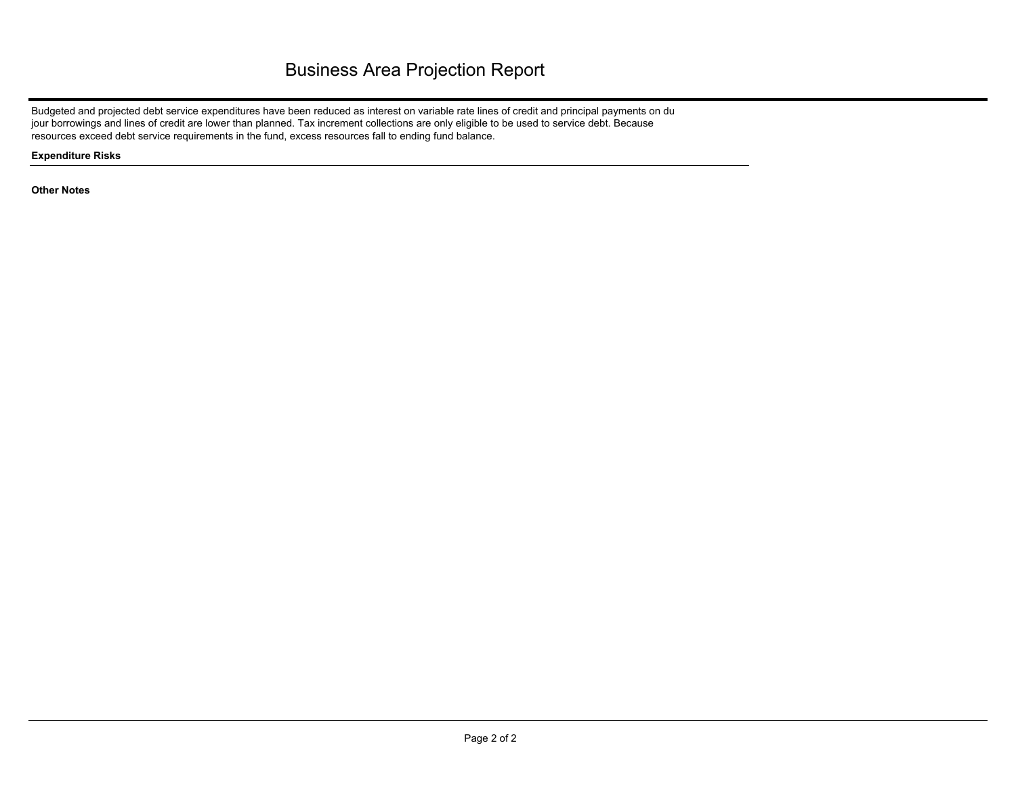# Business Area Projection Report

Budgeted and projected debt service expenditures have been reduced as interest on variable rate lines of credit and principal payments on du jour borrowings and lines of credit are lower than planned. Tax increment collections are only eligible to be used to service debt. Because resources exceed debt service requirements in the fund, excess resources fall to ending fund balance.

**Expenditure Risks**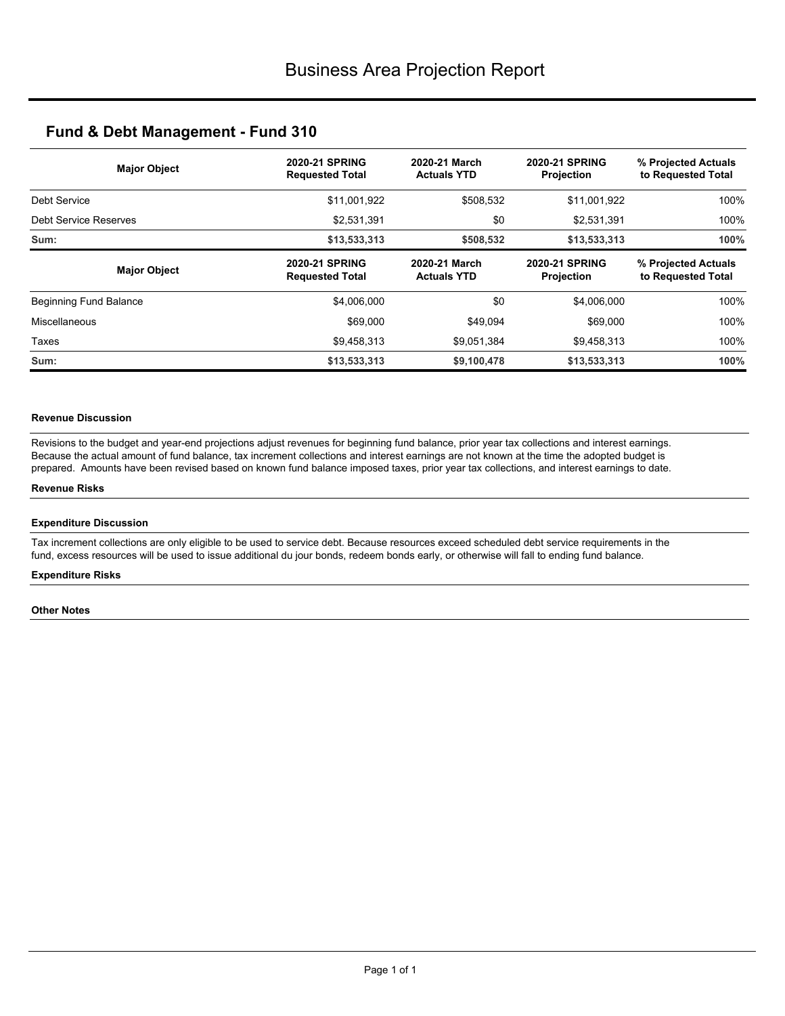| <b>Major Object</b>           | <b>2020-21 SPRING</b><br><b>Requested Total</b> | 2020-21 March<br><b>Actuals YTD</b> | <b>2020-21 SPRING</b><br><b>Projection</b> | % Projected Actuals<br>to Requested Total |  |
|-------------------------------|-------------------------------------------------|-------------------------------------|--------------------------------------------|-------------------------------------------|--|
| Debt Service                  | \$11,001,922                                    | \$508,532                           | \$11,001,922                               | 100%                                      |  |
| Debt Service Reserves         | \$2,531,391                                     | \$0                                 | \$2,531,391                                | 100%                                      |  |
| Sum:                          | \$13,533,313                                    | \$508,532                           | \$13,533,313                               | 100%                                      |  |
| <b>Major Object</b>           | <b>2020-21 SPRING</b><br><b>Requested Total</b> | 2020-21 March<br><b>Actuals YTD</b> | <b>2020-21 SPRING</b><br><b>Projection</b> | % Projected Actuals<br>to Requested Total |  |
| <b>Beginning Fund Balance</b> | \$4,006,000                                     | \$0                                 | \$4,006,000                                | 100%                                      |  |
| Miscellaneous                 | \$69,000                                        | \$49,094                            | \$69,000                                   | 100%                                      |  |
| Taxes                         | \$9,458,313                                     | \$9,051,384                         | \$9,458,313                                | 100%                                      |  |
| Sum:                          | \$13,533,313                                    | \$9,100,478                         | \$13,533,313                               | 100%                                      |  |

## **Revenue Discussion**

Revisions to the budget and year-end projections adjust revenues for beginning fund balance, prior year tax collections and interest earnings. Because the actual amount of fund balance, tax increment collections and interest earnings are not known at the time the adopted budget is prepared. Amounts have been revised based on known fund balance imposed taxes, prior year tax collections, and interest earnings to date.

### **Revenue Risks**

### **Expenditure Discussion**

Tax increment collections are only eligible to be used to service debt. Because resources exceed scheduled debt service requirements in the fund, excess resources will be used to issue additional du jour bonds, redeem bonds early, or otherwise will fall to ending fund balance.

#### **Expenditure Risks**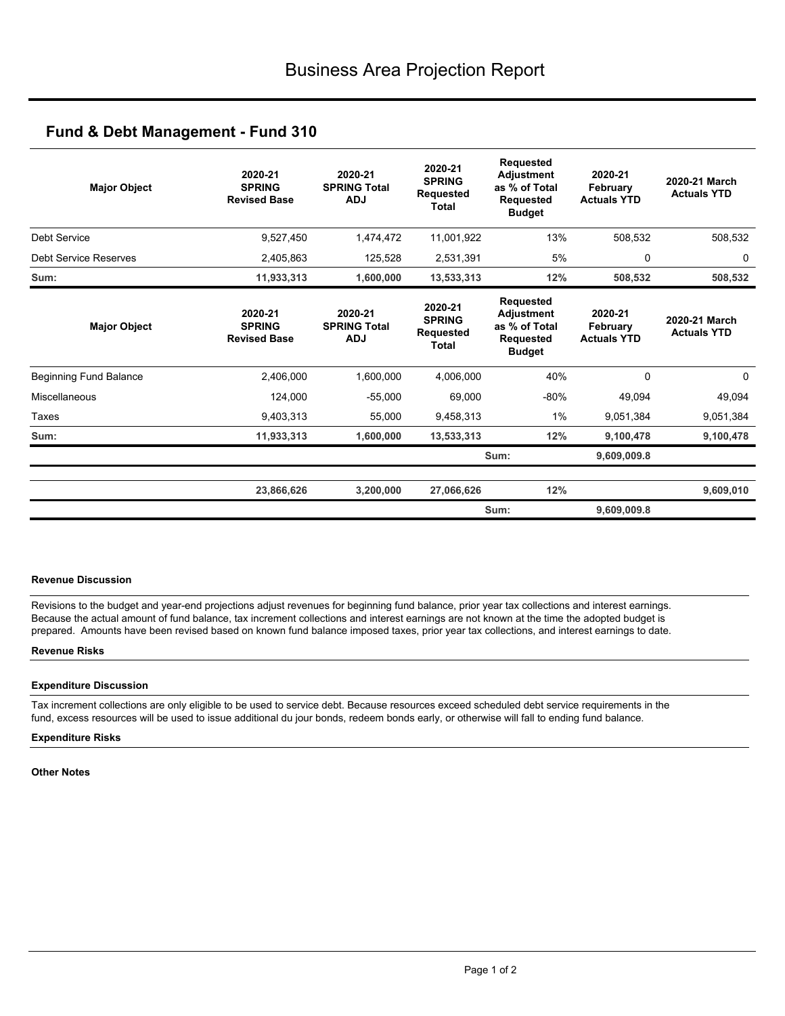| <b>Major Object</b>           | 2020-21<br><b>SPRING</b><br><b>Revised Base</b> | 2020-21<br><b>SPRING Total</b><br><b>ADJ</b> | 2020-21<br><b>SPRING</b><br>Requested<br><b>Total</b>        | <b>Requested</b><br><b>Adjustment</b><br>as % of Total<br><b>Requested</b><br><b>Budget</b> | 2020-21<br>February<br><b>Actuals YTD</b> | 2020-21 March<br><b>Actuals YTD</b> |
|-------------------------------|-------------------------------------------------|----------------------------------------------|--------------------------------------------------------------|---------------------------------------------------------------------------------------------|-------------------------------------------|-------------------------------------|
| Debt Service                  | 9,527,450                                       | 1,474,472                                    | 11,001,922                                                   | 13%                                                                                         | 508,532                                   | 508,532                             |
| <b>Debt Service Reserves</b>  | 2,405,863                                       | 125,528                                      | 2,531,391                                                    | 5%                                                                                          | 0                                         | 0                                   |
| Sum:                          | 11,933,313                                      | 1,600,000                                    | 13,533,313                                                   | 12%                                                                                         | 508,532                                   | 508,532                             |
| <b>Major Object</b>           | 2020-21<br><b>SPRING</b><br><b>Revised Base</b> | 2020-21<br><b>SPRING Total</b><br><b>ADJ</b> | 2020-21<br><b>SPRING</b><br><b>Requested</b><br><b>Total</b> | <b>Requested</b><br><b>Adjustment</b><br>as % of Total<br><b>Requested</b><br><b>Budget</b> | 2020-21<br>February<br><b>Actuals YTD</b> | 2020-21 March<br><b>Actuals YTD</b> |
| <b>Beginning Fund Balance</b> | 2,406,000                                       | 1,600,000                                    | 4,006,000                                                    | 40%                                                                                         | $\Omega$                                  | 0                                   |
| Miscellaneous                 | 124,000                                         | $-55,000$                                    | 69,000                                                       | $-80%$                                                                                      | 49,094                                    | 49,094                              |
| Taxes                         | 9,403,313                                       | 55,000                                       | 9,458,313                                                    | $1\%$                                                                                       | 9,051,384                                 | 9,051,384                           |
| Sum:                          | 11,933,313                                      | 1,600,000                                    | 13,533,313                                                   | 12%                                                                                         | 9,100,478                                 | 9,100,478                           |
|                               |                                                 |                                              |                                                              | Sum:                                                                                        | 9,609,009.8                               |                                     |
|                               | 23,866,626                                      | 3,200,000                                    | 27,066,626                                                   | 12%                                                                                         |                                           | 9,609,010                           |
|                               |                                                 |                                              |                                                              | Sum:                                                                                        | 9,609,009.8                               |                                     |

## **Revenue Discussion**

Revisions to the budget and year-end projections adjust revenues for beginning fund balance, prior year tax collections and interest earnings. Because the actual amount of fund balance, tax increment collections and interest earnings are not known at the time the adopted budget is prepared. Amounts have been revised based on known fund balance imposed taxes, prior year tax collections, and interest earnings to date.

### **Revenue Risks**

### **Expenditure Discussion**

Tax increment collections are only eligible to be used to service debt. Because resources exceed scheduled debt service requirements in the fund, excess resources will be used to issue additional du jour bonds, redeem bonds early, or otherwise will fall to ending fund balance.

#### **Expenditure Risks**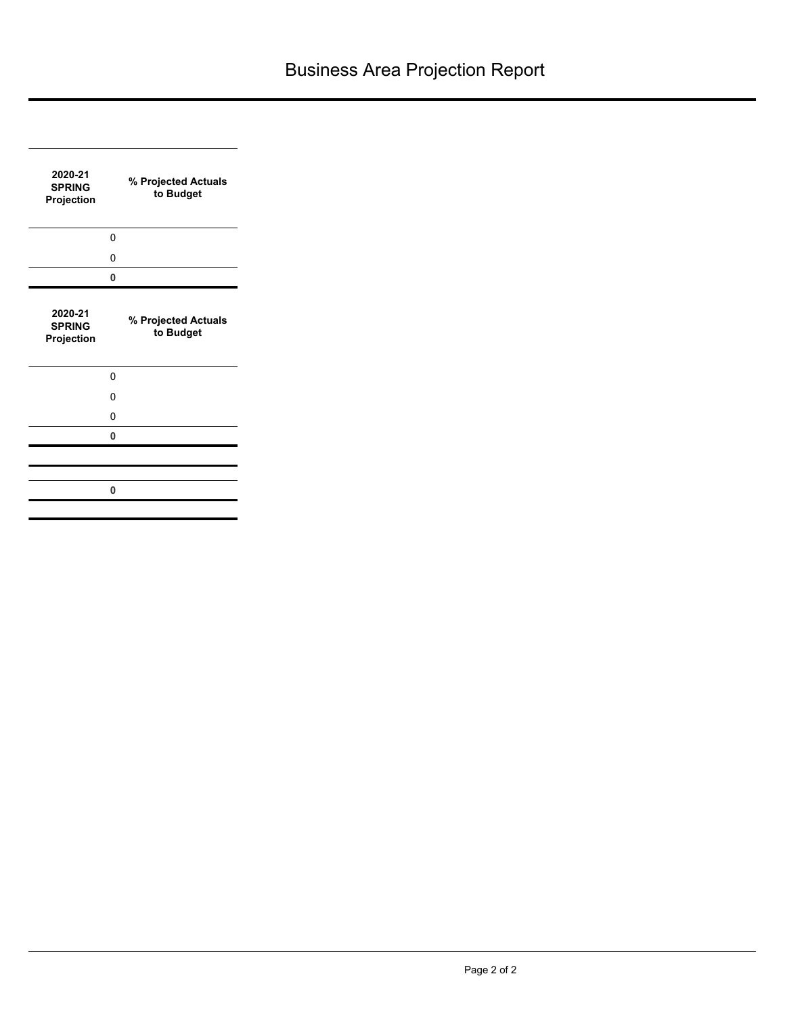| 2020-21<br><b>SPRING</b><br>Projection |   | % Projected Actuals<br>to Budget |
|----------------------------------------|---|----------------------------------|
|                                        | 0 |                                  |
|                                        | 0 |                                  |
|                                        | 0 |                                  |
| 2020-21<br><b>SPRING</b><br>Projection |   | % Projected Actuals<br>to Budget |
|                                        | 0 |                                  |
|                                        | 0 |                                  |
|                                        | 0 |                                  |
|                                        | 0 |                                  |
|                                        |   |                                  |
|                                        | 0 |                                  |
|                                        |   |                                  |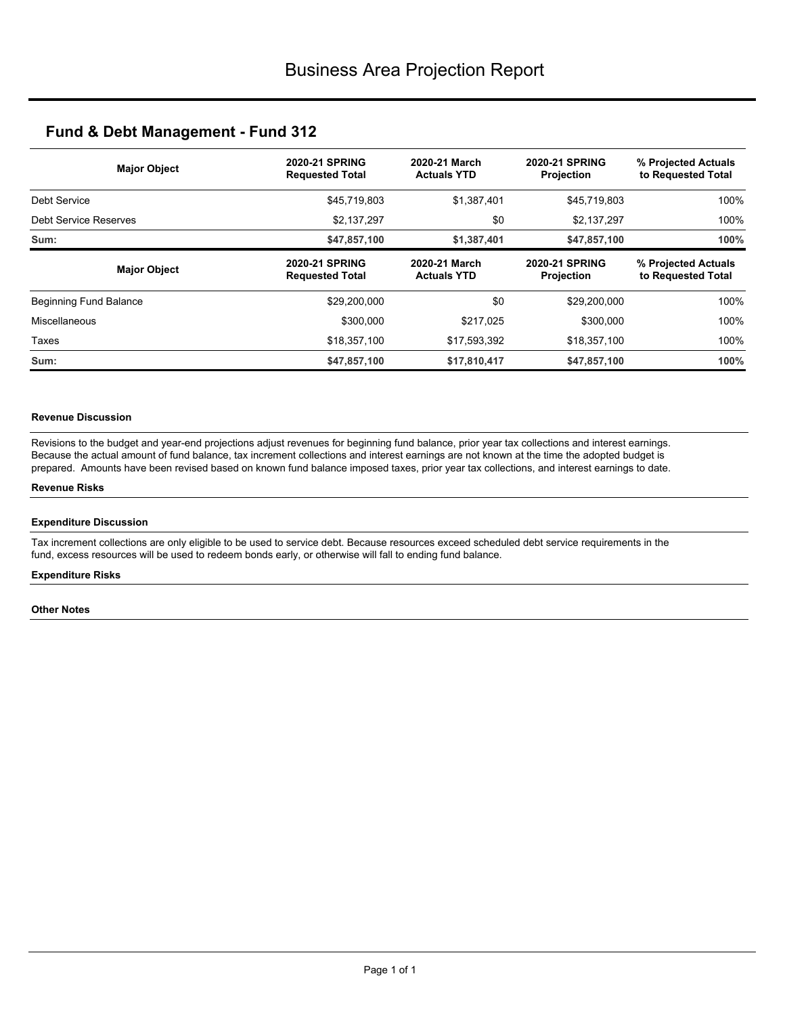| <b>Major Object</b>    | <b>2020-21 SPRING</b><br><b>Requested Total</b> | 2020-21 March<br><b>Actuals YTD</b> | <b>2020-21 SPRING</b><br><b>Projection</b> | % Projected Actuals<br>to Requested Total |  |
|------------------------|-------------------------------------------------|-------------------------------------|--------------------------------------------|-------------------------------------------|--|
| Debt Service           | \$45,719,803                                    | \$1,387,401                         | \$45,719,803                               | 100%                                      |  |
| Debt Service Reserves  | \$2,137,297                                     | \$0                                 | \$2,137,297                                | 100%                                      |  |
| Sum:                   | \$47,857,100                                    | \$1,387,401                         | \$47,857,100                               | 100%                                      |  |
| <b>Major Object</b>    | <b>2020-21 SPRING</b><br><b>Requested Total</b> | 2020-21 March<br><b>Actuals YTD</b> | <b>2020-21 SPRING</b><br><b>Projection</b> | % Projected Actuals<br>to Requested Total |  |
| Beginning Fund Balance | \$29,200,000                                    | \$0                                 | \$29,200,000                               | 100%                                      |  |
| Miscellaneous          | \$300,000                                       | \$217,025                           | \$300,000                                  | 100%                                      |  |
| Taxes                  | \$18,357,100                                    | \$17,593,392                        | \$18,357,100                               | 100%                                      |  |
| Sum:                   | \$47,857,100                                    | \$17,810,417                        | \$47,857,100                               | 100%                                      |  |

## **Revenue Discussion**

Revisions to the budget and year-end projections adjust revenues for beginning fund balance, prior year tax collections and interest earnings. Because the actual amount of fund balance, tax increment collections and interest earnings are not known at the time the adopted budget is prepared. Amounts have been revised based on known fund balance imposed taxes, prior year tax collections, and interest earnings to date.

### **Revenue Risks**

### **Expenditure Discussion**

Tax increment collections are only eligible to be used to service debt. Because resources exceed scheduled debt service requirements in the fund, excess resources will be used to redeem bonds early, or otherwise will fall to ending fund balance.

#### **Expenditure Risks**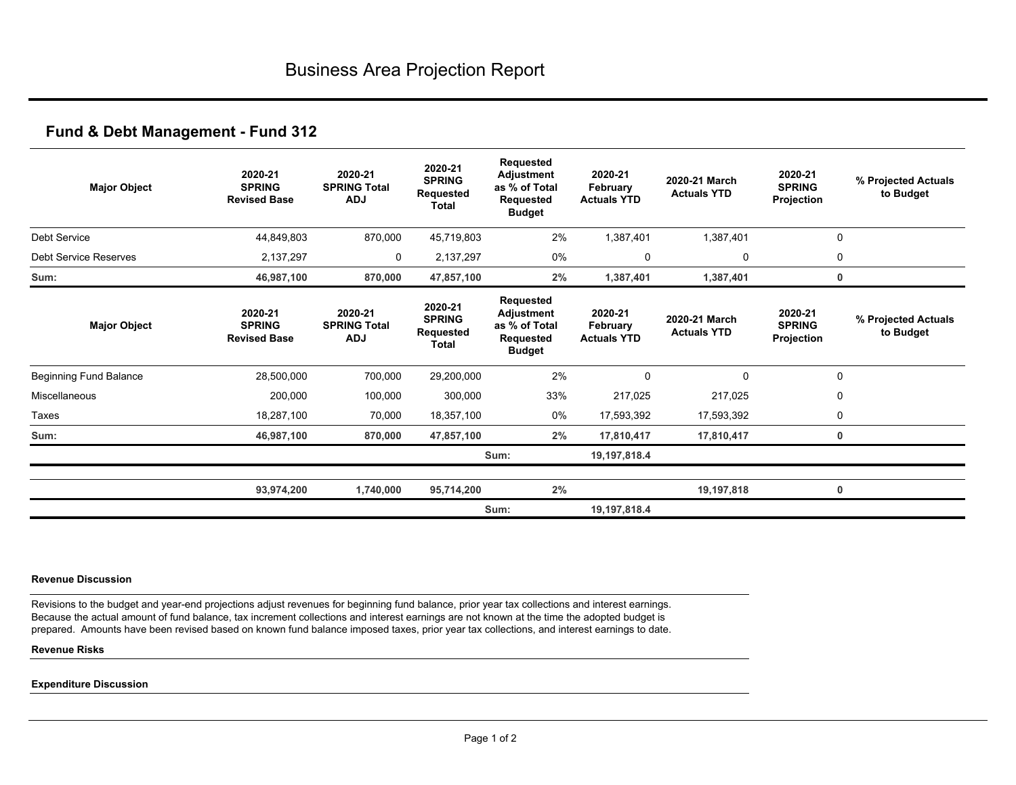| <b>Major Object</b>    | 2020-21<br><b>SPRING</b><br><b>Revised Base</b> | 2020-21<br><b>SPRING Total</b><br><b>ADJ</b> | 2020-21<br><b>SPRING</b><br><b>Requested</b><br><b>Total</b> | Requested<br><b>Adjustment</b><br>as % of Total<br>Requested<br><b>Budget</b> | 2020-21<br>February<br><b>Actuals YTD</b> | 2020-21 March<br><b>Actuals YTD</b> | 2020-21<br><b>SPRING</b><br>Projection | % Projected Actuals<br>to Budget |
|------------------------|-------------------------------------------------|----------------------------------------------|--------------------------------------------------------------|-------------------------------------------------------------------------------|-------------------------------------------|-------------------------------------|----------------------------------------|----------------------------------|
| Debt Service           | 44,849,803                                      | 870,000                                      | 45,719,803                                                   | 2%                                                                            | 1,387,401                                 | 1,387,401                           |                                        | $\mathbf 0$                      |
| Debt Service Reserves  | 2,137,297                                       | 0                                            | 2,137,297                                                    | 0%                                                                            | 0                                         | 0                                   |                                        | 0                                |
| Sum:                   | 46,987,100                                      | 870,000                                      | 47,857,100                                                   | 2%                                                                            | 1,387,401                                 | 1,387,401                           |                                        | 0                                |
| <b>Major Object</b>    | 2020-21<br><b>SPRING</b><br><b>Revised Base</b> | 2020-21<br><b>SPRING Total</b><br><b>ADJ</b> | 2020-21<br><b>SPRING</b><br>Requested<br><b>Total</b>        | Requested<br>Adjustment<br>as % of Total<br>Requested<br><b>Budget</b>        | 2020-21<br>February<br><b>Actuals YTD</b> | 2020-21 March<br><b>Actuals YTD</b> | 2020-21<br><b>SPRING</b><br>Projection | % Projected Actuals<br>to Budget |
| Beginning Fund Balance | 28,500,000                                      | 700,000                                      | 29,200,000                                                   | 2%                                                                            | $\Omega$                                  | 0                                   |                                        | $\mathbf 0$                      |
| Miscellaneous          | 200,000                                         | 100,000                                      | 300,000                                                      | 33%                                                                           | 217,025                                   | 217,025                             |                                        | 0                                |
| Taxes                  | 18,287,100                                      | 70,000                                       | 18,357,100                                                   | 0%                                                                            | 17,593,392                                | 17,593,392                          |                                        | 0                                |
| Sum:                   | 46,987,100                                      | 870,000                                      | 47,857,100                                                   | 2%                                                                            | 17,810,417                                | 17,810,417                          |                                        | 0                                |
|                        |                                                 |                                              |                                                              | Sum:                                                                          | 19,197,818.4                              |                                     |                                        |                                  |
|                        | 93,974,200                                      | 1,740,000                                    | 95,714,200                                                   | 2%                                                                            |                                           | 19,197,818                          |                                        | 0                                |
|                        |                                                 |                                              |                                                              | Sum:                                                                          | 19,197,818.4                              |                                     |                                        |                                  |

#### **Revenue Discussion**

Revisions to the budget and year-end projections adjust revenues for beginning fund balance, prior year tax collections and interest earnings. Because the actual amount of fund balance, tax increment collections and interest earnings are not known at the time the adopted budget is prepared. Amounts have been revised based on known fund balance imposed taxes, prior year tax collections, and interest earnings to date.

### **Revenue Risks**

### **Expenditure Discussion**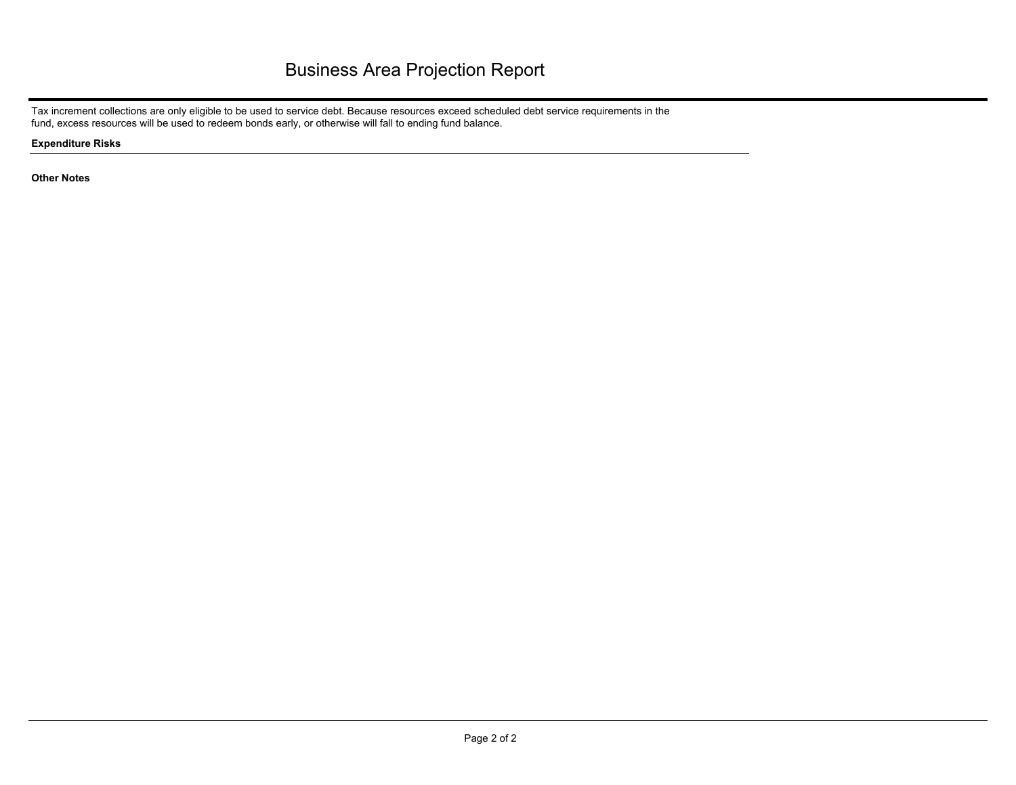Tax increment collections are only eligible to be used to service debt. Because resources exceed scheduled debt service requirements in the fund, excess resources will be used to redeem bonds early, or otherwise will fall to ending fund balance.

**Expenditure Risks**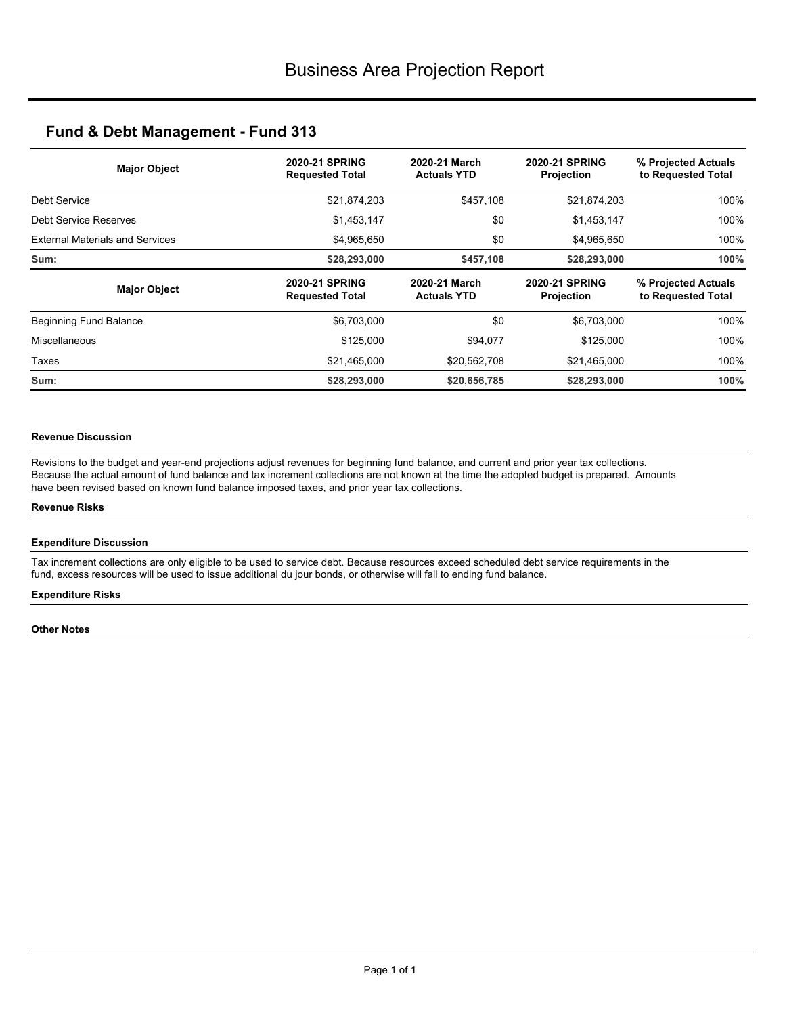| <b>Major Object</b>                    | <b>2020-21 SPRING</b><br><b>Requested Total</b> | 2020-21 March<br><b>Actuals YTD</b> | <b>2020-21 SPRING</b><br>Projection | % Projected Actuals<br>to Requested Total |
|----------------------------------------|-------------------------------------------------|-------------------------------------|-------------------------------------|-------------------------------------------|
| Debt Service                           | \$21,874,203                                    | \$457,108                           | \$21,874,203                        | 100%                                      |
| Debt Service Reserves                  | \$1,453,147                                     | \$0                                 | \$1,453,147                         | 100%                                      |
| <b>External Materials and Services</b> | \$4,965,650                                     | \$0                                 | \$4,965,650                         | 100%                                      |
| Sum:                                   | \$28,293,000                                    | \$457,108                           | \$28,293,000                        | 100%                                      |
|                                        |                                                 |                                     |                                     |                                           |
| <b>Major Object</b>                    | <b>2020-21 SPRING</b><br><b>Requested Total</b> | 2020-21 March<br><b>Actuals YTD</b> | <b>2020-21 SPRING</b><br>Projection | % Projected Actuals<br>to Requested Total |
| Beginning Fund Balance                 | \$6,703,000                                     | \$0                                 | \$6,703,000                         | 100%                                      |
| Miscellaneous                          | \$125,000                                       | \$94,077                            | \$125,000                           | 100%                                      |
| Taxes                                  | \$21,465,000                                    | \$20,562,708                        | \$21,465,000                        | 100%                                      |

### **Revenue Discussion**

Revisions to the budget and year-end projections adjust revenues for beginning fund balance, and current and prior year tax collections. Because the actual amount of fund balance and tax increment collections are not known at the time the adopted budget is prepared. Amounts have been revised based on known fund balance imposed taxes, and prior year tax collections.

### **Revenue Risks**

### **Expenditure Discussion**

Tax increment collections are only eligible to be used to service debt. Because resources exceed scheduled debt service requirements in the fund, excess resources will be used to issue additional du jour bonds, or otherwise will fall to ending fund balance.

### **Expenditure Risks**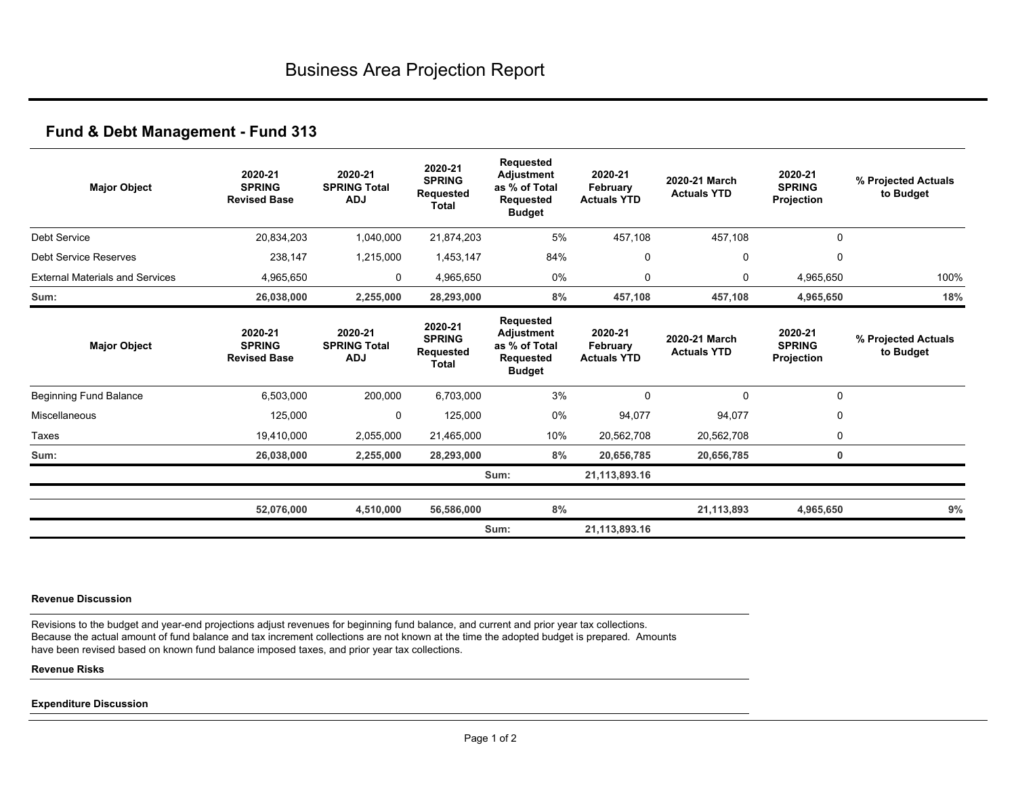| <b>Major Object</b>                    | 2020-21<br><b>SPRING</b><br><b>Revised Base</b> | 2020-21<br><b>SPRING Total</b><br><b>ADJ</b> | 2020-21<br><b>SPRING</b><br><b>Requested</b><br>Total        | Requested<br><b>Adjustment</b><br>as % of Total<br><b>Requested</b><br><b>Budget</b> | 2020-21<br>February<br><b>Actuals YTD</b> | 2020-21 March<br><b>Actuals YTD</b> | 2020-21<br><b>SPRING</b><br>Projection | % Projected Actuals<br>to Budget |
|----------------------------------------|-------------------------------------------------|----------------------------------------------|--------------------------------------------------------------|--------------------------------------------------------------------------------------|-------------------------------------------|-------------------------------------|----------------------------------------|----------------------------------|
| <b>Debt Service</b>                    | 20,834,203                                      | 1,040,000                                    | 21,874,203                                                   | 5%                                                                                   | 457,108                                   | 457,108                             | $\mathbf 0$                            |                                  |
| Debt Service Reserves                  | 238,147                                         | 1,215,000                                    | 1,453,147                                                    | 84%                                                                                  | 0                                         | 0                                   | 0                                      |                                  |
| <b>External Materials and Services</b> | 4,965,650                                       | 0                                            | 4,965,650                                                    | 0%                                                                                   | 0                                         | 0                                   | 4,965,650                              | 100%                             |
| Sum:                                   | 26,038,000                                      | 2,255,000                                    | 28,293,000                                                   | 8%                                                                                   | 457,108                                   | 457,108                             | 4,965,650                              | 18%                              |
| <b>Major Object</b>                    | 2020-21<br><b>SPRING</b><br><b>Revised Base</b> | 2020-21<br><b>SPRING Total</b><br><b>ADJ</b> | 2020-21<br><b>SPRING</b><br><b>Requested</b><br><b>Total</b> | Requested<br><b>Adjustment</b><br>as % of Total<br><b>Requested</b><br><b>Budget</b> | 2020-21<br>February<br><b>Actuals YTD</b> | 2020-21 March<br><b>Actuals YTD</b> | 2020-21<br><b>SPRING</b><br>Projection | % Projected Actuals<br>to Budget |
| Beginning Fund Balance                 | 6,503,000                                       | 200,000                                      | 6,703,000                                                    | 3%                                                                                   | $\mathbf 0$                               | $\mathbf 0$                         | $\mathbf 0$                            |                                  |
| Miscellaneous                          | 125,000                                         | 0                                            | 125,000                                                      | 0%                                                                                   | 94,077                                    | 94,077                              | 0                                      |                                  |
| Taxes                                  | 19,410,000                                      | 2,055,000                                    | 21,465,000                                                   | 10%                                                                                  | 20,562,708                                | 20,562,708                          | 0                                      |                                  |
| Sum:                                   | 26,038,000                                      | 2,255,000                                    | 28,293,000                                                   | 8%                                                                                   | 20,656,785                                | 20,656,785                          | 0                                      |                                  |
|                                        |                                                 |                                              |                                                              | Sum:                                                                                 | 21,113,893.16                             |                                     |                                        |                                  |
|                                        | 52,076,000                                      | 4,510,000                                    | 56,586,000                                                   | 8%                                                                                   |                                           | 21,113,893                          | 4,965,650                              | 9%                               |
|                                        |                                                 |                                              |                                                              | Sum:                                                                                 | 21,113,893.16                             |                                     |                                        |                                  |

#### **Revenue Discussion**

Revisions to the budget and year-end projections adjust revenues for beginning fund balance, and current and prior year tax collections. Because the actual amount of fund balance and tax increment collections are not known at the time the adopted budget is prepared. Amounts have been revised based on known fund balance imposed taxes, and prior year tax collections.

### **Revenue Risks**

#### **Expenditure Discussion**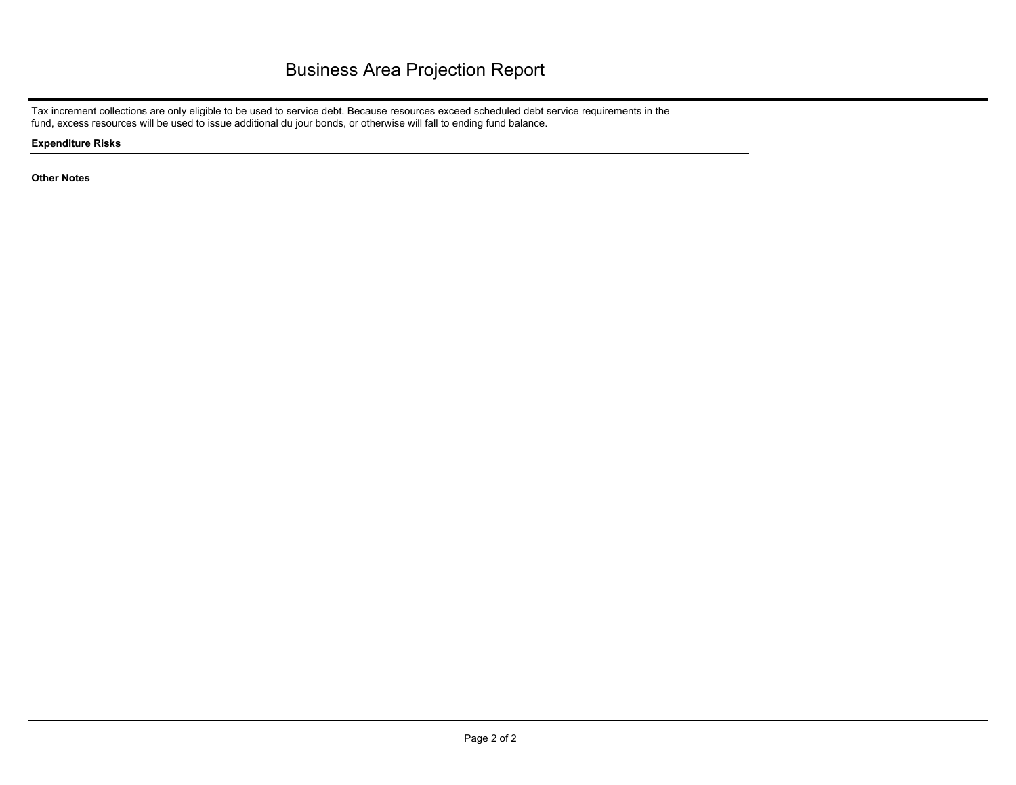Tax increment collections are only eligible to be used to service debt. Because resources exceed scheduled debt service requirements in the fund, excess resources will be used to issue additional du jour bonds, or otherwise will fall to ending fund balance.

**Expenditure Risks**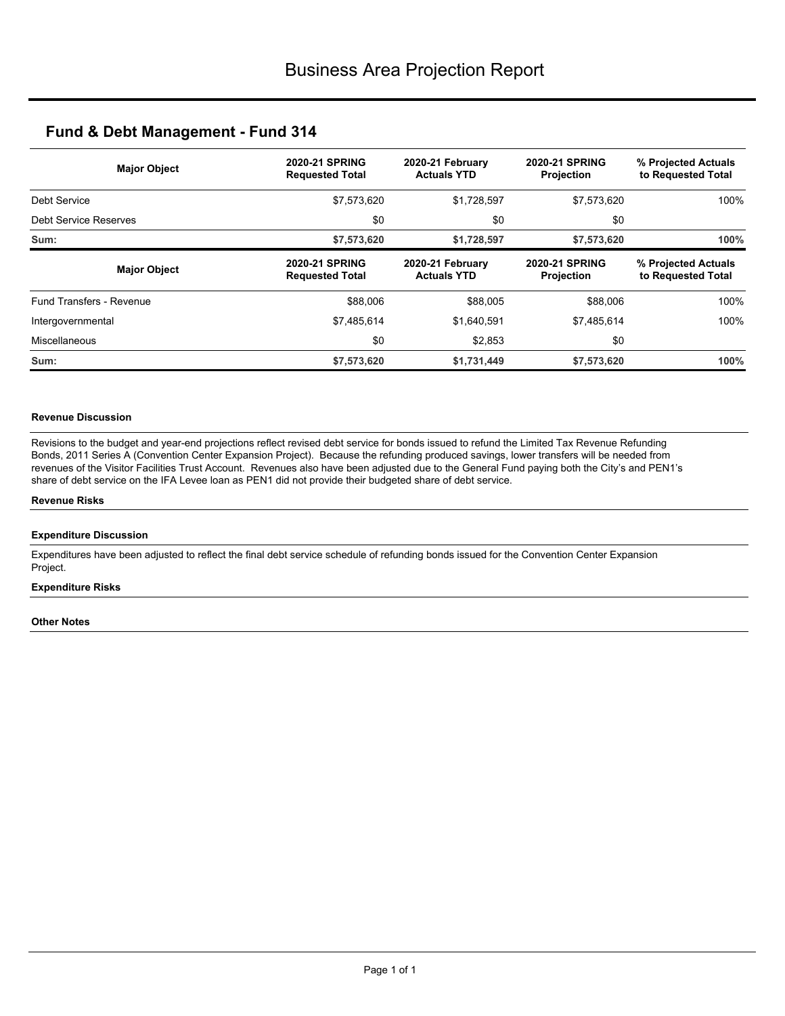| <b>Major Object</b>      | <b>2020-21 SPRING</b><br><b>Requested Total</b> | 2020-21 February<br><b>Actuals YTD</b> | <b>2020-21 SPRING</b><br>Projection        | % Projected Actuals<br>to Requested Total |
|--------------------------|-------------------------------------------------|----------------------------------------|--------------------------------------------|-------------------------------------------|
| Debt Service             | \$7,573,620                                     | \$1,728,597                            | \$7,573,620                                | 100%                                      |
| Debt Service Reserves    | \$0                                             | \$0                                    | \$0                                        |                                           |
| Sum:                     | \$7,573,620                                     | \$1,728,597                            | \$7,573,620                                | 100%                                      |
| <b>Major Object</b>      | <b>2020-21 SPRING</b><br><b>Requested Total</b> | 2020-21 February<br><b>Actuals YTD</b> | <b>2020-21 SPRING</b><br><b>Projection</b> | % Projected Actuals<br>to Requested Total |
| Fund Transfers - Revenue | \$88,006                                        | \$88,005                               | \$88,006                                   | 100%                                      |
| Intergovernmental        | \$7,485,614                                     | \$1,640,591                            | \$7,485,614                                | 100%                                      |
| Miscellaneous            | \$0                                             | \$2,853                                | \$0                                        |                                           |
| Sum:                     | \$7,573,620                                     | \$1,731,449                            | \$7,573,620                                | 100%                                      |

## **Revenue Discussion**

Revisions to the budget and year-end projections reflect revised debt service for bonds issued to refund the Limited Tax Revenue Refunding Bonds, 2011 Series A (Convention Center Expansion Project). Because the refunding produced savings, lower transfers will be needed from revenues of the Visitor Facilities Trust Account. Revenues also have been adjusted due to the General Fund paying both the City's and PEN1's share of debt service on the IFA Levee loan as PEN1 did not provide their budgeted share of debt service.

### **Revenue Risks**

### **Expenditure Discussion**

Expenditures have been adjusted to reflect the final debt service schedule of refunding bonds issued for the Convention Center Expansion Project.

## **Expenditure Risks**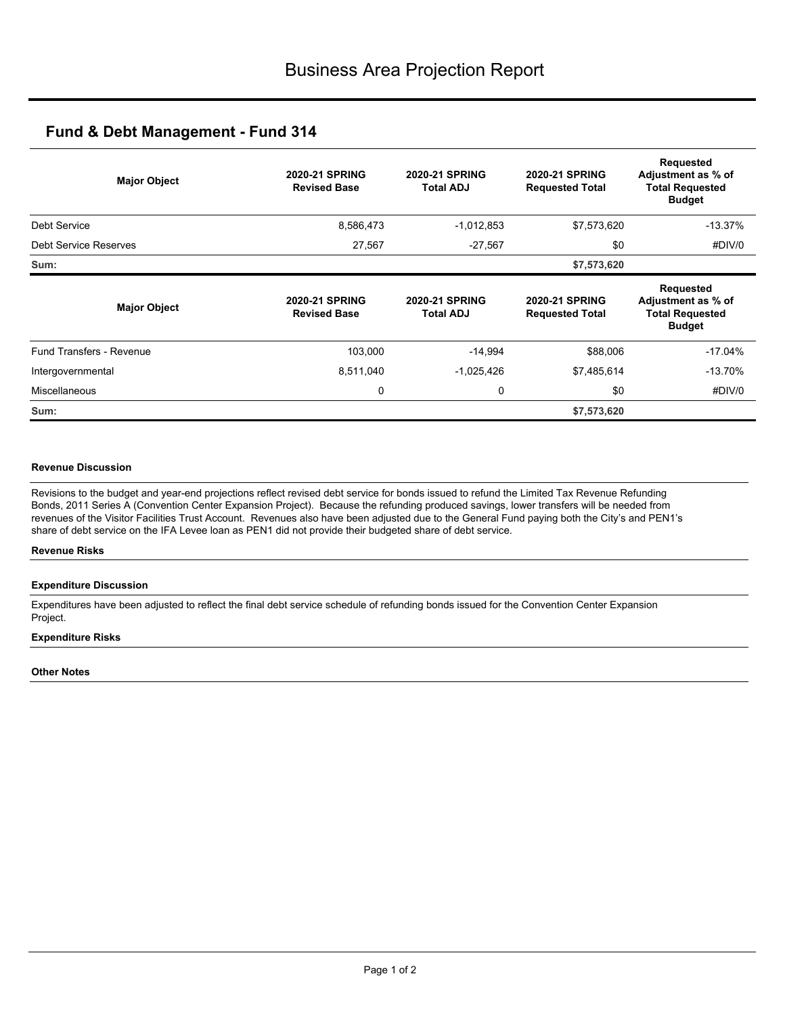| <b>Major Object</b>             | <b>2020-21 SPRING</b><br><b>Revised Base</b> | <b>2020-21 SPRING</b><br>Total ADJ | <b>2020-21 SPRING</b><br><b>Requested Total</b> | <b>Requested</b><br>Adjustment as % of<br><b>Total Requested</b><br><b>Budget</b> |
|---------------------------------|----------------------------------------------|------------------------------------|-------------------------------------------------|-----------------------------------------------------------------------------------|
| Debt Service                    | 8,586,473                                    | $-1,012,853$                       | \$7,573,620                                     | $-13.37%$                                                                         |
| Debt Service Reserves           | 27,567                                       | $-27,567$                          | \$0                                             | #DIV/0                                                                            |
| Sum:                            |                                              |                                    | \$7,573,620                                     |                                                                                   |
| <b>Major Object</b>             | <b>2020-21 SPRING</b><br><b>Revised Base</b> | <b>2020-21 SPRING</b><br>Total ADJ | <b>2020-21 SPRING</b><br><b>Requested Total</b> | Requested<br>Adjustment as % of<br><b>Total Requested</b><br><b>Budget</b>        |
| <b>Fund Transfers - Revenue</b> | 103,000                                      | $-14,994$                          | \$88,006                                        | $-17.04%$                                                                         |
| Intergovernmental               | 8,511,040                                    | $-1,025,426$                       | \$7,485,614                                     | $-13.70%$                                                                         |
| <b>Miscellaneous</b>            | 0                                            | 0                                  | \$0                                             | #DIV/0                                                                            |
| Sum:                            |                                              |                                    | \$7,573,620                                     |                                                                                   |

## **Revenue Discussion**

Revisions to the budget and year-end projections reflect revised debt service for bonds issued to refund the Limited Tax Revenue Refunding Bonds, 2011 Series A (Convention Center Expansion Project). Because the refunding produced savings, lower transfers will be needed from revenues of the Visitor Facilities Trust Account. Revenues also have been adjusted due to the General Fund paying both the City's and PEN1's share of debt service on the IFA Levee loan as PEN1 did not provide their budgeted share of debt service.

### **Revenue Risks**

### **Expenditure Discussion**

Expenditures have been adjusted to reflect the final debt service schedule of refunding bonds issued for the Convention Center Expansion Project.

### **Expenditure Risks**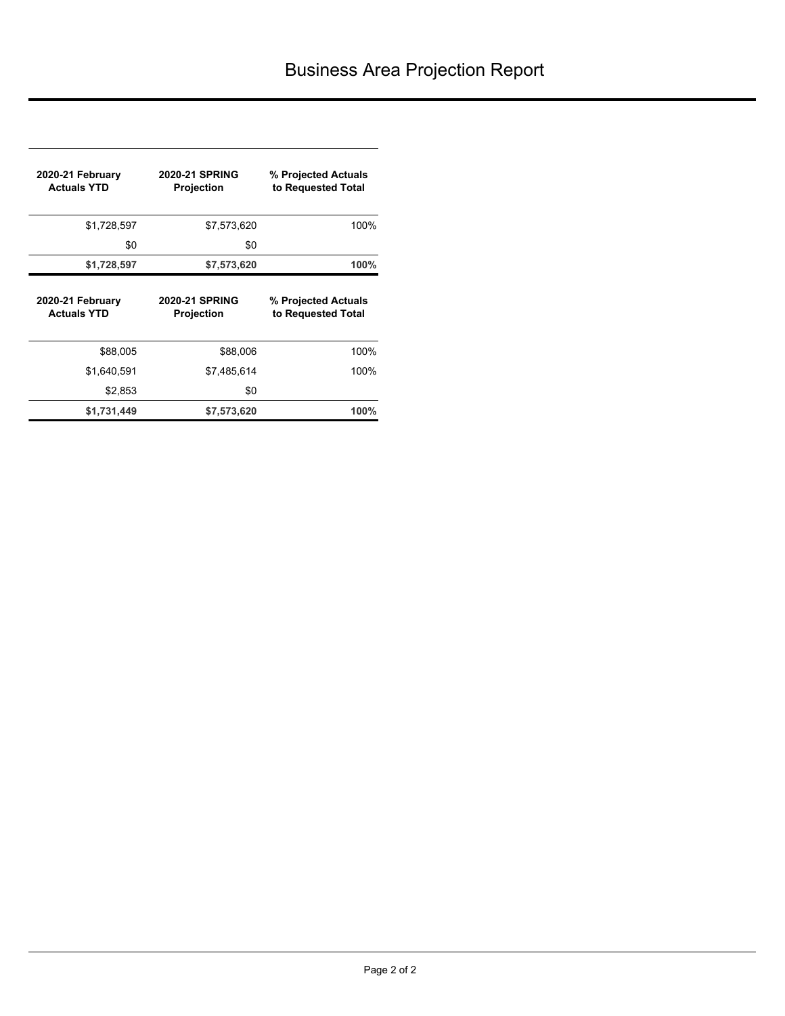| 2020-21 February<br><b>Actuals YTD</b> | <b>2020-21 SPRING</b><br><b>Projection</b> | % Projected Actuals<br>to Requested Total |
|----------------------------------------|--------------------------------------------|-------------------------------------------|
| \$1,728,597                            | \$7,573,620                                | 100%                                      |
| \$0                                    | \$0                                        |                                           |
| \$1,728,597                            | \$7,573,620                                | 100%                                      |
|                                        |                                            |                                           |
| 2020-21 February<br><b>Actuals YTD</b> | <b>2020-21 SPRING</b><br><b>Projection</b> | % Projected Actuals<br>to Requested Total |
| \$88,005                               | \$88,006                                   | 100%                                      |
| \$1,640,591                            | \$7,485,614                                | 100%                                      |
| \$2,853                                | \$0                                        |                                           |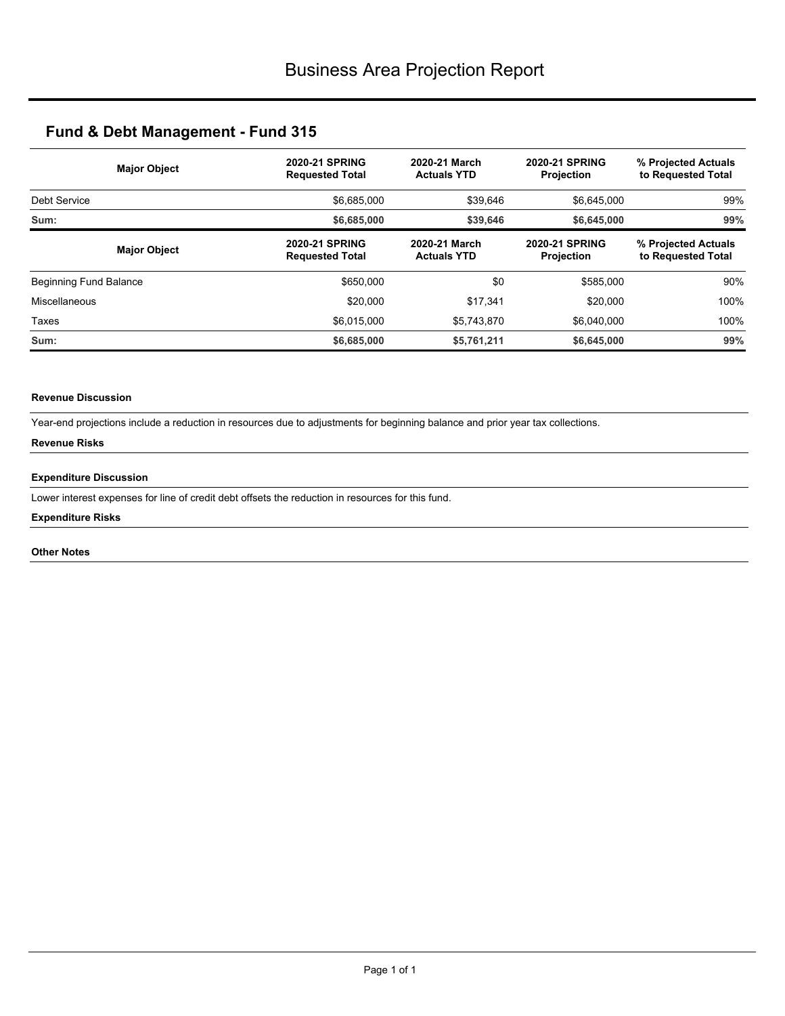| <b>Major Object</b>    | <b>2020-21 SPRING</b><br><b>Requested Total</b> | 2020-21 March<br><b>Actuals YTD</b> | <b>2020-21 SPRING</b><br><b>Projection</b> | % Projected Actuals<br>to Requested Total<br>99% |  |
|------------------------|-------------------------------------------------|-------------------------------------|--------------------------------------------|--------------------------------------------------|--|
| Debt Service           | \$6,685,000                                     | \$39,646                            | \$6,645,000                                |                                                  |  |
| Sum:                   | \$6,685,000                                     | \$39,646                            | \$6.645.000                                | 99%                                              |  |
| <b>Major Object</b>    | <b>2020-21 SPRING</b><br><b>Requested Total</b> | 2020-21 March<br><b>Actuals YTD</b> | <b>2020-21 SPRING</b><br><b>Projection</b> | % Projected Actuals<br>to Requested Total        |  |
| Beginning Fund Balance | \$650,000                                       | \$0                                 | \$585,000                                  | 90%                                              |  |
| Miscellaneous          | \$20,000                                        | \$17,341                            | \$20,000                                   | 100%                                             |  |
| Taxes                  | \$6,015,000                                     | \$5,743,870                         | \$6.040.000                                | 100%                                             |  |
| Sum:                   | \$6,685,000                                     | \$5,761,211                         | \$6,645,000                                | 99%                                              |  |

## **Revenue Discussion**

Year-end projections include a reduction in resources due to adjustments for beginning balance and prior year tax collections.

## **Revenue Risks**

### **Expenditure Discussion**

Lower interest expenses for line of credit debt offsets the reduction in resources for this fund.

### **Expenditure Risks**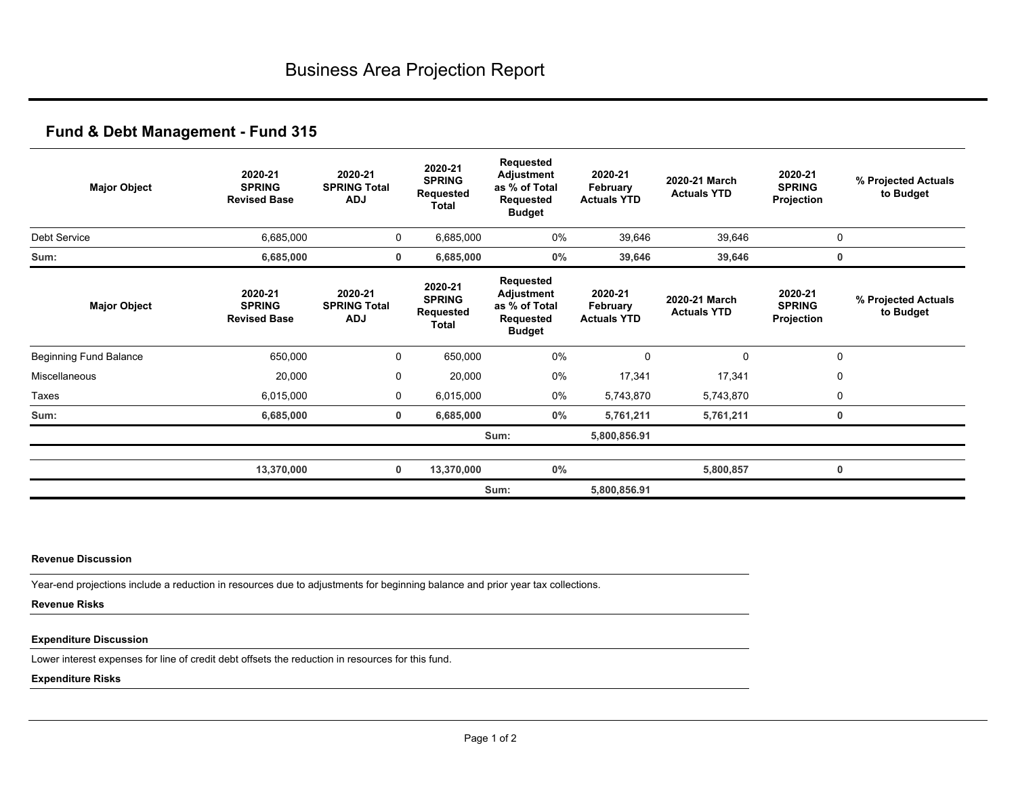| <b>Major Object</b>           | 2020-21<br><b>SPRING</b><br><b>Revised Base</b> | 2020-21<br><b>SPRING Total</b><br><b>ADJ</b> | 2020-21<br><b>SPRING</b><br>Requested<br>Total        | Requested<br>Adjustment<br>as % of Total<br>Requested<br><b>Budget</b> | 2020-21<br>February<br><b>Actuals YTD</b> | 2020-21 March<br><b>Actuals YTD</b> | 2020-21<br><b>SPRING</b><br>Projection | % Projected Actuals<br>to Budget |
|-------------------------------|-------------------------------------------------|----------------------------------------------|-------------------------------------------------------|------------------------------------------------------------------------|-------------------------------------------|-------------------------------------|----------------------------------------|----------------------------------|
| Debt Service                  | 6,685,000                                       | 0                                            | 6,685,000                                             | 0%                                                                     | 39,646                                    | 39,646                              | 0                                      |                                  |
| Sum:                          | 6,685,000                                       | $\mathbf 0$                                  | 6,685,000                                             | 0%                                                                     | 39,646                                    | 39,646                              | 0                                      |                                  |
| <b>Major Object</b>           | 2020-21<br><b>SPRING</b><br><b>Revised Base</b> | 2020-21<br><b>SPRING Total</b><br><b>ADJ</b> | 2020-21<br><b>SPRING</b><br><b>Requested</b><br>Total | Requested<br>Adjustment<br>as % of Total<br>Requested<br><b>Budget</b> | 2020-21<br>February<br><b>Actuals YTD</b> | 2020-21 March<br><b>Actuals YTD</b> | 2020-21<br><b>SPRING</b><br>Projection | % Projected Actuals<br>to Budget |
| <b>Beginning Fund Balance</b> | 650,000                                         | 0                                            | 650,000                                               | 0%                                                                     | $\Omega$                                  | 0                                   | $\mathbf 0$                            |                                  |
| Miscellaneous                 | 20,000                                          | $\mathbf 0$                                  | 20,000                                                | 0%                                                                     | 17,341                                    | 17,341                              | 0                                      |                                  |
| Taxes                         | 6,015,000                                       | 0                                            | 6,015,000                                             | 0%                                                                     | 5,743,870                                 | 5,743,870                           | 0                                      |                                  |
| Sum:                          | 6,685,000                                       | 0                                            | 6,685,000                                             | $0\%$                                                                  | 5,761,211                                 | 5,761,211                           | $\mathbf 0$                            |                                  |
|                               |                                                 |                                              |                                                       | Sum:                                                                   | 5,800,856.91                              |                                     |                                        |                                  |
|                               | 13,370,000                                      | 0                                            | 13,370,000                                            | $0\%$                                                                  |                                           | 5,800,857                           | 0                                      |                                  |
|                               |                                                 |                                              |                                                       | Sum:                                                                   | 5,800,856.91                              |                                     |                                        |                                  |

### **Revenue Discussion**

Year-end projections include a reduction in resources due to adjustments for beginning balance and prior year tax collections.

### **Revenue Risks**

### **Expenditure Discussion**

Lower interest expenses for line of credit debt offsets the reduction in resources for this fund.

### **Expenditure Risks**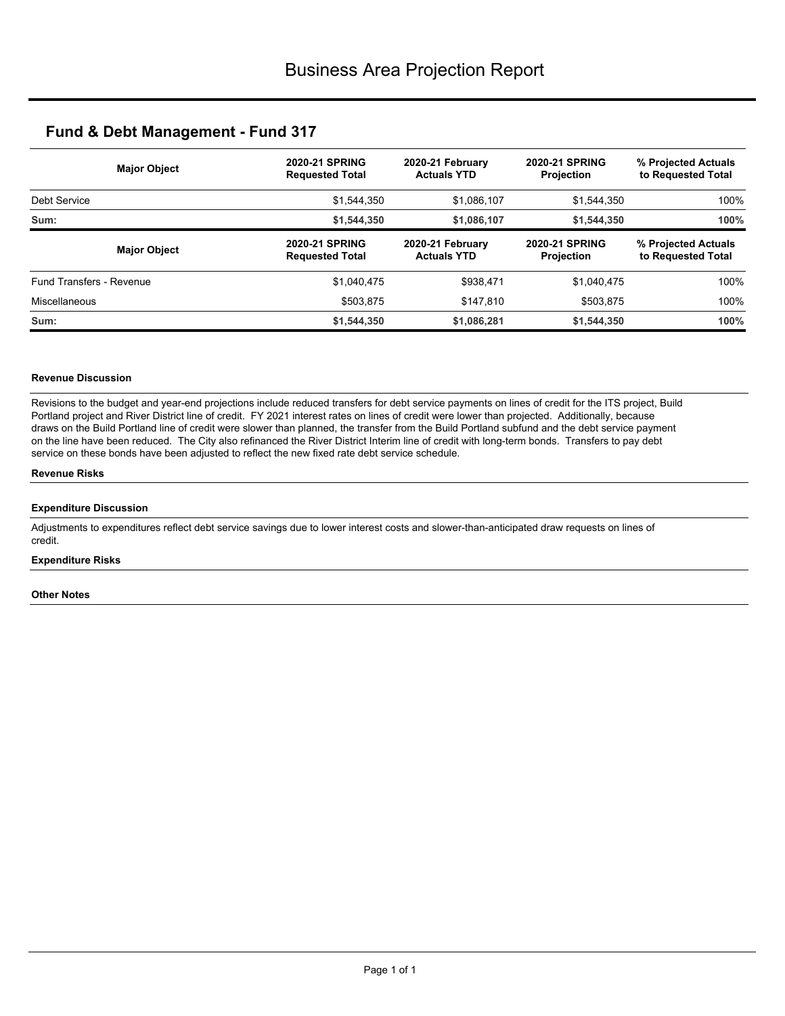|                          | <b>Major Object</b> | <b>2020-21 SPRING</b><br><b>Requested Total</b> | 2020-21 February<br><b>Actuals YTD</b> | <b>2020-21 SPRING</b><br><b>Projection</b> | % Projected Actuals<br>to Requested Total |
|--------------------------|---------------------|-------------------------------------------------|----------------------------------------|--------------------------------------------|-------------------------------------------|
| Debt Service             |                     | \$1,544,350                                     | \$1,086,107                            | \$1,544,350                                | 100%                                      |
| Sum:                     |                     | \$1,544,350                                     | \$1,086,107                            | \$1,544,350                                | 100%                                      |
|                          | <b>Major Object</b> | <b>2020-21 SPRING</b><br><b>Requested Total</b> | 2020-21 February<br><b>Actuals YTD</b> | <b>2020-21 SPRING</b><br><b>Projection</b> | % Projected Actuals<br>to Requested Total |
| Fund Transfers - Revenue |                     | \$1,040,475                                     | \$938,471                              | \$1,040,475                                | 100%                                      |
| <b>Miscellaneous</b>     |                     | \$503,875                                       | \$147,810                              | \$503,875                                  | 100%                                      |
| Sum:                     |                     | \$1,544,350                                     | \$1,086,281                            | \$1.544.350                                | 100%                                      |

### **Revenue Discussion**

Revisions to the budget and year-end projections include reduced transfers for debt service payments on lines of credit for the ITS project, Build Portland project and River District line of credit. FY 2021 interest rates on lines of credit were lower than projected. Additionally, because draws on the Build Portland line of credit were slower than planned, the transfer from the Build Portland subfund and the debt service payment on the line have been reduced. The City also refinanced the River District Interim line of credit with long-term bonds. Transfers to pay debt service on these bonds have been adjusted to reflect the new fixed rate debt service schedule.

#### **Revenue Risks**

### **Expenditure Discussion**

Adjustments to expenditures reflect debt service savings due to lower interest costs and slower-than-anticipated draw requests on lines of credit.

### **Expenditure Risks**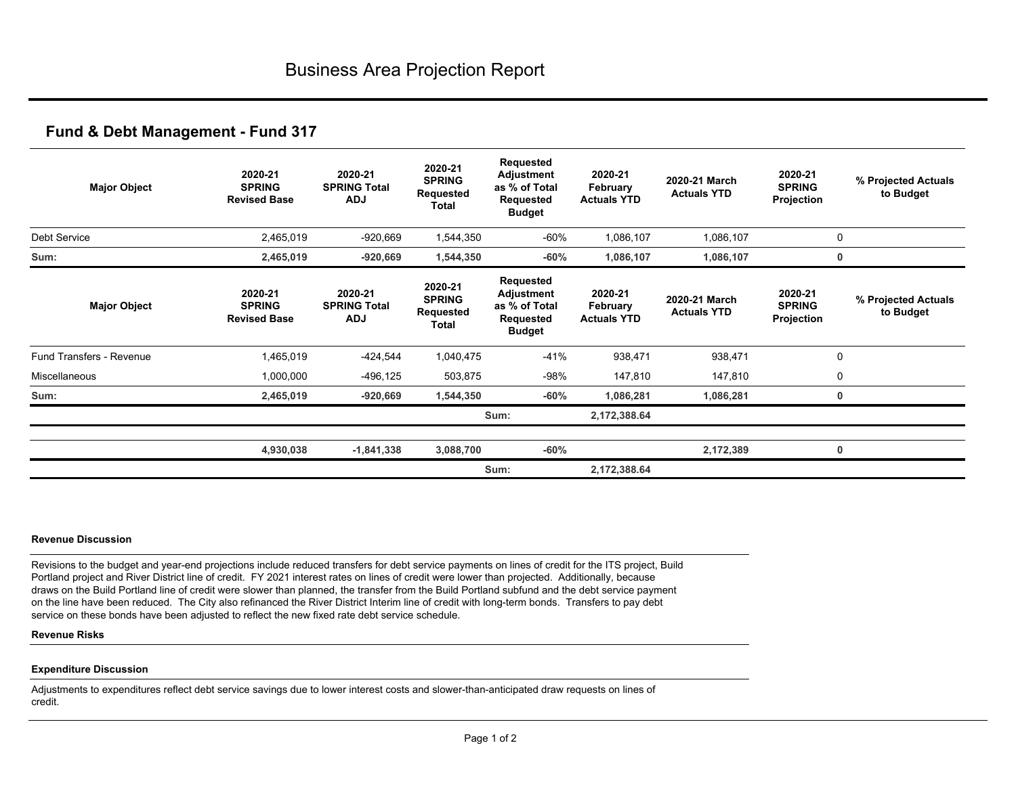| <b>Major Object</b>             | 2020-21<br><b>SPRING</b><br><b>Revised Base</b> | 2020-21<br><b>SPRING Total</b><br><b>ADJ</b> | 2020-21<br><b>SPRING</b><br>Requested<br>Total | Requested<br>Adjustment<br>as % of Total<br>Requested<br><b>Budget</b>        | 2020-21<br>February<br><b>Actuals YTD</b> | 2020-21 March<br><b>Actuals YTD</b> | 2020-21<br><b>SPRING</b><br>Projection | % Projected Actuals<br>to Budget |
|---------------------------------|-------------------------------------------------|----------------------------------------------|------------------------------------------------|-------------------------------------------------------------------------------|-------------------------------------------|-------------------------------------|----------------------------------------|----------------------------------|
| Debt Service                    | 2,465,019                                       | $-920,669$                                   | 1,544,350                                      | -60%                                                                          | 1,086,107                                 | 1,086,107                           |                                        | 0                                |
| Sum:                            | 2,465,019                                       | $-920,669$                                   | 1,544,350                                      | $-60%$                                                                        | 1,086,107                                 | 1,086,107                           |                                        | $\mathbf 0$                      |
| <b>Major Object</b>             | 2020-21<br><b>SPRING</b><br><b>Revised Base</b> | 2020-21<br><b>SPRING Total</b><br><b>ADJ</b> | 2020-21<br><b>SPRING</b><br>Requested<br>Total | Requested<br><b>Adjustment</b><br>as % of Total<br>Requested<br><b>Budget</b> | 2020-21<br>February<br><b>Actuals YTD</b> | 2020-21 March<br><b>Actuals YTD</b> | 2020-21<br><b>SPRING</b><br>Projection | % Projected Actuals<br>to Budget |
| <b>Fund Transfers - Revenue</b> | 1,465,019                                       | $-424,544$                                   | 1,040,475                                      | $-41%$                                                                        | 938,471                                   | 938,471                             |                                        | $\mathbf 0$                      |
| Miscellaneous                   | 1,000,000                                       | $-496, 125$                                  | 503,875                                        | $-98%$                                                                        | 147,810                                   | 147,810                             |                                        | 0                                |
| Sum:                            | 2,465,019                                       | $-920,669$                                   | 1,544,350                                      | $-60%$                                                                        | 1,086,281                                 | 1,086,281                           |                                        | 0                                |
|                                 |                                                 |                                              |                                                | Sum:                                                                          | 2,172,388.64                              |                                     |                                        |                                  |
|                                 | 4,930,038                                       | $-1,841,338$                                 | 3,088,700                                      | $-60%$                                                                        |                                           | 2,172,389                           |                                        | $\mathbf{0}$                     |
|                                 |                                                 |                                              |                                                | Sum:                                                                          | 2,172,388.64                              |                                     |                                        |                                  |

### **Revenue Discussion**

Revisions to the budget and year-end projections include reduced transfers for debt service payments on lines of credit for the ITS project, Build Portland project and River District line of credit. FY 2021 interest rates on lines of credit were lower than projected. Additionally, because draws on the Build Portland line of credit were slower than planned, the transfer from the Build Portland subfund and the debt service payment on the line have been reduced. The City also refinanced the River District Interim line of credit with long-term bonds. Transfers to pay debt service on these bonds have been adjusted to reflect the new fixed rate debt service schedule.

### **Revenue Risks**

### **Expenditure Discussion**

Adjustments to expenditures reflect debt service savings due to lower interest costs and slower-than-anticipated draw requests on lines of credit.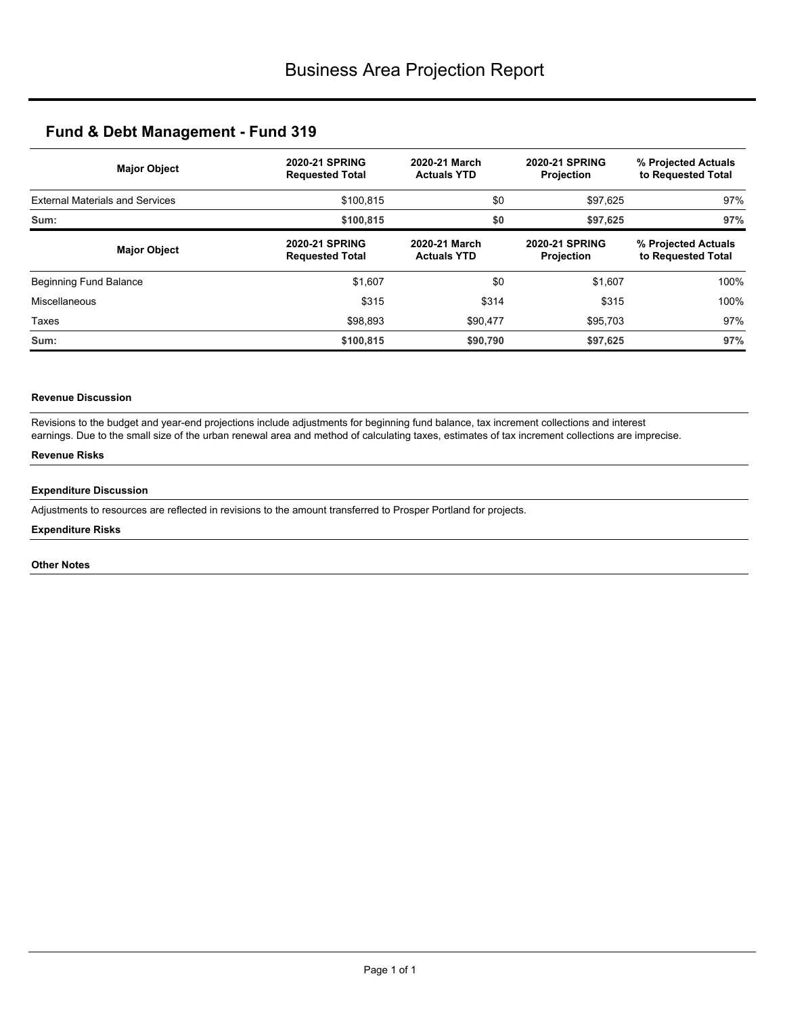| <b>Major Object</b>                    | <b>2020-21 SPRING</b><br><b>Requested Total</b> | 2020-21 March<br><b>Actuals YTD</b> | <b>2020-21 SPRING</b><br><b>Projection</b> | % Projected Actuals<br>to Requested Total |  |
|----------------------------------------|-------------------------------------------------|-------------------------------------|--------------------------------------------|-------------------------------------------|--|
| <b>External Materials and Services</b> | \$100.815                                       | \$0                                 | \$97,625                                   | 97%                                       |  |
| Sum:                                   | \$0<br>\$100,815                                |                                     | \$97,625                                   | 97%                                       |  |
| <b>Major Object</b>                    | <b>2020-21 SPRING</b><br><b>Requested Total</b> | 2020-21 March<br><b>Actuals YTD</b> | <b>2020-21 SPRING</b><br>Projection        | % Projected Actuals<br>to Requested Total |  |
| <b>Beginning Fund Balance</b>          | \$1,607                                         | \$0                                 | \$1,607                                    | 100%                                      |  |
| Miscellaneous                          | \$315                                           | \$314                               | \$315                                      | 100%                                      |  |
| Taxes                                  | \$98.893                                        | \$90,477                            | \$95,703                                   | 97%                                       |  |
| Sum:                                   | \$100,815                                       | \$90,790                            | \$97,625                                   | 97%                                       |  |

## **Revenue Discussion**

Revisions to the budget and year-end projections include adjustments for beginning fund balance, tax increment collections and interest earnings. Due to the small size of the urban renewal area and method of calculating taxes, estimates of tax increment collections are imprecise.

## **Revenue Risks**

### **Expenditure Discussion**

Adjustments to resources are reflected in revisions to the amount transferred to Prosper Portland for projects.

### **Expenditure Risks**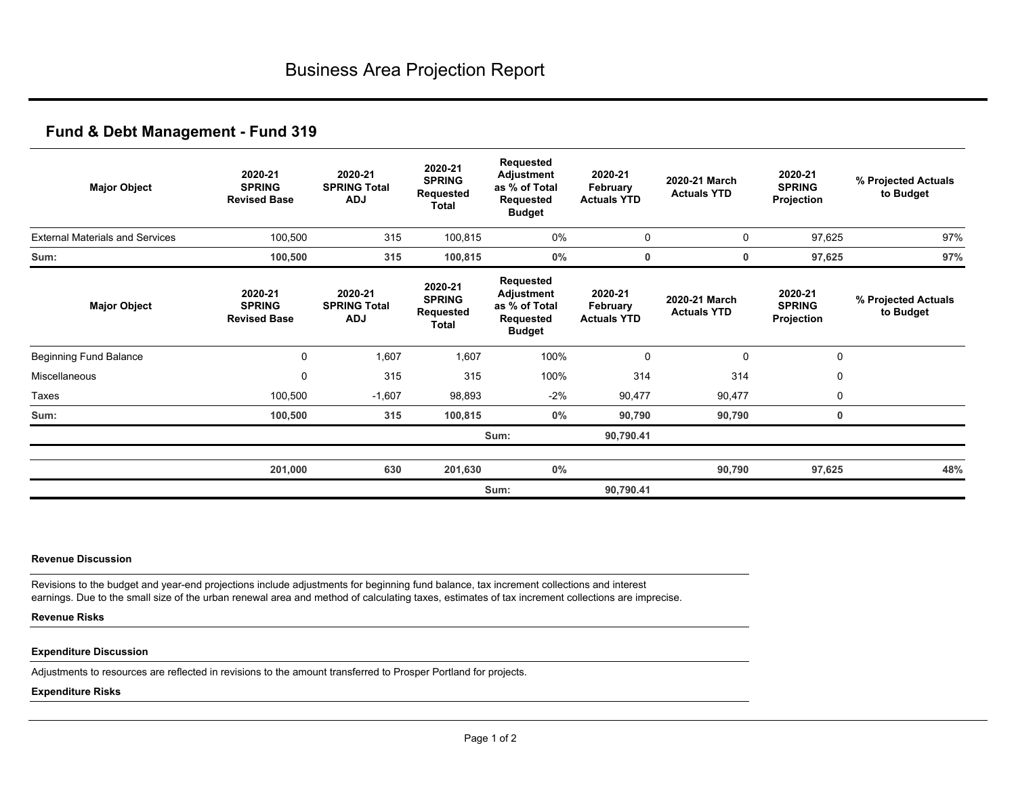| <b>Major Object</b>                    | 2020-21<br><b>SPRING</b><br><b>Revised Base</b> | 2020-21<br><b>SPRING Total</b><br><b>ADJ</b> | 2020-21<br><b>SPRING</b><br>Requested<br>Total | Requested<br><b>Adjustment</b><br>as % of Total<br>Requested<br><b>Budget</b> | 2020-21<br>February<br><b>Actuals YTD</b> | 2020-21 March<br><b>Actuals YTD</b> | 2020-21<br><b>SPRING</b><br>Projection | % Projected Actuals<br>to Budget |
|----------------------------------------|-------------------------------------------------|----------------------------------------------|------------------------------------------------|-------------------------------------------------------------------------------|-------------------------------------------|-------------------------------------|----------------------------------------|----------------------------------|
| <b>External Materials and Services</b> | 100,500                                         | 315                                          | 100,815                                        | $0\%$                                                                         | 0                                         | 0                                   | 97,625                                 | 97%                              |
| Sum:                                   | 100,500                                         | 315                                          | 100,815                                        | 0%                                                                            | 0                                         | 0                                   | 97,625                                 | 97%                              |
| <b>Major Object</b>                    | 2020-21<br><b>SPRING</b><br><b>Revised Base</b> | 2020-21<br><b>SPRING Total</b><br><b>ADJ</b> | 2020-21<br><b>SPRING</b><br>Requested<br>Total | Requested<br>Adjustment<br>as % of Total<br>Requested<br><b>Budget</b>        | 2020-21<br>February<br><b>Actuals YTD</b> | 2020-21 March<br><b>Actuals YTD</b> | 2020-21<br><b>SPRING</b><br>Projection | % Projected Actuals<br>to Budget |
| <b>Beginning Fund Balance</b>          | $\mathbf 0$                                     | 1,607                                        | 1,607                                          | 100%                                                                          | 0                                         | $\mathbf 0$                         | 0                                      |                                  |
| Miscellaneous                          | 0                                               | 315                                          | 315                                            | 100%                                                                          | 314                                       | 314                                 | 0                                      |                                  |
| Taxes                                  | 100,500                                         | $-1,607$                                     | 98,893                                         | $-2%$                                                                         | 90,477                                    | 90,477                              | 0                                      |                                  |
| Sum:                                   | 100,500                                         | 315                                          | 100,815                                        | 0%                                                                            | 90,790                                    | 90,790                              | 0                                      |                                  |
|                                        |                                                 |                                              |                                                | Sum:                                                                          | 90,790.41                                 |                                     |                                        |                                  |
|                                        | 201,000                                         | 630                                          | 201,630                                        | 0%                                                                            |                                           | 90,790                              | 97,625                                 | 48%                              |
|                                        |                                                 |                                              |                                                | Sum:                                                                          | 90,790.41                                 |                                     |                                        |                                  |

### **Revenue Discussion**

Revisions to the budget and year-end projections include adjustments for beginning fund balance, tax increment collections and interest earnings. Due to the small size of the urban renewal area and method of calculating taxes, estimates of tax increment collections are imprecise.

### **Revenue Risks**

### **Expenditure Discussion**

Adjustments to resources are reflected in revisions to the amount transferred to Prosper Portland for projects.

### **Expenditure Risks**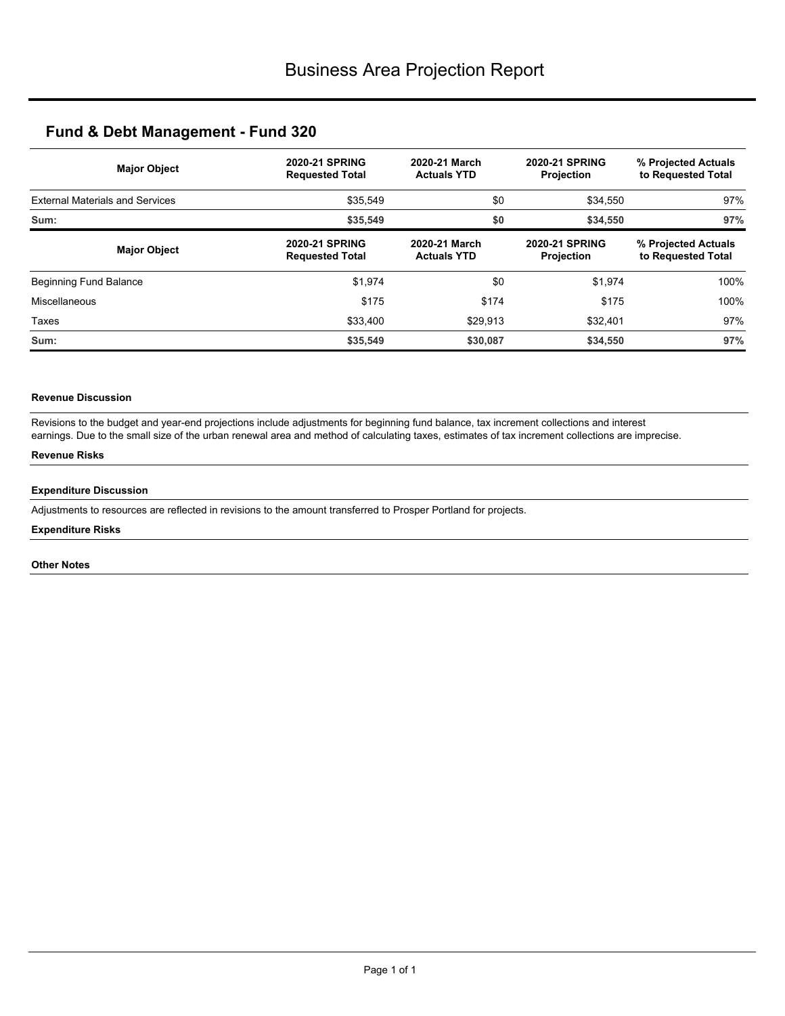| <b>Major Object</b>                    | <b>2020-21 SPRING</b><br><b>Requested Total</b> | 2020-21 March<br><b>Actuals YTD</b> | <b>2020-21 SPRING</b><br>Projection | % Projected Actuals<br>to Requested Total |  |
|----------------------------------------|-------------------------------------------------|-------------------------------------|-------------------------------------|-------------------------------------------|--|
| <b>External Materials and Services</b> | \$35,549                                        | \$0<br>\$34,550                     |                                     | 97%                                       |  |
| Sum:                                   | \$35.549                                        | \$0                                 | \$34,550                            | 97%                                       |  |
| <b>Major Object</b>                    | <b>2020-21 SPRING</b><br><b>Requested Total</b> | 2020-21 March<br><b>Actuals YTD</b> | <b>2020-21 SPRING</b><br>Projection | % Projected Actuals<br>to Requested Total |  |
| <b>Beginning Fund Balance</b>          | \$1,974                                         | \$0                                 | \$1,974                             | 100%                                      |  |
| Miscellaneous                          | \$175                                           | \$174                               | \$175                               | 100%                                      |  |
| Taxes                                  | \$33,400                                        | \$29,913                            | \$32,401                            | 97%                                       |  |
| Sum:                                   | \$35,549                                        | \$30,087                            | \$34,550                            | 97%                                       |  |

## **Revenue Discussion**

Revisions to the budget and year-end projections include adjustments for beginning fund balance, tax increment collections and interest earnings. Due to the small size of the urban renewal area and method of calculating taxes, estimates of tax increment collections are imprecise.

## **Revenue Risks**

### **Expenditure Discussion**

Adjustments to resources are reflected in revisions to the amount transferred to Prosper Portland for projects.

### **Expenditure Risks**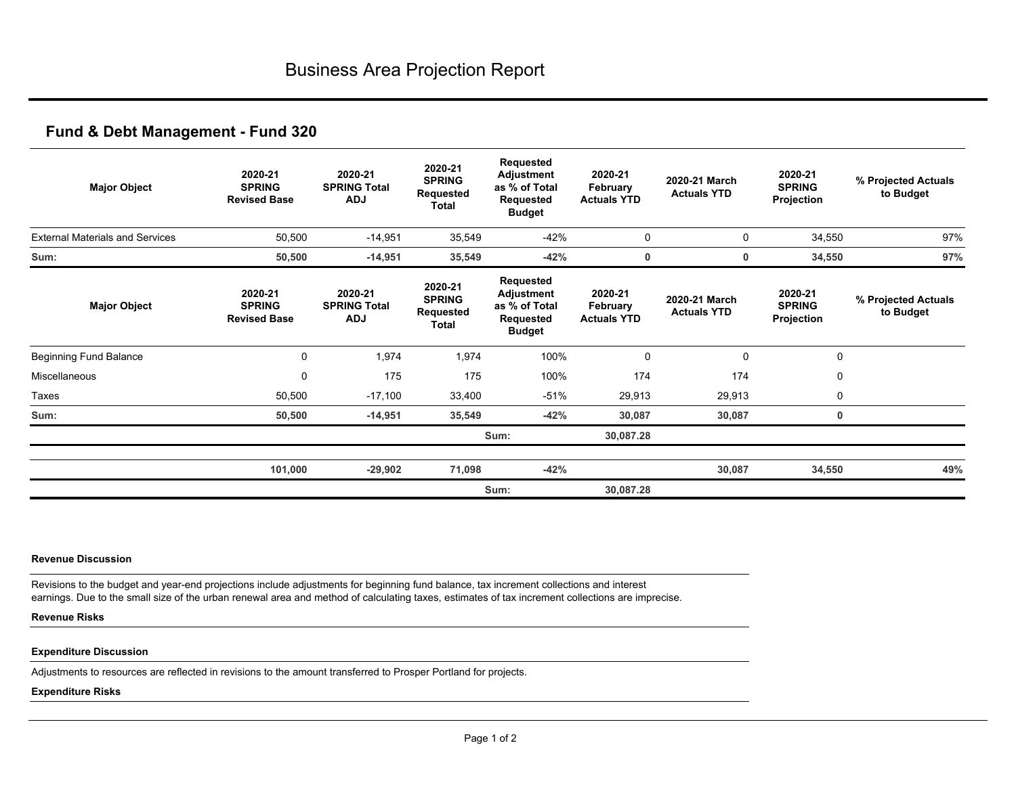| <b>Major Object</b>                    | 2020-21<br><b>SPRING</b><br><b>Revised Base</b> | 2020-21<br><b>SPRING Total</b><br><b>ADJ</b> | 2020-21<br><b>SPRING</b><br>Requested<br>Total | Requested<br>Adjustment<br>as % of Total<br>Requested<br><b>Budget</b>        | 2020-21<br>February<br><b>Actuals YTD</b> | 2020-21 March<br><b>Actuals YTD</b> | 2020-21<br><b>SPRING</b><br>Projection | % Projected Actuals<br>to Budget |
|----------------------------------------|-------------------------------------------------|----------------------------------------------|------------------------------------------------|-------------------------------------------------------------------------------|-------------------------------------------|-------------------------------------|----------------------------------------|----------------------------------|
| <b>External Materials and Services</b> | 50,500                                          | $-14,951$                                    | 35,549                                         | $-42%$                                                                        | $\mathbf 0$                               | $\mathbf 0$                         | 34,550                                 | 97%                              |
| Sum:                                   | 50,500                                          | $-14,951$                                    | 35,549                                         | $-42%$                                                                        | 0                                         | 0                                   | 34,550                                 | 97%                              |
| <b>Major Object</b>                    | 2020-21<br><b>SPRING</b><br><b>Revised Base</b> | 2020-21<br><b>SPRING Total</b><br><b>ADJ</b> | 2020-21<br><b>SPRING</b><br>Requested<br>Total | Requested<br><b>Adjustment</b><br>as % of Total<br>Requested<br><b>Budget</b> | 2020-21<br>February<br><b>Actuals YTD</b> | 2020-21 March<br><b>Actuals YTD</b> | 2020-21<br><b>SPRING</b><br>Projection | % Projected Actuals<br>to Budget |
| <b>Beginning Fund Balance</b>          | 0                                               | 1,974                                        | 1,974                                          | 100%                                                                          | $\Omega$                                  | $\mathbf 0$                         | $\mathbf 0$                            |                                  |
| Miscellaneous                          | 0                                               | 175                                          | 175                                            | 100%                                                                          | 174                                       | 174                                 | 0                                      |                                  |
| Taxes                                  | 50,500                                          | $-17,100$                                    | 33,400                                         | $-51%$                                                                        | 29,913                                    | 29,913                              | 0                                      |                                  |
| Sum:                                   | 50,500                                          | $-14,951$                                    | 35,549                                         | $-42%$                                                                        | 30,087                                    | 30,087                              | 0                                      |                                  |
|                                        |                                                 |                                              |                                                | Sum:                                                                          | 30,087.28                                 |                                     |                                        |                                  |
|                                        | 101,000                                         | $-29,902$                                    | 71,098                                         | $-42%$                                                                        |                                           | 30,087                              | 34,550                                 | 49%                              |
|                                        |                                                 |                                              |                                                | Sum:                                                                          | 30,087.28                                 |                                     |                                        |                                  |

### **Revenue Discussion**

Revisions to the budget and year-end projections include adjustments for beginning fund balance, tax increment collections and interest earnings. Due to the small size of the urban renewal area and method of calculating taxes, estimates of tax increment collections are imprecise.

### **Revenue Risks**

### **Expenditure Discussion**

Adjustments to resources are reflected in revisions to the amount transferred to Prosper Portland for projects.

### **Expenditure Risks**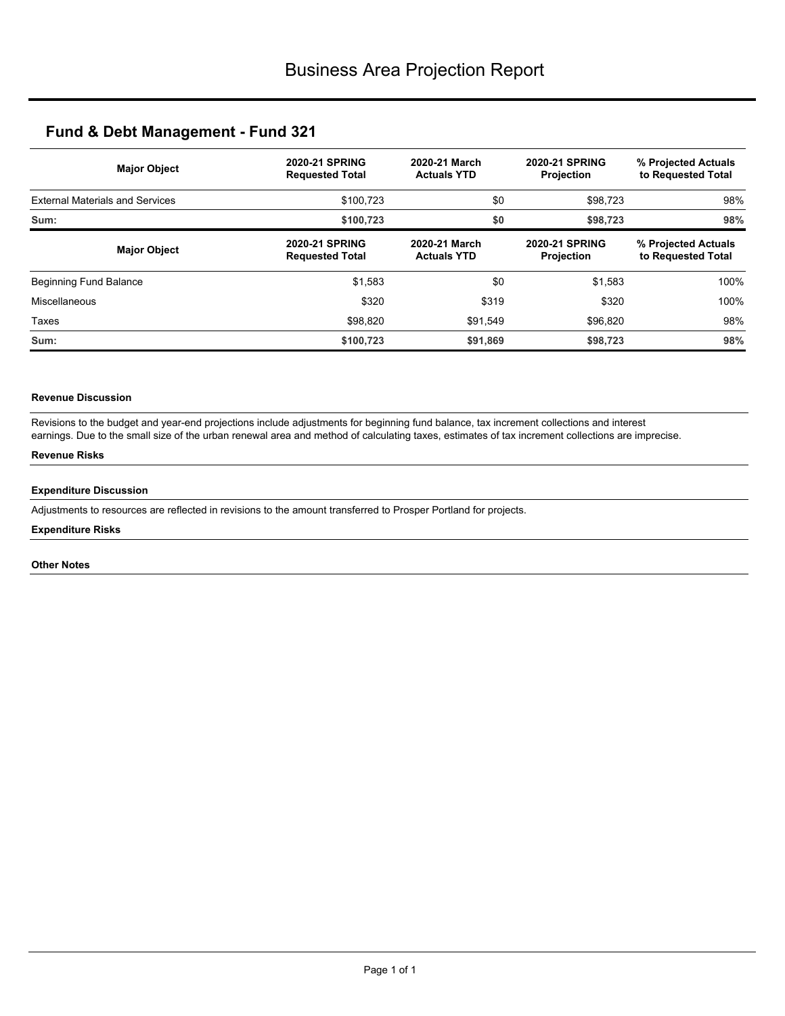| <b>Major Object</b>                    | <b>2020-21 SPRING</b><br><b>Requested Total</b> | 2020-21 March<br><b>Actuals YTD</b> | <b>2020-21 SPRING</b><br><b>Projection</b> | % Projected Actuals<br>to Requested Total |  |
|----------------------------------------|-------------------------------------------------|-------------------------------------|--------------------------------------------|-------------------------------------------|--|
| <b>External Materials and Services</b> | \$0<br>\$100.723                                |                                     | \$98,723                                   | 98%                                       |  |
| Sum:                                   | \$100,723                                       | \$0                                 | \$98,723                                   | 98%                                       |  |
| <b>Major Object</b>                    | <b>2020-21 SPRING</b><br><b>Requested Total</b> | 2020-21 March<br><b>Actuals YTD</b> | <b>2020-21 SPRING</b><br>Projection        | % Projected Actuals<br>to Requested Total |  |
| Beginning Fund Balance                 | \$1,583                                         | \$0                                 | \$1,583                                    | 100%                                      |  |
| Miscellaneous                          | \$320                                           | \$319                               | \$320                                      | 100%                                      |  |
| Taxes                                  | \$98.820                                        | \$91,549                            | \$96,820                                   | 98%                                       |  |
| Sum:                                   | \$100,723                                       | \$91,869                            | \$98,723                                   | 98%                                       |  |

## **Revenue Discussion**

Revisions to the budget and year-end projections include adjustments for beginning fund balance, tax increment collections and interest earnings. Due to the small size of the urban renewal area and method of calculating taxes, estimates of tax increment collections are imprecise.

## **Revenue Risks**

### **Expenditure Discussion**

Adjustments to resources are reflected in revisions to the amount transferred to Prosper Portland for projects.

### **Expenditure Risks**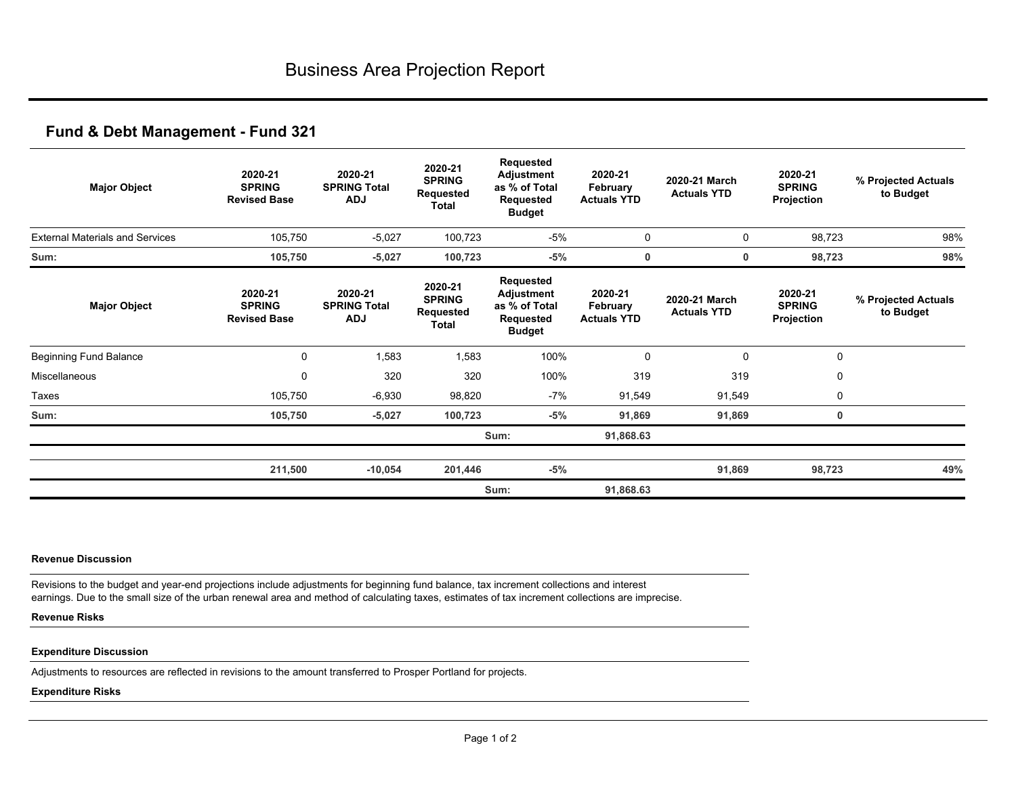| <b>Major Object</b>                    | 2020-21<br><b>SPRING</b><br><b>Revised Base</b> | 2020-21<br><b>SPRING Total</b><br><b>ADJ</b> | 2020-21<br><b>SPRING</b><br>Requested<br>Total | Requested<br>Adjustment<br>as % of Total<br>Requested<br><b>Budget</b> | 2020-21<br>February<br><b>Actuals YTD</b> | 2020-21 March<br><b>Actuals YTD</b> | 2020-21<br><b>SPRING</b><br>Projection | % Projected Actuals<br>to Budget |
|----------------------------------------|-------------------------------------------------|----------------------------------------------|------------------------------------------------|------------------------------------------------------------------------|-------------------------------------------|-------------------------------------|----------------------------------------|----------------------------------|
| <b>External Materials and Services</b> | 105,750                                         | $-5,027$                                     | 100,723                                        | -5%                                                                    | $\mathbf 0$                               | 0                                   | 98,723                                 | 98%                              |
| Sum:                                   | 105,750                                         | $-5,027$                                     | 100,723                                        | $-5%$                                                                  | 0                                         | 0                                   | 98,723                                 | 98%                              |
| <b>Major Object</b>                    | 2020-21<br><b>SPRING</b><br><b>Revised Base</b> | 2020-21<br><b>SPRING Total</b><br><b>ADJ</b> | 2020-21<br><b>SPRING</b><br>Requested<br>Total | Requested<br>Adjustment<br>as % of Total<br>Requested<br><b>Budget</b> | 2020-21<br>February<br><b>Actuals YTD</b> | 2020-21 March<br><b>Actuals YTD</b> | 2020-21<br><b>SPRING</b><br>Projection | % Projected Actuals<br>to Budget |
| Beginning Fund Balance                 | 0                                               | 1,583                                        | 1,583                                          | 100%                                                                   | $\Omega$                                  | $\mathbf 0$                         | $\mathbf 0$                            |                                  |
| Miscellaneous                          | 0                                               | 320                                          | 320                                            | 100%                                                                   | 319                                       | 319                                 | $\mathbf 0$                            |                                  |
| Taxes                                  | 105,750                                         | $-6,930$                                     | 98,820                                         | -7%                                                                    | 91,549                                    | 91,549                              | $\mathbf 0$                            |                                  |
| Sum:                                   | 105,750                                         | $-5,027$                                     | 100,723                                        | $-5%$                                                                  | 91,869                                    | 91,869                              | 0                                      |                                  |
|                                        |                                                 |                                              |                                                | Sum:                                                                   | 91,868.63                                 |                                     |                                        |                                  |
|                                        | 211,500                                         | $-10,054$                                    | 201,446                                        | $-5%$                                                                  |                                           | 91,869                              | 98,723                                 | 49%                              |
|                                        |                                                 |                                              |                                                | Sum:                                                                   | 91,868.63                                 |                                     |                                        |                                  |

### **Revenue Discussion**

Revisions to the budget and year-end projections include adjustments for beginning fund balance, tax increment collections and interest earnings. Due to the small size of the urban renewal area and method of calculating taxes, estimates of tax increment collections are imprecise.

### **Revenue Risks**

#### **Expenditure Discussion**

Adjustments to resources are reflected in revisions to the amount transferred to Prosper Portland for projects.

#### **Expenditure Risks**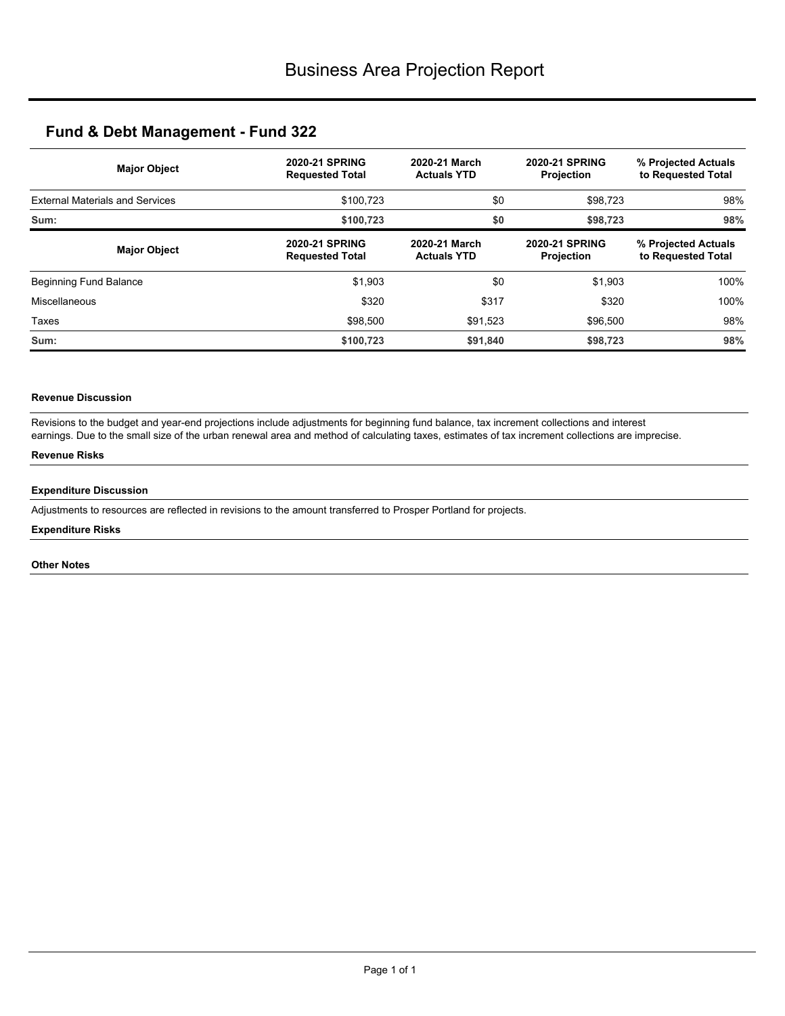| <b>Major Object</b>                    | <b>2020-21 SPRING</b><br><b>Requested Total</b> | 2020-21 March<br><b>Actuals YTD</b> | <b>2020-21 SPRING</b><br><b>Projection</b> | % Projected Actuals<br>to Requested Total |  |
|----------------------------------------|-------------------------------------------------|-------------------------------------|--------------------------------------------|-------------------------------------------|--|
| <b>External Materials and Services</b> | \$100.723                                       | \$0                                 | \$98,723                                   | 98%                                       |  |
| Sum:                                   | \$100,723                                       | \$0                                 | \$98,723                                   | 98%                                       |  |
| <b>Major Object</b>                    | <b>2020-21 SPRING</b><br><b>Requested Total</b> | 2020-21 March<br><b>Actuals YTD</b> | <b>2020-21 SPRING</b><br>Projection        | % Projected Actuals<br>to Requested Total |  |
| Beginning Fund Balance                 | \$1,903                                         | \$0                                 | \$1,903                                    | 100%                                      |  |
| Miscellaneous                          | \$320                                           | \$317                               | \$320                                      | 100%                                      |  |
| Taxes                                  | \$98,500                                        | \$91,523                            | \$96,500                                   | 98%                                       |  |
| Sum:                                   | \$100,723                                       | \$91,840                            | \$98,723                                   | 98%                                       |  |

## **Revenue Discussion**

Revisions to the budget and year-end projections include adjustments for beginning fund balance, tax increment collections and interest earnings. Due to the small size of the urban renewal area and method of calculating taxes, estimates of tax increment collections are imprecise.

## **Revenue Risks**

### **Expenditure Discussion**

Adjustments to resources are reflected in revisions to the amount transferred to Prosper Portland for projects.

### **Expenditure Risks**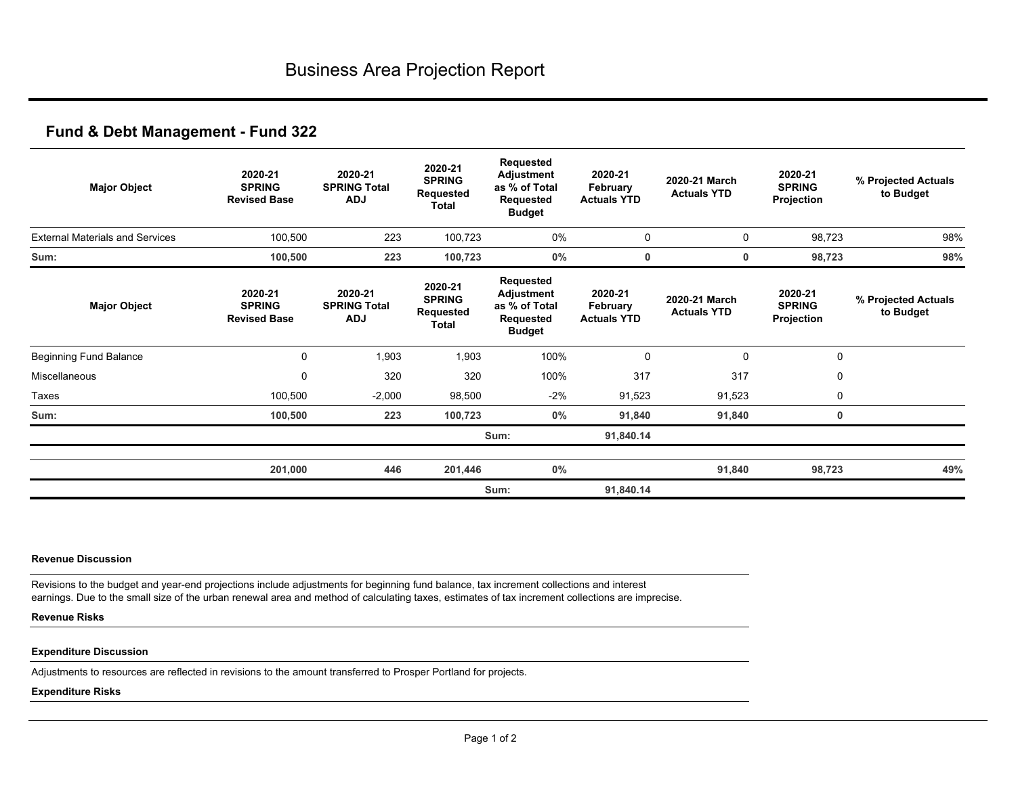| <b>Major Object</b>                    | 2020-21<br><b>SPRING</b><br><b>Revised Base</b> | 2020-21<br><b>SPRING Total</b><br><b>ADJ</b> | 2020-21<br><b>SPRING</b><br><b>Requested</b><br>Total | Requested<br>Adjustment<br>as % of Total<br>Requested<br><b>Budget</b> | 2020-21<br>February<br><b>Actuals YTD</b> | 2020-21 March<br><b>Actuals YTD</b> | 2020-21<br><b>SPRING</b><br>Projection | % Projected Actuals<br>to Budget |
|----------------------------------------|-------------------------------------------------|----------------------------------------------|-------------------------------------------------------|------------------------------------------------------------------------|-------------------------------------------|-------------------------------------|----------------------------------------|----------------------------------|
| <b>External Materials and Services</b> | 100,500                                         | 223                                          | 100,723                                               | 0%                                                                     | 0                                         | 0                                   | 98,723                                 | 98%                              |
| Sum:                                   | 100,500                                         | 223                                          | 100,723                                               | $0\%$                                                                  | 0                                         | 0                                   | 98,723                                 | 98%                              |
| <b>Major Object</b>                    | 2020-21<br><b>SPRING</b><br><b>Revised Base</b> | 2020-21<br><b>SPRING Total</b><br><b>ADJ</b> | 2020-21<br><b>SPRING</b><br>Requested<br>Total        | Requested<br>Adjustment<br>as % of Total<br>Requested<br><b>Budget</b> | 2020-21<br>February<br><b>Actuals YTD</b> | 2020-21 March<br><b>Actuals YTD</b> | 2020-21<br><b>SPRING</b><br>Projection | % Projected Actuals<br>to Budget |
| <b>Beginning Fund Balance</b>          | 0                                               | 1,903                                        | 1,903                                                 | 100%                                                                   | $\Omega$                                  | $\mathbf 0$                         | $\mathbf 0$                            |                                  |
| Miscellaneous                          | 0                                               | 320                                          | 320                                                   | 100%                                                                   | 317                                       | 317                                 | $\mathbf 0$                            |                                  |
| Taxes                                  | 100,500                                         | $-2,000$                                     | 98,500                                                | $-2\%$                                                                 | 91,523                                    | 91,523                              | 0                                      |                                  |
| Sum:                                   | 100,500                                         | 223                                          | 100,723                                               | $0\%$                                                                  | 91,840                                    | 91,840                              | 0                                      |                                  |
|                                        |                                                 |                                              |                                                       | Sum:                                                                   | 91,840.14                                 |                                     |                                        |                                  |
|                                        | 201,000                                         | 446                                          | 201,446                                               | $0\%$                                                                  |                                           | 91,840                              | 98,723                                 | 49%                              |
|                                        |                                                 |                                              |                                                       | Sum:                                                                   | 91,840.14                                 |                                     |                                        |                                  |

### **Revenue Discussion**

Revisions to the budget and year-end projections include adjustments for beginning fund balance, tax increment collections and interest earnings. Due to the small size of the urban renewal area and method of calculating taxes, estimates of tax increment collections are imprecise.

### **Revenue Risks**

### **Expenditure Discussion**

Adjustments to resources are reflected in revisions to the amount transferred to Prosper Portland for projects.

### **Expenditure Risks**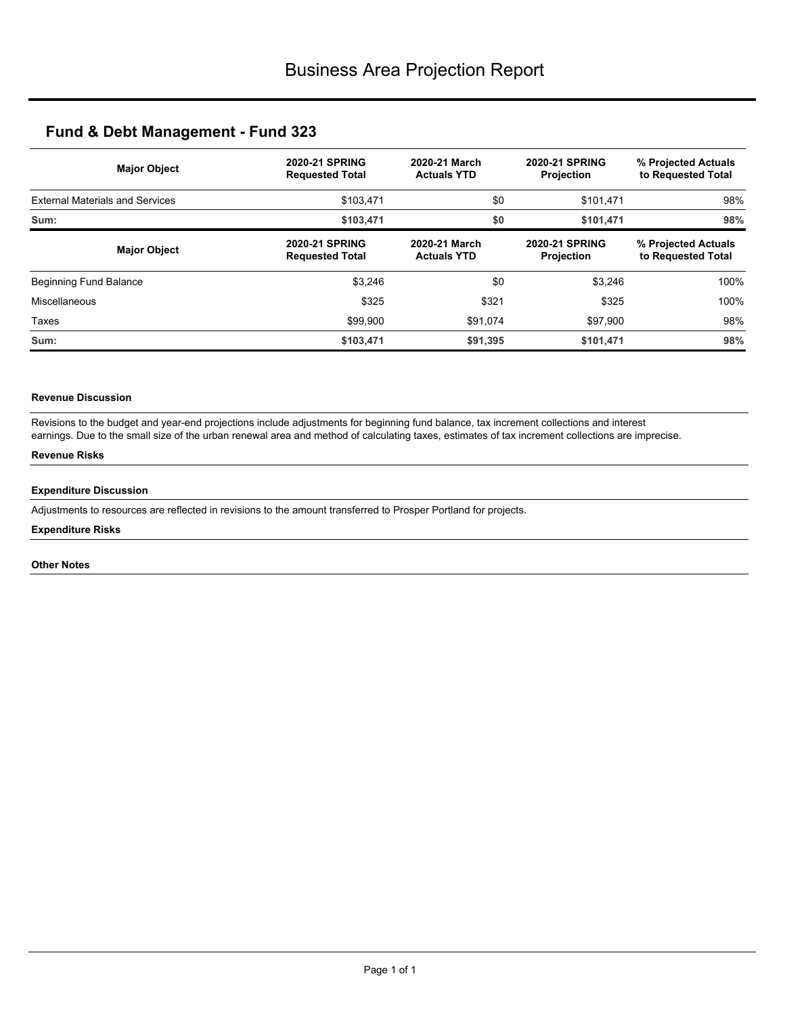| <b>Major Object</b>                    | <b>2020-21 SPRING</b><br><b>Requested Total</b> | 2020-21 March<br><b>Actuals YTD</b> | <b>2020-21 SPRING</b><br><b>Projection</b> | % Projected Actuals<br>to Requested Total |  |
|----------------------------------------|-------------------------------------------------|-------------------------------------|--------------------------------------------|-------------------------------------------|--|
| <b>External Materials and Services</b> | \$103,471                                       | \$0                                 | \$101,471                                  | 98%<br>98%                                |  |
| Sum:                                   | \$103,471                                       | \$0                                 | \$101,471                                  |                                           |  |
| <b>Major Object</b>                    | <b>2020-21 SPRING</b><br><b>Requested Total</b> | 2020-21 March<br><b>Actuals YTD</b> | <b>2020-21 SPRING</b><br><b>Projection</b> | % Projected Actuals<br>to Requested Total |  |
| Beginning Fund Balance                 | \$3,246                                         | \$0                                 | \$3,246                                    | 100%                                      |  |
| Miscellaneous                          | \$325                                           | \$321                               | \$325                                      | 100%                                      |  |
| Taxes                                  | \$99,900                                        | \$91,074                            | \$97,900                                   | 98%                                       |  |
| Sum:                                   | \$103,471                                       | \$91,395                            | \$101,471                                  | 98%                                       |  |

## **Revenue Discussion**

Revisions to the budget and year-end projections include adjustments for beginning fund balance, tax increment collections and interest earnings. Due to the small size of the urban renewal area and method of calculating taxes, estimates of tax increment collections are imprecise.

## **Revenue Risks**

### **Expenditure Discussion**

Adjustments to resources are reflected in revisions to the amount transferred to Prosper Portland for projects.

### **Expenditure Risks**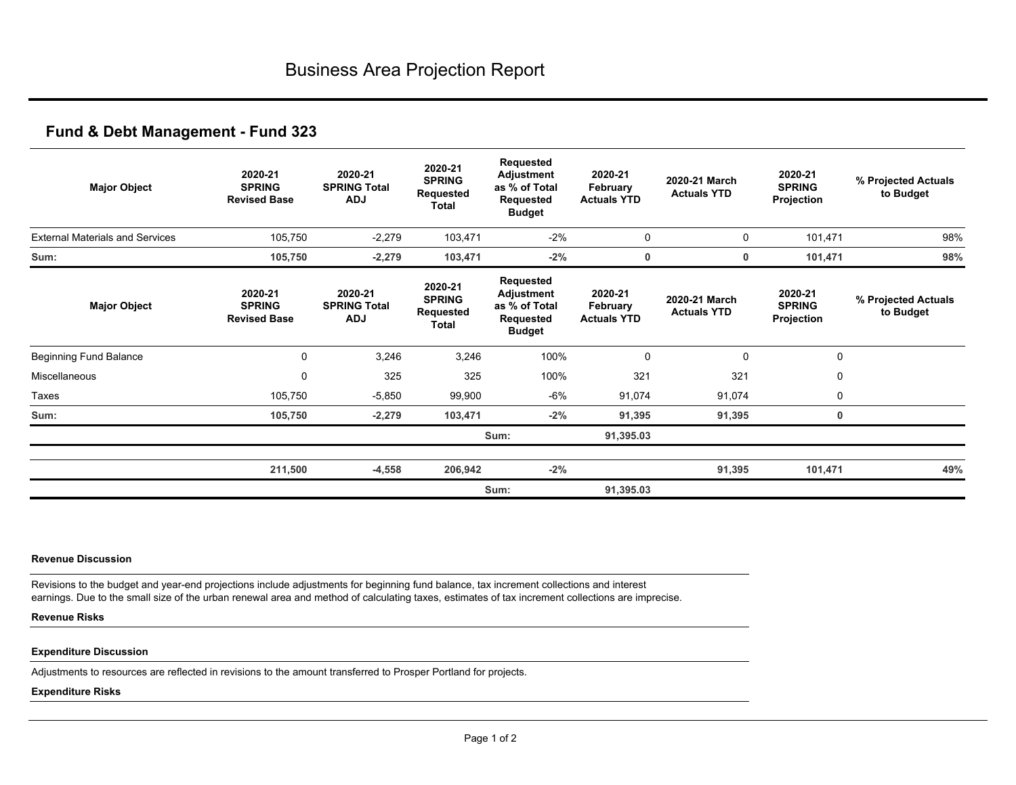| <b>Major Object</b>                    | 2020-21<br><b>SPRING</b><br><b>Revised Base</b> | 2020-21<br><b>SPRING Total</b><br><b>ADJ</b> | 2020-21<br><b>SPRING</b><br>Requested<br>Total | Requested<br><b>Adjustment</b><br>as % of Total<br>Requested<br><b>Budget</b> | 2020-21<br>February<br><b>Actuals YTD</b> | 2020-21 March<br><b>Actuals YTD</b> | 2020-21<br><b>SPRING</b><br>Projection | % Projected Actuals<br>to Budget |
|----------------------------------------|-------------------------------------------------|----------------------------------------------|------------------------------------------------|-------------------------------------------------------------------------------|-------------------------------------------|-------------------------------------|----------------------------------------|----------------------------------|
| <b>External Materials and Services</b> | 105,750                                         | $-2,279$                                     | 103,471                                        | $-2%$                                                                         | $\mathbf 0$                               | 0                                   | 101,471                                | 98%                              |
| Sum:                                   | 105,750                                         | $-2,279$                                     | 103,471                                        | $-2%$                                                                         | 0                                         | 0                                   | 101,471                                | 98%                              |
| <b>Major Object</b>                    | 2020-21<br><b>SPRING</b><br><b>Revised Base</b> | 2020-21<br><b>SPRING Total</b><br><b>ADJ</b> | 2020-21<br><b>SPRING</b><br>Requested<br>Total | Requested<br>Adjustment<br>as % of Total<br>Requested<br><b>Budget</b>        | 2020-21<br>February<br><b>Actuals YTD</b> | 2020-21 March<br><b>Actuals YTD</b> | 2020-21<br><b>SPRING</b><br>Projection | % Projected Actuals<br>to Budget |
| Beginning Fund Balance                 | 0                                               | 3,246                                        | 3,246                                          | 100%                                                                          | $\Omega$                                  | $\mathbf 0$                         | $\mathbf 0$                            |                                  |
| Miscellaneous                          | 0                                               | 325                                          | 325                                            | 100%                                                                          | 321                                       | 321                                 | $\mathbf 0$                            |                                  |
| Taxes                                  | 105,750                                         | $-5,850$                                     | 99,900                                         | -6%                                                                           | 91,074                                    | 91,074                              | 0                                      |                                  |
| Sum:                                   | 105,750                                         | $-2,279$                                     | 103,471                                        | $-2%$                                                                         | 91,395                                    | 91,395                              | 0                                      |                                  |
|                                        |                                                 |                                              |                                                | Sum:                                                                          | 91,395.03                                 |                                     |                                        |                                  |
|                                        | 211,500                                         | $-4,558$                                     | 206,942                                        | $-2%$                                                                         |                                           | 91,395                              | 101,471                                | 49%                              |
|                                        |                                                 |                                              |                                                | Sum:                                                                          | 91,395.03                                 |                                     |                                        |                                  |

### **Revenue Discussion**

Revisions to the budget and year-end projections include adjustments for beginning fund balance, tax increment collections and interest earnings. Due to the small size of the urban renewal area and method of calculating taxes, estimates of tax increment collections are imprecise.

### **Revenue Risks**

#### **Expenditure Discussion**

Adjustments to resources are reflected in revisions to the amount transferred to Prosper Portland for projects.

#### **Expenditure Risks**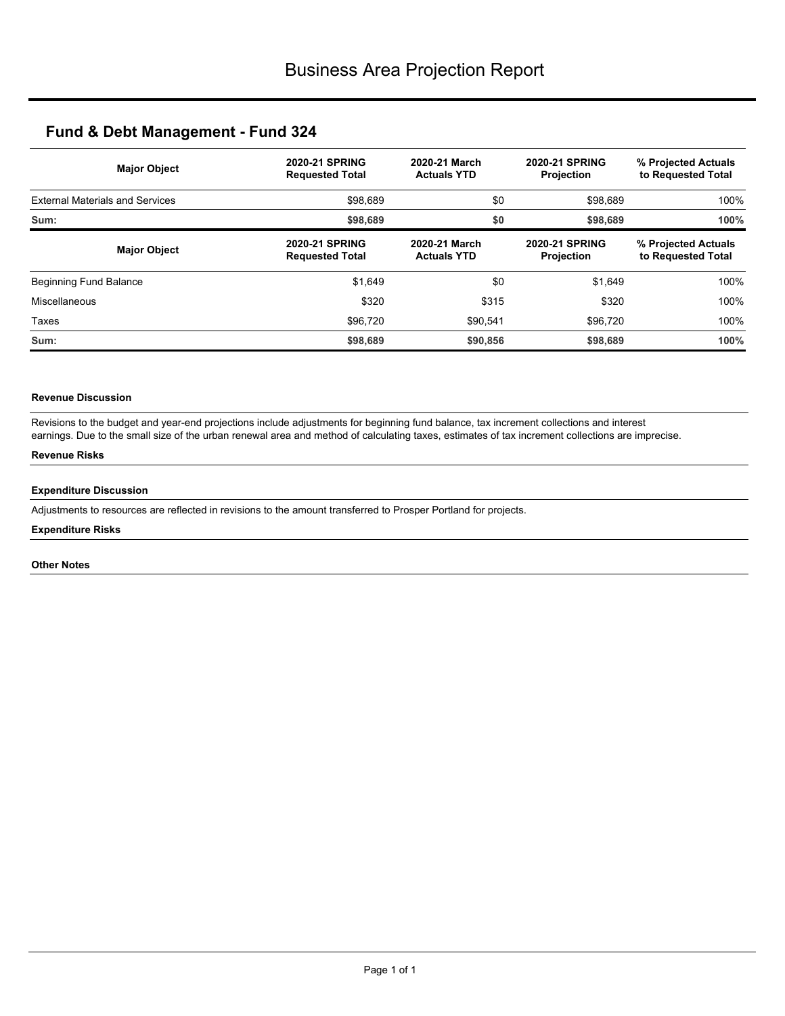| <b>Major Object</b>                    | <b>2020-21 SPRING</b><br><b>Requested Total</b> | 2020-21 March<br><b>Actuals YTD</b> | <b>2020-21 SPRING</b><br><b>Projection</b> | % Projected Actuals<br>to Requested Total |  |
|----------------------------------------|-------------------------------------------------|-------------------------------------|--------------------------------------------|-------------------------------------------|--|
| <b>External Materials and Services</b> | \$98,689                                        | \$0                                 | \$98,689                                   | 100%<br>100%                              |  |
| Sum:                                   | \$98,689                                        | \$0                                 | \$98,689                                   |                                           |  |
| <b>Major Object</b>                    | <b>2020-21 SPRING</b><br><b>Requested Total</b> | 2020-21 March<br><b>Actuals YTD</b> | <b>2020-21 SPRING</b><br>Projection        | % Projected Actuals<br>to Requested Total |  |
| Beginning Fund Balance                 | \$1,649                                         | \$0                                 | \$1,649                                    | 100%                                      |  |
| Miscellaneous                          | \$320                                           | \$315                               | \$320                                      | 100%                                      |  |
| Taxes                                  | \$96,720                                        | \$90,541                            | \$96,720                                   | 100%                                      |  |
| Sum:                                   | \$98,689                                        | \$90,856                            | \$98,689                                   | 100%                                      |  |

## **Revenue Discussion**

Revisions to the budget and year-end projections include adjustments for beginning fund balance, tax increment collections and interest earnings. Due to the small size of the urban renewal area and method of calculating taxes, estimates of tax increment collections are imprecise.

## **Revenue Risks**

### **Expenditure Discussion**

Adjustments to resources are reflected in revisions to the amount transferred to Prosper Portland for projects.

### **Expenditure Risks**